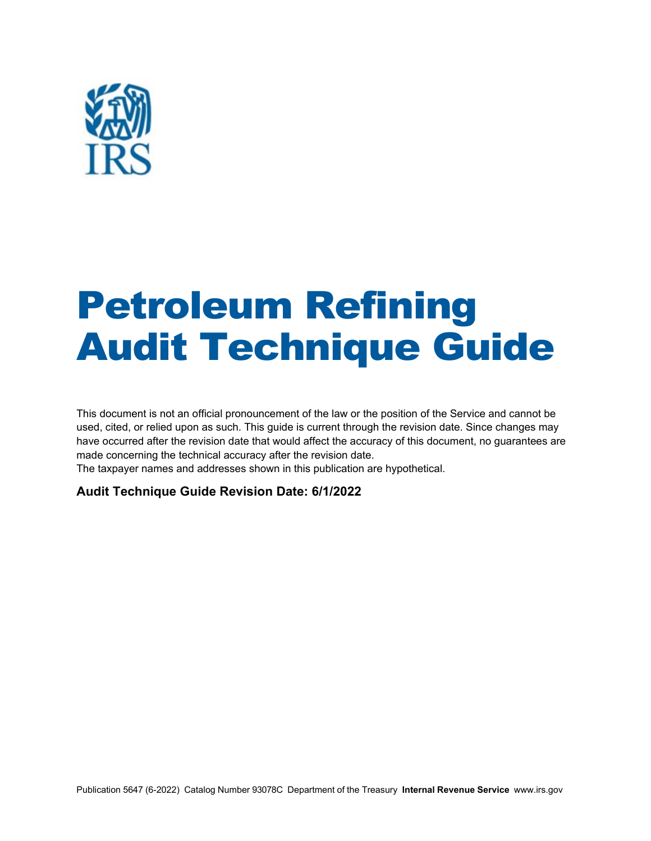

# Petroleum Refining Audit Technique Guide

This document is not an official pronouncement of the law or the position of the Service and cannot be used, cited, or relied upon as such. This guide is current through the revision date. Since changes may have occurred after the revision date that would affect the accuracy of this document, no guarantees are made concerning the technical accuracy after the revision date.

The taxpayer names and addresses shown in this publication are hypothetical.

#### **Audit Technique Guide Revision Date: 6/1/2022**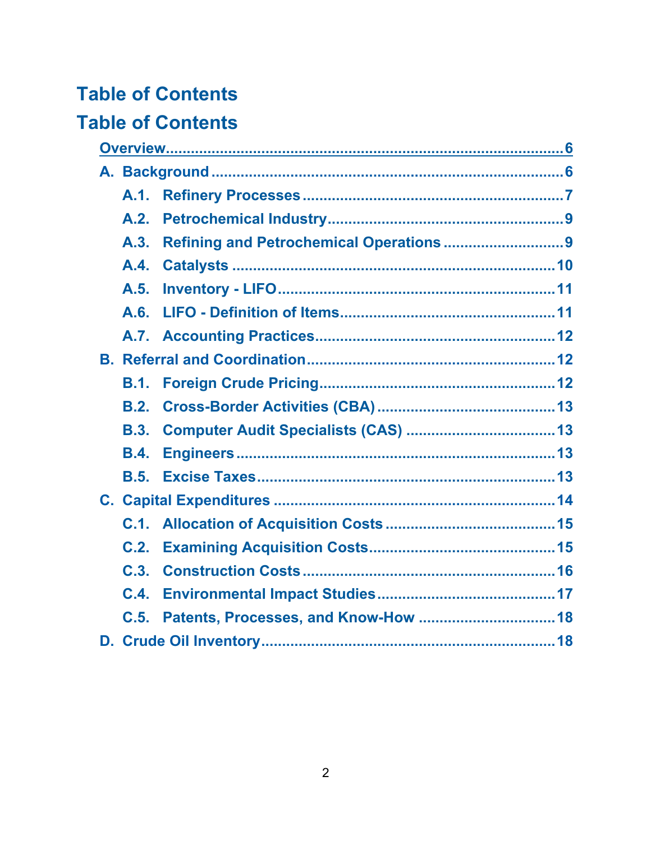# **Table of Contents**

# **Table of Contents**

|  | A.1.        |                                         |  |  |  |
|--|-------------|-----------------------------------------|--|--|--|
|  | A.2.        |                                         |  |  |  |
|  | A.3.        | Refining and Petrochemical Operations 9 |  |  |  |
|  | A.4.        |                                         |  |  |  |
|  | A.5.        |                                         |  |  |  |
|  | A.6.        |                                         |  |  |  |
|  | A.7.        |                                         |  |  |  |
|  |             |                                         |  |  |  |
|  | <b>B.1.</b> |                                         |  |  |  |
|  | B.2.        |                                         |  |  |  |
|  | B.3.        |                                         |  |  |  |
|  | <b>B.4.</b> |                                         |  |  |  |
|  | B.5.        |                                         |  |  |  |
|  |             |                                         |  |  |  |
|  | C.1.        |                                         |  |  |  |
|  | C.2.        |                                         |  |  |  |
|  | C.3.        |                                         |  |  |  |
|  | C.4.        |                                         |  |  |  |
|  | C.5.        |                                         |  |  |  |
|  |             |                                         |  |  |  |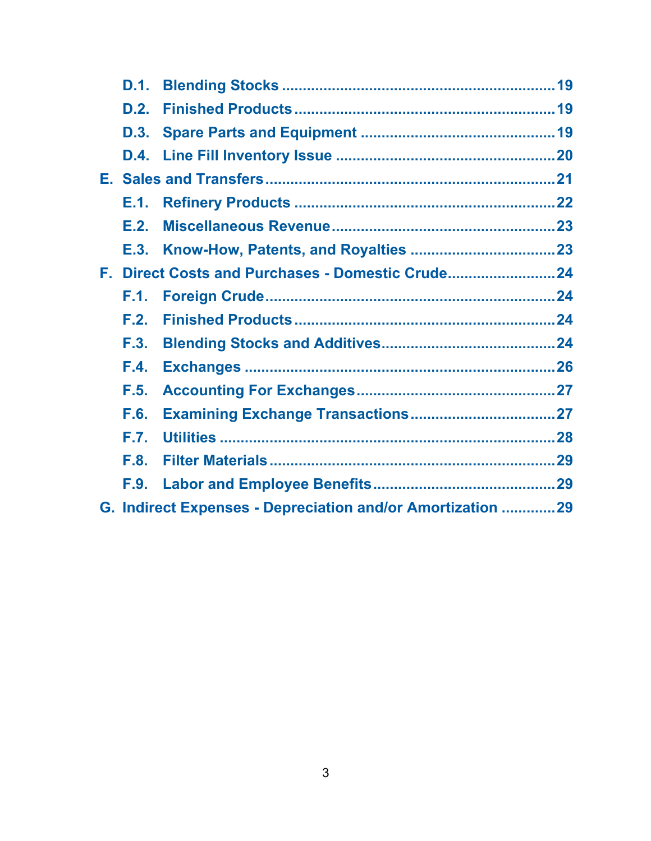|                                                            | D.1. |                                                |  |  |
|------------------------------------------------------------|------|------------------------------------------------|--|--|
|                                                            | D.2. |                                                |  |  |
|                                                            | D.3. |                                                |  |  |
|                                                            | D.4. |                                                |  |  |
|                                                            |      |                                                |  |  |
|                                                            | E.1. |                                                |  |  |
|                                                            | E.2. |                                                |  |  |
|                                                            | E.3. |                                                |  |  |
|                                                            |      | F. Direct Costs and Purchases - Domestic Crude |  |  |
|                                                            | F.1. |                                                |  |  |
|                                                            | F.2. |                                                |  |  |
|                                                            | F.3. |                                                |  |  |
|                                                            | F.4. |                                                |  |  |
|                                                            | F.5. |                                                |  |  |
|                                                            | F.6. |                                                |  |  |
|                                                            | F.7. |                                                |  |  |
|                                                            | F.8. |                                                |  |  |
|                                                            | F.9. |                                                |  |  |
| G. Indirect Expenses - Depreciation and/or Amortization 29 |      |                                                |  |  |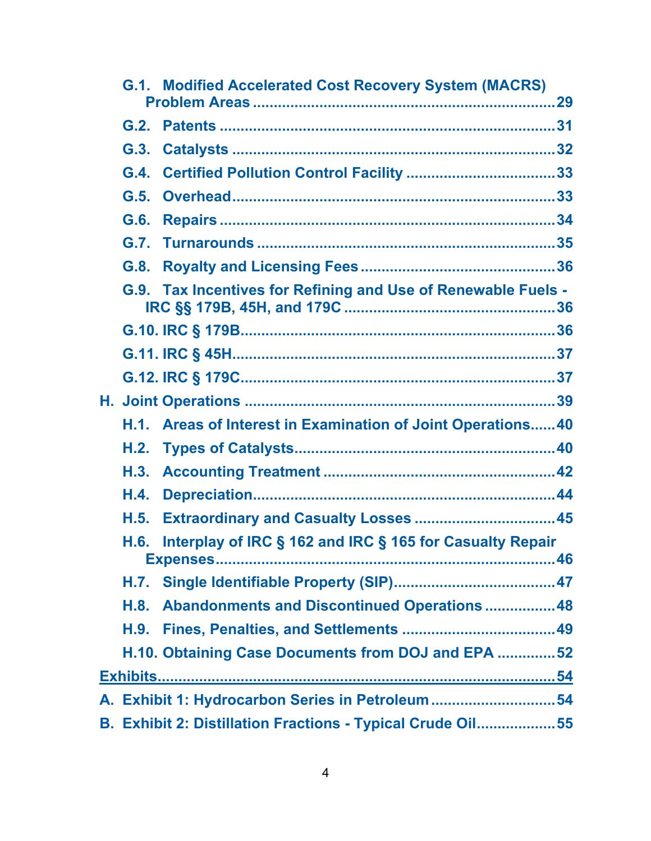| G.2.<br>G.3.<br>G.4.<br>G.5.<br>G.6. |                                                                                                                                                                                                                                                                                                                                                                                                                  |
|--------------------------------------|------------------------------------------------------------------------------------------------------------------------------------------------------------------------------------------------------------------------------------------------------------------------------------------------------------------------------------------------------------------------------------------------------------------|
|                                      |                                                                                                                                                                                                                                                                                                                                                                                                                  |
|                                      |                                                                                                                                                                                                                                                                                                                                                                                                                  |
|                                      |                                                                                                                                                                                                                                                                                                                                                                                                                  |
|                                      |                                                                                                                                                                                                                                                                                                                                                                                                                  |
|                                      |                                                                                                                                                                                                                                                                                                                                                                                                                  |
|                                      |                                                                                                                                                                                                                                                                                                                                                                                                                  |
|                                      |                                                                                                                                                                                                                                                                                                                                                                                                                  |
| G.8.                                 |                                                                                                                                                                                                                                                                                                                                                                                                                  |
|                                      |                                                                                                                                                                                                                                                                                                                                                                                                                  |
|                                      |                                                                                                                                                                                                                                                                                                                                                                                                                  |
|                                      |                                                                                                                                                                                                                                                                                                                                                                                                                  |
|                                      |                                                                                                                                                                                                                                                                                                                                                                                                                  |
|                                      |                                                                                                                                                                                                                                                                                                                                                                                                                  |
|                                      |                                                                                                                                                                                                                                                                                                                                                                                                                  |
|                                      |                                                                                                                                                                                                                                                                                                                                                                                                                  |
|                                      |                                                                                                                                                                                                                                                                                                                                                                                                                  |
| H.4.                                 |                                                                                                                                                                                                                                                                                                                                                                                                                  |
| H.5.                                 |                                                                                                                                                                                                                                                                                                                                                                                                                  |
| H.6.                                 |                                                                                                                                                                                                                                                                                                                                                                                                                  |
| H.7.                                 |                                                                                                                                                                                                                                                                                                                                                                                                                  |
| H.8.                                 |                                                                                                                                                                                                                                                                                                                                                                                                                  |
| H.9.                                 |                                                                                                                                                                                                                                                                                                                                                                                                                  |
|                                      |                                                                                                                                                                                                                                                                                                                                                                                                                  |
|                                      |                                                                                                                                                                                                                                                                                                                                                                                                                  |
|                                      |                                                                                                                                                                                                                                                                                                                                                                                                                  |
|                                      |                                                                                                                                                                                                                                                                                                                                                                                                                  |
|                                      | G.9. Tax Incentives for Refining and Use of Renewable Fuels -<br>H.1. Areas of Interest in Examination of Joint Operations40<br>Interplay of IRC § 162 and IRC § 165 for Casualty Repair<br>Abandonments and Discontinued Operations  48<br>H.10. Obtaining Case Documents from DOJ and EPA  52<br>A. Exhibit 1: Hydrocarbon Series in Petroleum54<br>B. Exhibit 2: Distillation Fractions - Typical Crude Oil55 |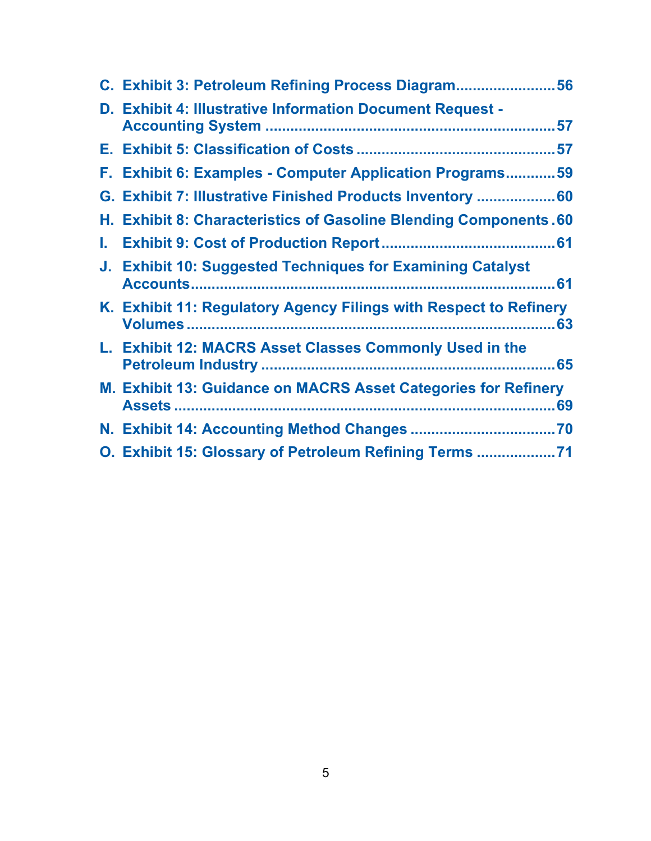|    | C. Exhibit 3: Petroleum Refining Process Diagram56                |  |
|----|-------------------------------------------------------------------|--|
|    | D. Exhibit 4: Illustrative Information Document Request -         |  |
|    |                                                                   |  |
|    | F. Exhibit 6: Examples - Computer Application Programs 59         |  |
|    | G. Exhibit 7: Illustrative Finished Products Inventory  60        |  |
|    | H. Exhibit 8: Characteristics of Gasoline Blending Components.60  |  |
| L. |                                                                   |  |
|    | J. Exhibit 10: Suggested Techniques for Examining Catalyst        |  |
|    | K. Exhibit 11: Regulatory Agency Filings with Respect to Refinery |  |
|    | L. Exhibit 12: MACRS Asset Classes Commonly Used in the           |  |
|    | M. Exhibit 13: Guidance on MACRS Asset Categories for Refinery    |  |
|    |                                                                   |  |
|    | O. Exhibit 15: Glossary of Petroleum Refining Terms               |  |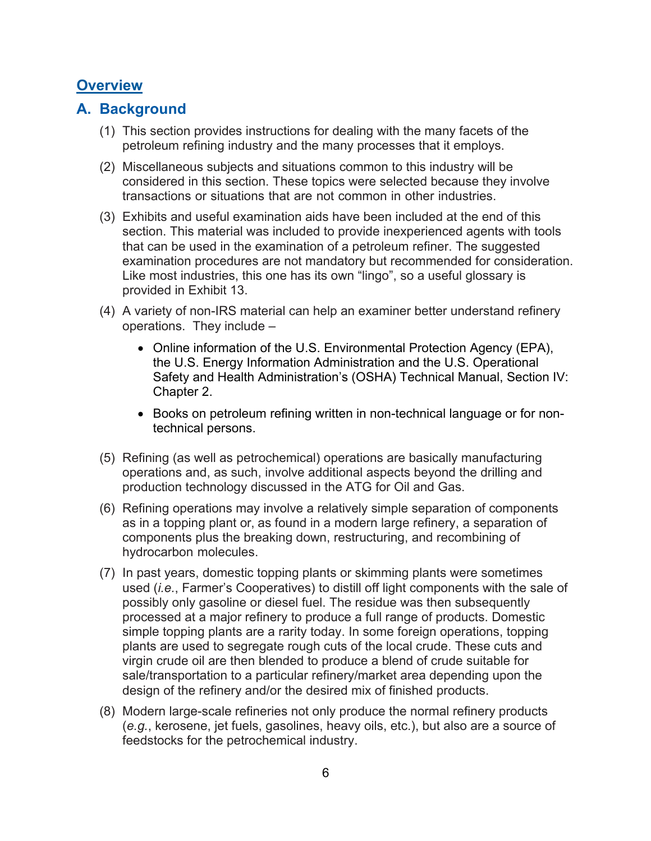## <span id="page-5-0"></span>**Overview**

## <span id="page-5-1"></span>**A. Background**

- (1) This section provides instructions for dealing with the many facets of the petroleum refining industry and the many processes that it employs.
- (2) Miscellaneous subjects and situations common to this industry will be considered in this section. These topics were selected because they involve transactions or situations that are not common in other industries.
- (3) Exhibits and useful examination aids have been included at the end of this section. This material was included to provide inexperienced agents with tools that can be used in the examination of a petroleum refiner. The suggested examination procedures are not mandatory but recommended for consideration. Like most industries, this one has its own "lingo", so a useful glossary is provided in Exhibit 13.
- (4) A variety of non-IRS material can help an examiner better understand refinery operations. They include –
	- Online information of the U.S. Environmental Protection Agency (EPA), the U.S. Energy Information Administration and the U.S. Operational Safety and Health Administration's (OSHA) Technical Manual, Section IV: Chapter 2.
	- Books on petroleum refining written in non-technical language or for nontechnical persons.
- (5) Refining (as well as petrochemical) operations are basically manufacturing operations and, as such, involve additional aspects beyond the drilling and production technology discussed in the ATG for Oil and Gas.
- (6) Refining operations may involve a relatively simple separation of components as in a topping plant or, as found in a modern large refinery, a separation of components plus the breaking down, restructuring, and recombining of hydrocarbon molecules.
- (7) In past years, domestic topping plants or skimming plants were sometimes used (*i.e.*, Farmer's Cooperatives) to distill off light components with the sale of possibly only gasoline or diesel fuel. The residue was then subsequently processed at a major refinery to produce a full range of products. Domestic simple topping plants are a rarity today. In some foreign operations, topping plants are used to segregate rough cuts of the local crude. These cuts and virgin crude oil are then blended to produce a blend of crude suitable for sale/transportation to a particular refinery/market area depending upon the design of the refinery and/or the desired mix of finished products.
- (8) Modern large-scale refineries not only produce the normal refinery products (*e.g.*, kerosene, jet fuels, gasolines, heavy oils, etc.), but also are a source of feedstocks for the petrochemical industry.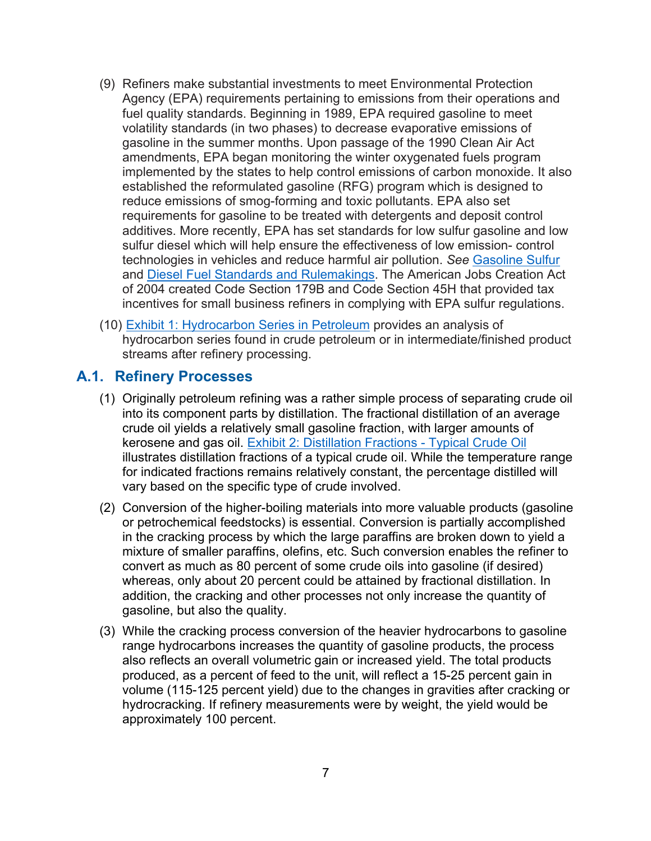- (9) Refiners make substantial investments to meet Environmental Protection Agency (EPA) requirements pertaining to emissions from their operations and fuel quality standards. Beginning in 1989, EPA required gasoline to meet volatility standards (in two phases) to decrease evaporative emissions of gasoline in the summer months. Upon passage of the 1990 Clean Air Act amendments, EPA began monitoring the winter oxygenated fuels program implemented by the states to help control emissions of carbon monoxide. It also established the reformulated gasoline (RFG) program which is designed to reduce emissions of smog-forming and toxic pollutants. EPA also set requirements for gasoline to be treated with detergents and deposit control additives. More recently, EPA has set standards for low sulfur gasoline and low sulfur diesel which will help ensure the effectiveness of low emission- control technologies in vehicles and reduce harmful air pollution. *See* [Gasoline Sulfur](https://www.epa.gov/gasoline-standards/gasoline-sulfur) and [Diesel Fuel Standards and Rulemakings.](https://www.epa.gov/diesel-fuel-standards/diesel-fuel-standards-and-rulemakings) The American Jobs Creation Act of 2004 created Code Section 179B and Code Section 45H that provided tax incentives for small business refiners in complying with EPA sulfur regulations.
- (10) [Exhibit 1: Hydrocarbon Series in Petroleum](#page-53-1) provides an analysis of hydrocarbon series found in crude petroleum or in intermediate/finished product streams after refinery processing.

#### <span id="page-6-0"></span>**A.1. Refinery Processes**

- (1) Originally petroleum refining was a rather simple process of separating crude oil into its component parts by distillation. The fractional distillation of an average crude oil yields a relatively small gasoline fraction, with larger amounts of kerosene and gas oil. [Exhibit 2: Distillation Fractions -](#page-54-0) Typical Crude Oil illustrates distillation fractions of a typical crude oil. While the temperature range for indicated fractions remains relatively constant, the percentage distilled will vary based on the specific type of crude involved.
- (2) Conversion of the higher-boiling materials into more valuable products (gasoline or petrochemical feedstocks) is essential. Conversion is partially accomplished in the cracking process by which the large paraffins are broken down to yield a mixture of smaller paraffins, olefins, etc. Such conversion enables the refiner to convert as much as 80 percent of some crude oils into gasoline (if desired) whereas, only about 20 percent could be attained by fractional distillation. In addition, the cracking and other processes not only increase the quantity of gasoline, but also the quality.
- (3) While the cracking process conversion of the heavier hydrocarbons to gasoline range hydrocarbons increases the quantity of gasoline products, the process also reflects an overall volumetric gain or increased yield. The total products produced, as a percent of feed to the unit, will reflect a 15-25 percent gain in volume (115-125 percent yield) due to the changes in gravities after cracking or hydrocracking. If refinery measurements were by weight, the yield would be approximately 100 percent.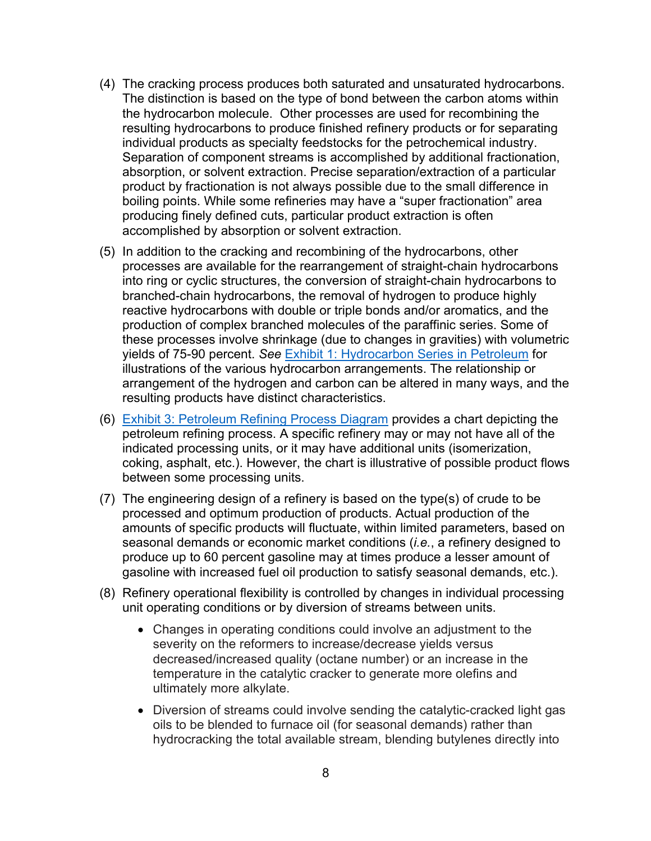- (4) The cracking process produces both saturated and unsaturated hydrocarbons. The distinction is based on the type of bond between the carbon atoms within the hydrocarbon molecule. Other processes are used for recombining the resulting hydrocarbons to produce finished refinery products or for separating individual products as specialty feedstocks for the petrochemical industry. Separation of component streams is accomplished by additional fractionation, absorption, or solvent extraction. Precise separation/extraction of a particular product by fractionation is not always possible due to the small difference in boiling points. While some refineries may have a "super fractionation" area producing finely defined cuts, particular product extraction is often accomplished by absorption or solvent extraction.
- (5) In addition to the cracking and recombining of the hydrocarbons, other processes are available for the rearrangement of straight-chain hydrocarbons into ring or cyclic structures, the conversion of straight-chain hydrocarbons to branched-chain hydrocarbons, the removal of hydrogen to produce highly reactive hydrocarbons with double or triple bonds and/or aromatics, and the production of complex branched molecules of the paraffinic series. Some of these processes involve shrinkage (due to changes in gravities) with volumetric yields of 75-90 percent. *See* [Exhibit 1: Hydrocarbon Series in Petroleum](#page-53-1) for illustrations of the various hydrocarbon arrangements. The relationship or arrangement of the hydrogen and carbon can be altered in many ways, and the resulting products have distinct characteristics.
- (6) [Exhibit 3: Petroleum Refining Process Diagram](#page-55-0) provides a chart depicting the petroleum refining process. A specific refinery may or may not have all of the indicated processing units, or it may have additional units (isomerization, coking, asphalt, etc.). However, the chart is illustrative of possible product flows between some processing units.
- (7) The engineering design of a refinery is based on the type(s) of crude to be processed and optimum production of products. Actual production of the amounts of specific products will fluctuate, within limited parameters, based on seasonal demands or economic market conditions (*i.e.*, a refinery designed to produce up to 60 percent gasoline may at times produce a lesser amount of gasoline with increased fuel oil production to satisfy seasonal demands, etc.).
- (8) Refinery operational flexibility is controlled by changes in individual processing unit operating conditions or by diversion of streams between units.
	- Changes in operating conditions could involve an adjustment to the severity on the reformers to increase/decrease yields versus decreased/increased quality (octane number) or an increase in the temperature in the catalytic cracker to generate more olefins and ultimately more alkylate.
	- Diversion of streams could involve sending the catalytic-cracked light gas oils to be blended to furnace oil (for seasonal demands) rather than hydrocracking the total available stream, blending butylenes directly into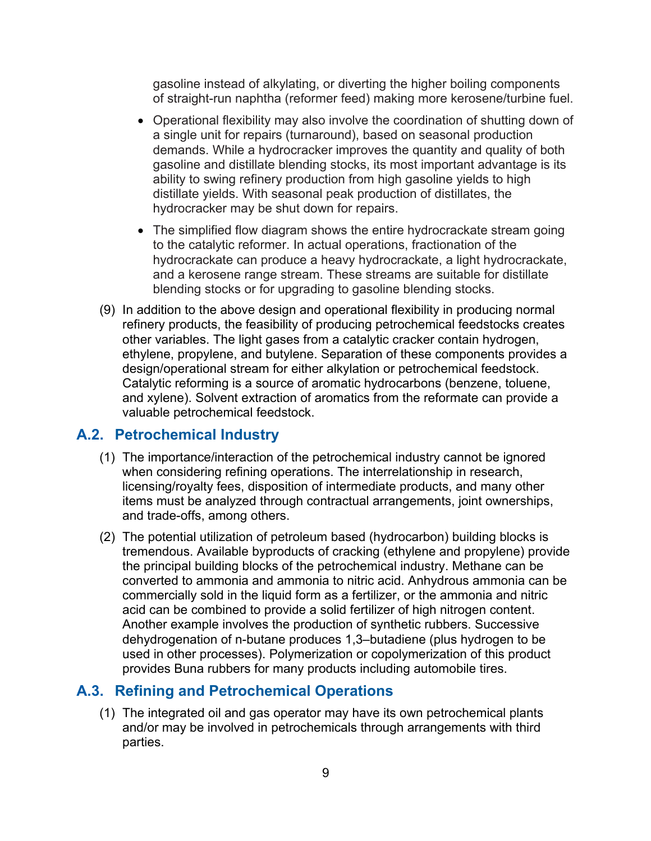gasoline instead of alkylating, or diverting the higher boiling components of straight-run naphtha (reformer feed) making more kerosene/turbine fuel.

- Operational flexibility may also involve the coordination of shutting down of a single unit for repairs (turnaround), based on seasonal production demands. While a hydrocracker improves the quantity and quality of both gasoline and distillate blending stocks, its most important advantage is its ability to swing refinery production from high gasoline yields to high distillate yields. With seasonal peak production of distillates, the hydrocracker may be shut down for repairs.
- The simplified flow diagram shows the entire hydrocrackate stream going to the catalytic reformer. In actual operations, fractionation of the hydrocrackate can produce a heavy hydrocrackate, a light hydrocrackate, and a kerosene range stream. These streams are suitable for distillate blending stocks or for upgrading to gasoline blending stocks.
- (9) In addition to the above design and operational flexibility in producing normal refinery products, the feasibility of producing petrochemical feedstocks creates other variables. The light gases from a catalytic cracker contain hydrogen, ethylene, propylene, and butylene. Separation of these components provides a design/operational stream for either alkylation or petrochemical feedstock. Catalytic reforming is a source of aromatic hydrocarbons (benzene, toluene, and xylene). Solvent extraction of aromatics from the reformate can provide a valuable petrochemical feedstock.

## <span id="page-8-0"></span>**A.2. Petrochemical Industry**

- (1) The importance/interaction of the petrochemical industry cannot be ignored when considering refining operations. The interrelationship in research, licensing/royalty fees, disposition of intermediate products, and many other items must be analyzed through contractual arrangements, joint ownerships, and trade-offs, among others.
- (2) The potential utilization of petroleum based (hydrocarbon) building blocks is tremendous. Available byproducts of cracking (ethylene and propylene) provide the principal building blocks of the petrochemical industry. Methane can be converted to ammonia and ammonia to nitric acid. Anhydrous ammonia can be commercially sold in the liquid form as a fertilizer, or the ammonia and nitric acid can be combined to provide a solid fertilizer of high nitrogen content. Another example involves the production of synthetic rubbers. Successive dehydrogenation of n-butane produces 1,3–butadiene (plus hydrogen to be used in other processes). Polymerization or copolymerization of this product provides Buna rubbers for many products including automobile tires.

## <span id="page-8-1"></span>**A.3. Refining and Petrochemical Operations**

(1) The integrated oil and gas operator may have its own petrochemical plants and/or may be involved in petrochemicals through arrangements with third parties.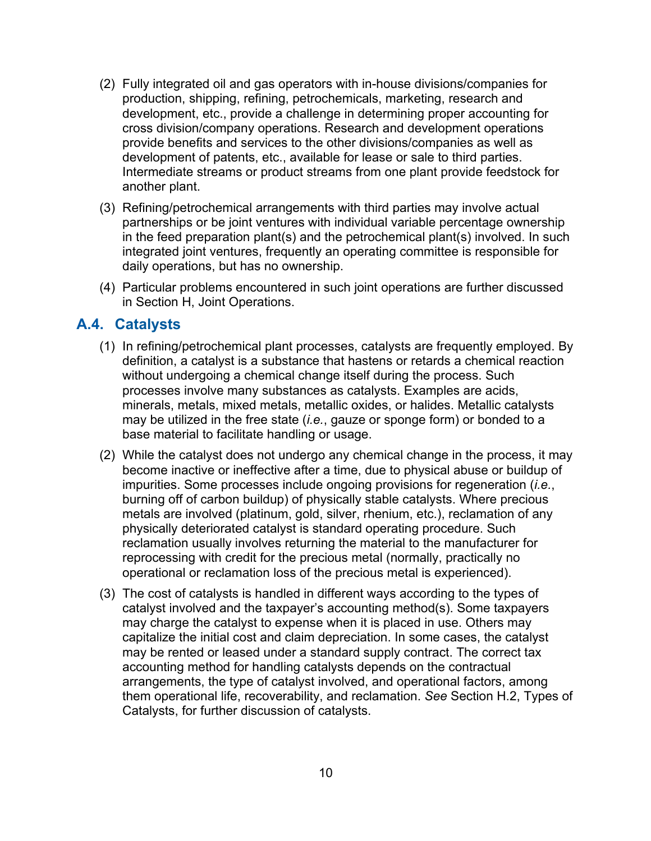- (2) Fully integrated oil and gas operators with in-house divisions/companies for production, shipping, refining, petrochemicals, marketing, research and development, etc., provide a challenge in determining proper accounting for cross division/company operations. Research and development operations provide benefits and services to the other divisions/companies as well as development of patents, etc., available for lease or sale to third parties. Intermediate streams or product streams from one plant provide feedstock for another plant.
- (3) Refining/petrochemical arrangements with third parties may involve actual partnerships or be joint ventures with individual variable percentage ownership in the feed preparation plant(s) and the petrochemical plant(s) involved. In such integrated joint ventures, frequently an operating committee is responsible for daily operations, but has no ownership.
- (4) Particular problems encountered in such joint operations are further discussed in Section H, Joint Operations.

#### <span id="page-9-0"></span>**A.4. Catalysts**

- (1) In refining/petrochemical plant processes, catalysts are frequently employed. By definition, a catalyst is a substance that hastens or retards a chemical reaction without undergoing a chemical change itself during the process. Such processes involve many substances as catalysts. Examples are acids, minerals, metals, mixed metals, metallic oxides, or halides. Metallic catalysts may be utilized in the free state (*i.e.*, gauze or sponge form) or bonded to a base material to facilitate handling or usage.
- (2) While the catalyst does not undergo any chemical change in the process, it may become inactive or ineffective after a time, due to physical abuse or buildup of impurities. Some processes include ongoing provisions for regeneration (*i.e.*, burning off of carbon buildup) of physically stable catalysts. Where precious metals are involved (platinum, gold, silver, rhenium, etc.), reclamation of any physically deteriorated catalyst is standard operating procedure. Such reclamation usually involves returning the material to the manufacturer for reprocessing with credit for the precious metal (normally, practically no operational or reclamation loss of the precious metal is experienced).
- (3) The cost of catalysts is handled in different ways according to the types of catalyst involved and the taxpayer's accounting method(s). Some taxpayers may charge the catalyst to expense when it is placed in use. Others may capitalize the initial cost and claim depreciation. In some cases, the catalyst may be rented or leased under a standard supply contract. The correct tax accounting method for handling catalysts depends on the contractual arrangements, the type of catalyst involved, and operational factors, among them operational life, recoverability, and reclamation. *See* Section H.2, Types of Catalysts, for further discussion of catalysts.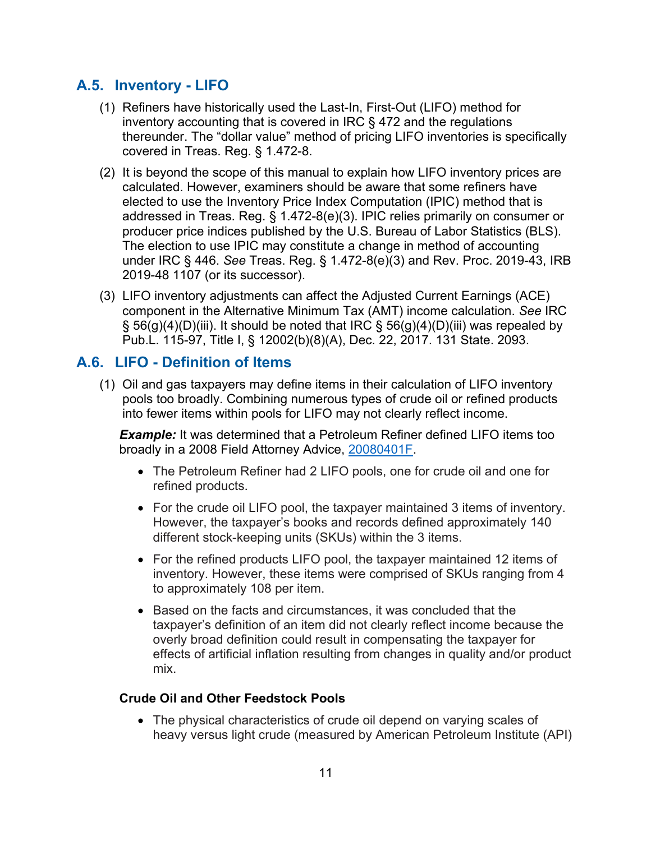## <span id="page-10-0"></span>**A.5. Inventory - LIFO**

- (1) Refiners have historically used the Last-In, First-Out (LIFO) method for inventory accounting that is covered in IRC § 472 and the regulations thereunder. The "dollar value" method of pricing LIFO inventories is specifically covered in Treas. Reg. § 1.472-8.
- (2) It is beyond the scope of this manual to explain how LIFO inventory prices are calculated. However, examiners should be aware that some refiners have elected to use the Inventory Price Index Computation (IPIC) method that is addressed in Treas. Reg. § 1.472-8(e)(3). IPIC relies primarily on consumer or producer price indices published by the U.S. Bureau of Labor Statistics (BLS). The election to use IPIC may constitute a change in method of accounting under IRC § 446. *See* Treas. Reg. § 1.472-8(e)(3) and Rev. Proc. 2019-43, IRB 2019-48 1107 (or its successor).
- (3) LIFO inventory adjustments can affect the Adjusted Current Earnings (ACE) component in the Alternative Minimum Tax (AMT) income calculation. *See* IRC  $\S$  56(g)(4)(D)(iii). It should be noted that IRC  $\S$  56(g)(4)(D)(iii) was repealed by Pub.L. 115-97, Title I, § 12002(b)(8)(A), Dec. 22, 2017. 131 State. 2093.

## <span id="page-10-1"></span>**A.6. LIFO - Definition of Items**

(1) Oil and gas taxpayers may define items in their calculation of LIFO inventory pools too broadly. Combining numerous types of crude oil or refined products into fewer items within pools for LIFO may not clearly reflect income.

*Example:* It was determined that a Petroleum Refiner defined LIFO items too broadly in a 2008 Field Attorney Advice, [20080401F.](https://www.irs.gov/pub/irs-lafa/080401f.pdf)

- The Petroleum Refiner had 2 LIFO pools, one for crude oil and one for refined products.
- For the crude oil LIFO pool, the taxpayer maintained 3 items of inventory. However, the taxpayer's books and records defined approximately 140 different stock-keeping units (SKUs) within the 3 items.
- For the refined products LIFO pool, the taxpayer maintained 12 items of inventory. However, these items were comprised of SKUs ranging from 4 to approximately 108 per item.
- Based on the facts and circumstances, it was concluded that the taxpayer's definition of an item did not clearly reflect income because the overly broad definition could result in compensating the taxpayer for effects of artificial inflation resulting from changes in quality and/or product mix.

#### **Crude Oil and Other Feedstock Pools**

• The physical characteristics of crude oil depend on varying scales of heavy versus light crude (measured by American Petroleum Institute (API)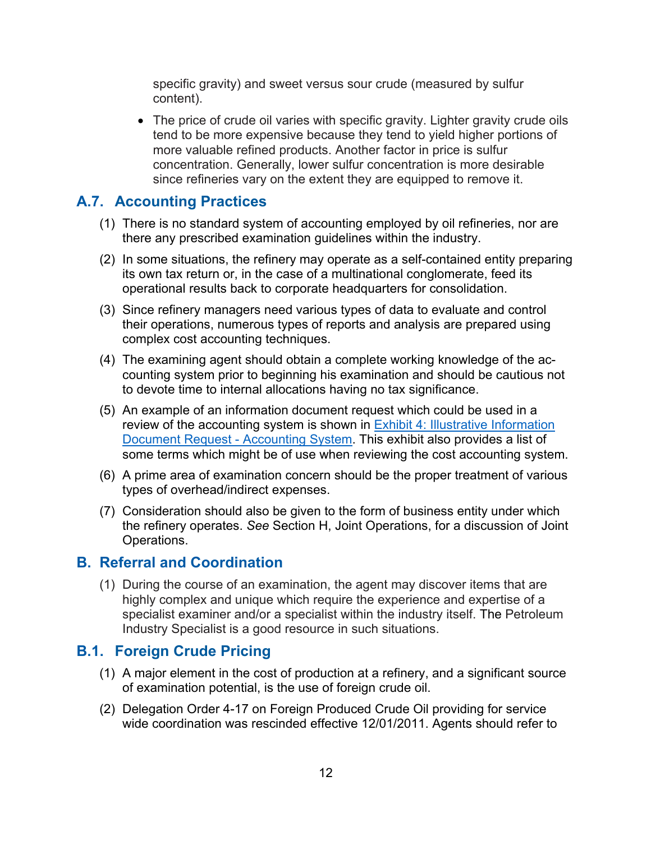specific gravity) and sweet versus sour crude (measured by sulfur content).

• The price of crude oil varies with specific gravity. Lighter gravity crude oils tend to be more expensive because they tend to yield higher portions of more valuable refined products. Another factor in price is sulfur concentration. Generally, lower sulfur concentration is more desirable since refineries vary on the extent they are equipped to remove it.

## <span id="page-11-0"></span>**A.7. Accounting Practices**

- (1) There is no standard system of accounting employed by oil refineries, nor are there any prescribed examination guidelines within the industry.
- (2) In some situations, the refinery may operate as a self-contained entity preparing its own tax return or, in the case of a multinational conglomerate, feed its operational results back to corporate headquarters for consolidation.
- (3) Since refinery managers need various types of data to evaluate and control their operations, numerous types of reports and analysis are prepared using complex cost accounting techniques.
- (4) The examining agent should obtain a complete working knowledge of the accounting system prior to beginning his examination and should be cautious not to devote time to internal allocations having no tax significance.
- (5) An example of an information document request which could be used in a review of the accounting system is shown in [Exhibit 4: Illustrative Information](#page-55-1)  [Document Request -](#page-55-1) Accounting System. This exhibit also provides a list of some terms which might be of use when reviewing the cost accounting system.
- (6) A prime area of examination concern should be the proper treatment of various types of overhead/indirect expenses.
- (7) Consideration should also be given to the form of business entity under which the refinery operates. *See* Section H, Joint Operations, for a discussion of Joint Operations.

#### <span id="page-11-1"></span>**B. Referral and Coordination**

(1) During the course of an examination, the agent may discover items that are highly complex and unique which require the experience and expertise of a specialist examiner and/or a specialist within the industry itself. The Petroleum Industry Specialist is a good resource in such situations.

## <span id="page-11-2"></span>**B.1. Foreign Crude Pricing**

- (1) A major element in the cost of production at a refinery, and a significant source of examination potential, is the use of foreign crude oil.
- (2) Delegation Order 4-17 on Foreign Produced Crude Oil providing for service wide coordination was rescinded effective 12/01/2011. Agents should refer to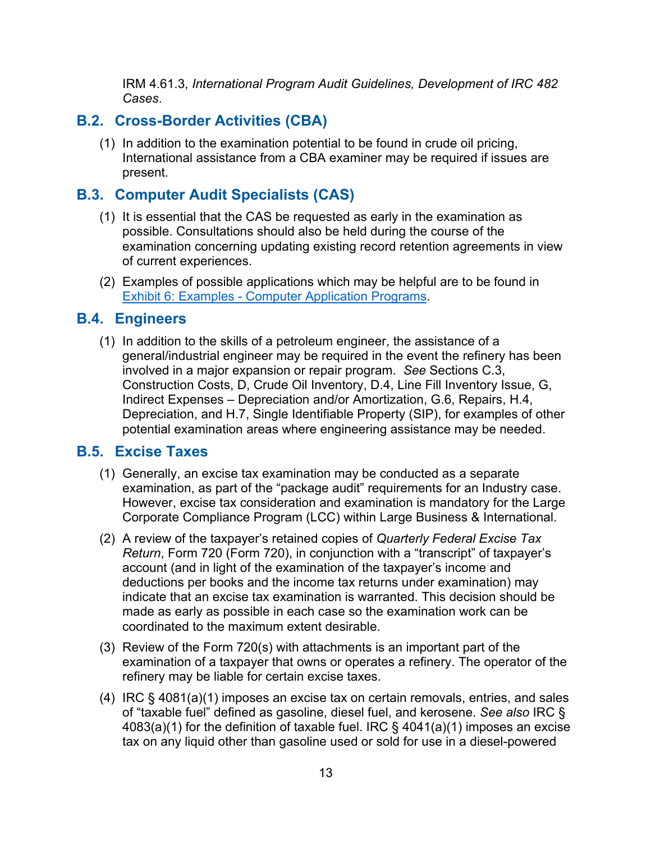IRM 4.61.3, *International Program Audit Guidelines, Development of IRC 482 Cases*.

## <span id="page-12-0"></span>**B.2. Cross-Border Activities (CBA)**

(1) In addition to the examination potential to be found in crude oil pricing, International assistance from a CBA examiner may be required if issues are present.

## <span id="page-12-1"></span>**B.3. Computer Audit Specialists (CAS)**

- (1) It is essential that the CAS be requested as early in the examination as possible. Consultations should also be held during the course of the examination concerning updating existing record retention agreements in view of current experiences.
- (2) Examples of possible applications which may be helpful are to be found in Exhibit 6: Examples - [Computer Application Programs.](#page-58-0)

## <span id="page-12-2"></span>**B.4. Engineers**

(1) In addition to the skills of a petroleum engineer, the assistance of a general/industrial engineer may be required in the event the refinery has been involved in a major expansion or repair program. *See* Sections C.3, Construction Costs, D, Crude Oil Inventory, D.4, Line Fill Inventory Issue, G, Indirect Expenses – Depreciation and/or Amortization, G.6, Repairs, H.4, Depreciation, and H.7, Single Identifiable Property (SIP), for examples of other potential examination areas where engineering assistance may be needed.

## <span id="page-12-3"></span>**B.5. Excise Taxes**

- (1) Generally, an excise tax examination may be conducted as a separate examination, as part of the "package audit" requirements for an Industry case. However, excise tax consideration and examination is mandatory for the Large Corporate Compliance Program (LCC) within Large Business & International.
- (2) A review of the taxpayer's retained copies of *Quarterly Federal Excise Tax Return*, Form 720 (Form 720), in conjunction with a "transcript" of taxpayer's account (and in light of the examination of the taxpayer's income and deductions per books and the income tax returns under examination) may indicate that an excise tax examination is warranted. This decision should be made as early as possible in each case so the examination work can be coordinated to the maximum extent desirable.
- (3) Review of the Form 720(s) with attachments is an important part of the examination of a taxpayer that owns or operates a refinery. The operator of the refinery may be liable for certain excise taxes.
- (4) IRC § 4081(a)(1) imposes an excise tax on certain removals, entries, and sales of "taxable fuel" defined as gasoline, diesel fuel, and kerosene. *See also* IRC § 4083(a)(1) for the definition of taxable fuel. IRC § 4041(a)(1) imposes an excise tax on any liquid other than gasoline used or sold for use in a diesel-powered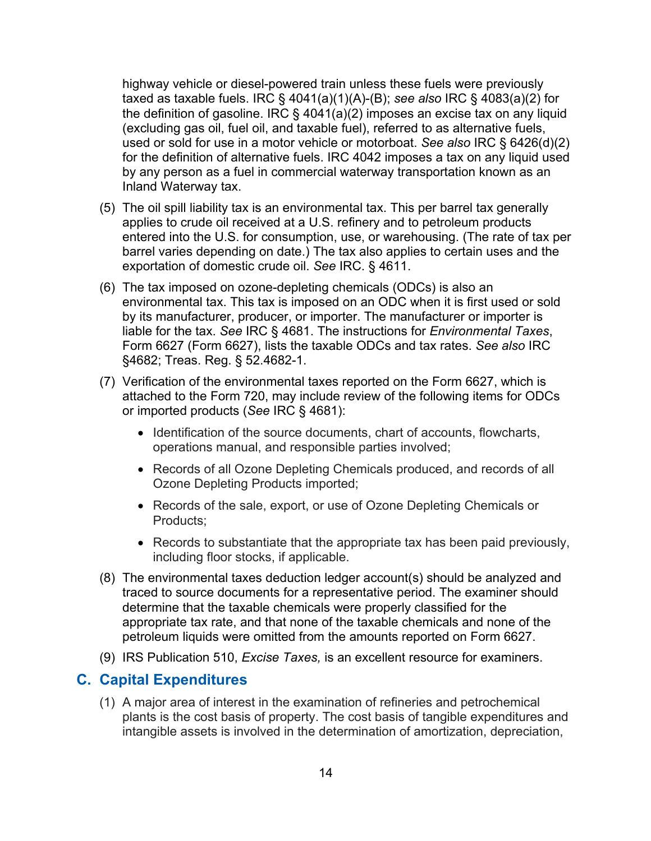highway vehicle or diesel-powered train unless these fuels were previously taxed as taxable fuels. IRC § 4041(a)(1)(A)-(B); *see also* IRC § 4083(a)(2) for the definition of gasoline. IRC  $\S$  4041(a)(2) imposes an excise tax on any liquid (excluding gas oil, fuel oil, and taxable fuel), referred to as alternative fuels, used or sold for use in a motor vehicle or motorboat. *See also* IRC § 6426(d)(2) for the definition of alternative fuels. IRC 4042 imposes a tax on any liquid used by any person as a fuel in commercial waterway transportation known as an Inland Waterway tax.

- (5) The oil spill liability tax is an environmental tax. This per barrel tax generally applies to crude oil received at a U.S. refinery and to petroleum products entered into the U.S. for consumption, use, or warehousing. (The rate of tax per barrel varies depending on date.) The tax also applies to certain uses and the exportation of domestic crude oil. *See* IRC. § 4611.
- (6) The tax imposed on ozone-depleting chemicals (ODCs) is also an environmental tax. This tax is imposed on an ODC when it is first used or sold by its manufacturer, producer, or importer. The manufacturer or importer is liable for the tax. *See* IRC § 4681. The instructions for *Environmental Taxes*, Form 6627 (Form 6627), lists the taxable ODCs and tax rates. *See also* IRC §4682; Treas. Reg. § 52.4682-1.
- (7) Verification of the environmental taxes reported on the Form 6627, which is attached to the Form 720, may include review of the following items for ODCs or imported products (*See* IRC § 4681):
	- Identification of the source documents, chart of accounts, flowcharts, operations manual, and responsible parties involved;
	- Records of all Ozone Depleting Chemicals produced, and records of all Ozone Depleting Products imported;
	- Records of the sale, export, or use of Ozone Depleting Chemicals or Products;
	- Records to substantiate that the appropriate tax has been paid previously, including floor stocks, if applicable.
- (8) The environmental taxes deduction ledger account(s) should be analyzed and traced to source documents for a representative period. The examiner should determine that the taxable chemicals were properly classified for the appropriate tax rate, and that none of the taxable chemicals and none of the petroleum liquids were omitted from the amounts reported on Form 6627.
- (9) IRS Publication 510, *Excise Taxes,* is an excellent resource for examiners.

## <span id="page-13-0"></span>**C. Capital Expenditures**

(1) A major area of interest in the examination of refineries and petrochemical plants is the cost basis of property. The cost basis of tangible expenditures and intangible assets is involved in the determination of amortization, depreciation,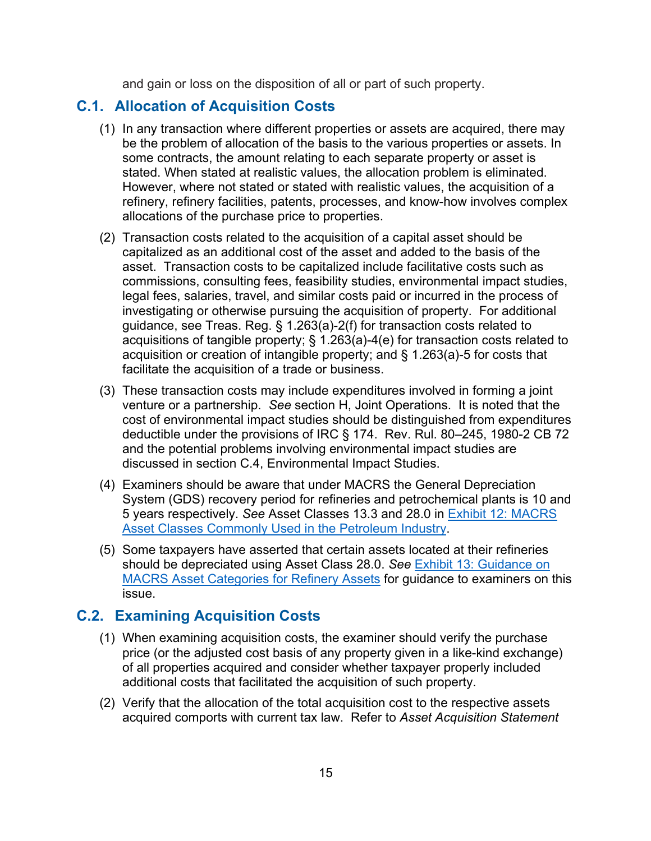and gain or loss on the disposition of all or part of such property.

## <span id="page-14-0"></span>**C.1. Allocation of Acquisition Costs**

- (1) In any transaction where different properties or assets are acquired, there may be the problem of allocation of the basis to the various properties or assets. In some contracts, the amount relating to each separate property or asset is stated. When stated at realistic values, the allocation problem is eliminated. However, where not stated or stated with realistic values, the acquisition of a refinery, refinery facilities, patents, processes, and know-how involves complex allocations of the purchase price to properties.
- (2) Transaction costs related to the acquisition of a capital asset should be capitalized as an additional cost of the asset and added to the basis of the asset. Transaction costs to be capitalized include facilitative costs such as commissions, consulting fees, feasibility studies, environmental impact studies, legal fees, salaries, travel, and similar costs paid or incurred in the process of investigating or otherwise pursuing the acquisition of property. For additional guidance, see Treas. Reg. § 1.263(a)-2(f) for transaction costs related to acquisitions of tangible property; § 1.263(a)-4(e) for transaction costs related to acquisition or creation of intangible property; and § 1.263(a)-5 for costs that facilitate the acquisition of a trade or business.
- (3) These transaction costs may include expenditures involved in forming a joint venture or a partnership. *See* section H, Joint Operations. It is noted that the cost of environmental impact studies should be distinguished from expenditures deductible under the provisions of IRC § 174. Rev. Rul. 80–245, 1980-2 CB 72 and the potential problems involving environmental impact studies are discussed in section C.4, Environmental Impact Studies.
- (4) Examiners should be aware that under MACRS the General Depreciation System (GDS) recovery period for refineries and petrochemical plants is 10 and 5 years respectively. *See* Asset Classes 13.3 and 28.0 in [Exhibit 12: MACRS](#page-64-0)  [Asset Classes Commonly Used in the Petroleum Industry.](#page-64-0)
- (5) Some taxpayers have asserted that certain assets located at their refineries should be depreciated using Asset Class 28.0. *See* [Exhibit 13: Guidance on](#page-68-0)  [MACRS Asset Categories for Refinery Assets](#page-68-0) for guidance to examiners on this issue.

## <span id="page-14-1"></span>**C.2. Examining Acquisition Costs**

- (1) When examining acquisition costs, the examiner should verify the purchase price (or the adjusted cost basis of any property given in a like-kind exchange) of all properties acquired and consider whether taxpayer properly included additional costs that facilitated the acquisition of such property.
- (2) Verify that the allocation of the total acquisition cost to the respective assets acquired comports with current tax law. Refer to *Asset Acquisition Statement*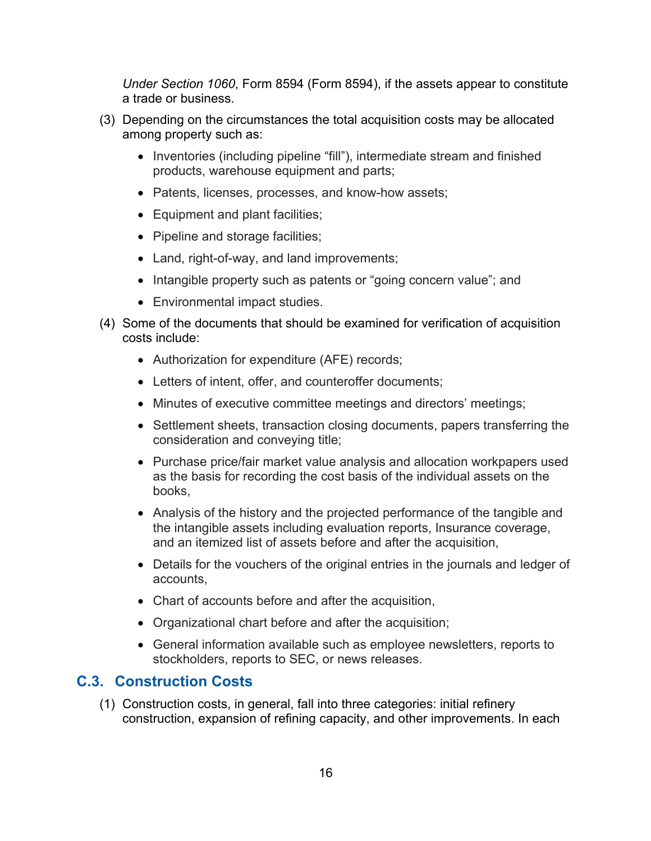*Under Section 1060*, Form 8594 (Form 8594), if the assets appear to constitute a trade or business.

- (3) Depending on the circumstances the total acquisition costs may be allocated among property such as:
	- Inventories (including pipeline "fill"), intermediate stream and finished products, warehouse equipment and parts;
	- Patents, licenses, processes, and know-how assets;
	- Equipment and plant facilities;
	- Pipeline and storage facilities;
	- Land, right-of-way, and land improvements;
	- Intangible property such as patents or "going concern value"; and
	- Environmental impact studies.
- (4) Some of the documents that should be examined for verification of acquisition costs include:
	- Authorization for expenditure (AFE) records;
	- Letters of intent, offer, and counteroffer documents;
	- Minutes of executive committee meetings and directors' meetings;
	- Settlement sheets, transaction closing documents, papers transferring the consideration and conveying title;
	- Purchase price/fair market value analysis and allocation workpapers used as the basis for recording the cost basis of the individual assets on the books,
	- Analysis of the history and the projected performance of the tangible and the intangible assets including evaluation reports, Insurance coverage, and an itemized list of assets before and after the acquisition,
	- Details for the vouchers of the original entries in the journals and ledger of accounts,
	- Chart of accounts before and after the acquisition,
	- Organizational chart before and after the acquisition;
	- General information available such as employee newsletters, reports to stockholders, reports to SEC, or news releases.

## <span id="page-15-0"></span>**C.3. Construction Costs**

(1) Construction costs, in general, fall into three categories: initial refinery construction, expansion of refining capacity, and other improvements. In each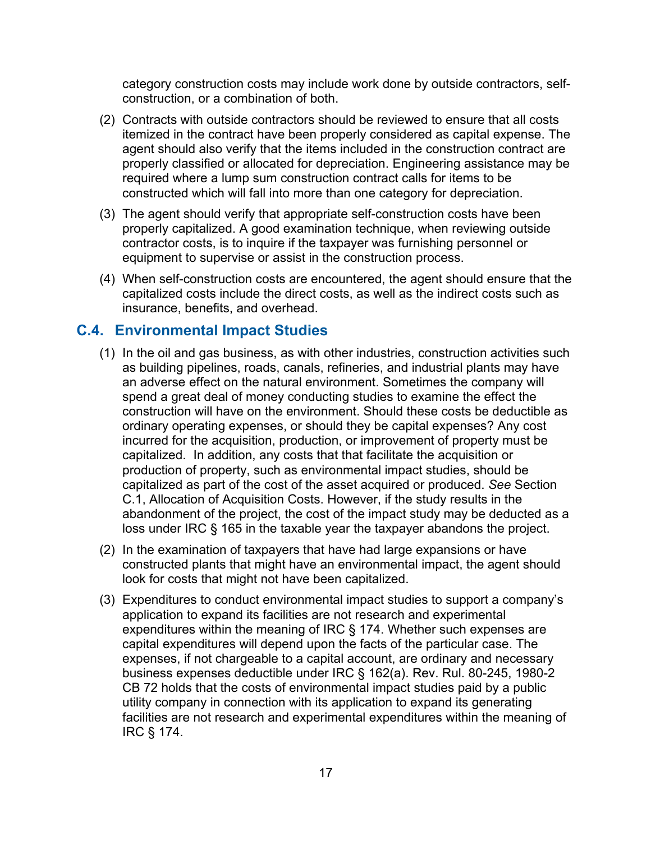category construction costs may include work done by outside contractors, selfconstruction, or a combination of both.

- (2) Contracts with outside contractors should be reviewed to ensure that all costs itemized in the contract have been properly considered as capital expense. The agent should also verify that the items included in the construction contract are properly classified or allocated for depreciation. Engineering assistance may be required where a lump sum construction contract calls for items to be constructed which will fall into more than one category for depreciation.
- (3) The agent should verify that appropriate self-construction costs have been properly capitalized. A good examination technique, when reviewing outside contractor costs, is to inquire if the taxpayer was furnishing personnel or equipment to supervise or assist in the construction process.
- (4) When self-construction costs are encountered, the agent should ensure that the capitalized costs include the direct costs, as well as the indirect costs such as insurance, benefits, and overhead.

## <span id="page-16-0"></span>**C.4. Environmental Impact Studies**

- (1) In the oil and gas business, as with other industries, construction activities such as building pipelines, roads, canals, refineries, and industrial plants may have an adverse effect on the natural environment. Sometimes the company will spend a great deal of money conducting studies to examine the effect the construction will have on the environment. Should these costs be deductible as ordinary operating expenses, or should they be capital expenses? Any cost incurred for the acquisition, production, or improvement of property must be capitalized. In addition, any costs that that facilitate the acquisition or production of property, such as environmental impact studies, should be capitalized as part of the cost of the asset acquired or produced. *See* Section C.1, Allocation of Acquisition Costs. However, if the study results in the abandonment of the project, the cost of the impact study may be deducted as a loss under IRC § 165 in the taxable year the taxpayer abandons the project.
- (2) In the examination of taxpayers that have had large expansions or have constructed plants that might have an environmental impact, the agent should look for costs that might not have been capitalized.
- (3) Expenditures to conduct environmental impact studies to support a company's application to expand its facilities are not research and experimental expenditures within the meaning of IRC § 174. Whether such expenses are capital expenditures will depend upon the facts of the particular case. The expenses, if not chargeable to a capital account, are ordinary and necessary business expenses deductible under IRC § 162(a). Rev. Rul. 80-245, 1980-2 CB 72 holds that the costs of environmental impact studies paid by a public utility company in connection with its application to expand its generating facilities are not research and experimental expenditures within the meaning of IRC § 174.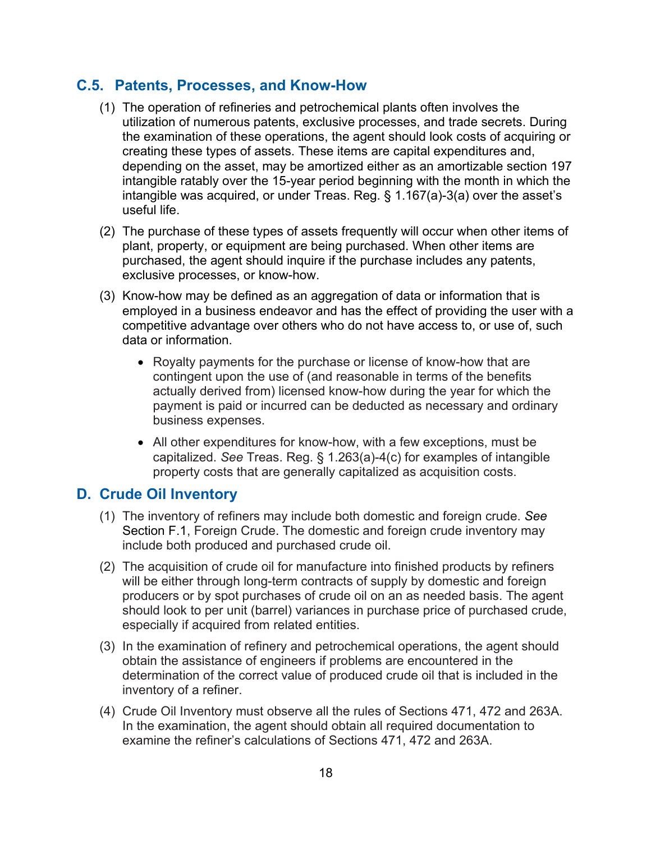## <span id="page-17-0"></span>**C.5. Patents, Processes, and Know-How**

- (1) The operation of refineries and petrochemical plants often involves the utilization of numerous patents, exclusive processes, and trade secrets. During the examination of these operations, the agent should look costs of acquiring or creating these types of assets. These items are capital expenditures and, depending on the asset, may be amortized either as an amortizable section 197 intangible ratably over the 15-year period beginning with the month in which the intangible was acquired, or under Treas. Reg. § 1.167(a)-3(a) over the asset's useful life.
- (2) The purchase of these types of assets frequently will occur when other items of plant, property, or equipment are being purchased. When other items are purchased, the agent should inquire if the purchase includes any patents, exclusive processes, or know-how.
- (3) Know-how may be defined as an aggregation of data or information that is employed in a business endeavor and has the effect of providing the user with a competitive advantage over others who do not have access to, or use of, such data or information.
	- Royalty payments for the purchase or license of know-how that are contingent upon the use of (and reasonable in terms of the benefits actually derived from) licensed know-how during the year for which the payment is paid or incurred can be deducted as necessary and ordinary business expenses.
	- All other expenditures for know-how, with a few exceptions, must be capitalized. *See* Treas. Reg. § 1.263(a)-4(c) for examples of intangible property costs that are generally capitalized as acquisition costs.

## <span id="page-17-1"></span>**D. Crude Oil Inventory**

- (1) The inventory of refiners may include both domestic and foreign crude. *See* Section F.1, Foreign Crude. The domestic and foreign crude inventory may include both produced and purchased crude oil.
- (2) The acquisition of crude oil for manufacture into finished products by refiners will be either through long-term contracts of supply by domestic and foreign producers or by spot purchases of crude oil on an as needed basis. The agent should look to per unit (barrel) variances in purchase price of purchased crude, especially if acquired from related entities.
- (3) In the examination of refinery and petrochemical operations, the agent should obtain the assistance of engineers if problems are encountered in the determination of the correct value of produced crude oil that is included in the inventory of a refiner.
- (4) Crude Oil Inventory must observe all the rules of Sections 471, 472 and 263A. In the examination, the agent should obtain all required documentation to examine the refiner's calculations of Sections 471, 472 and 263A.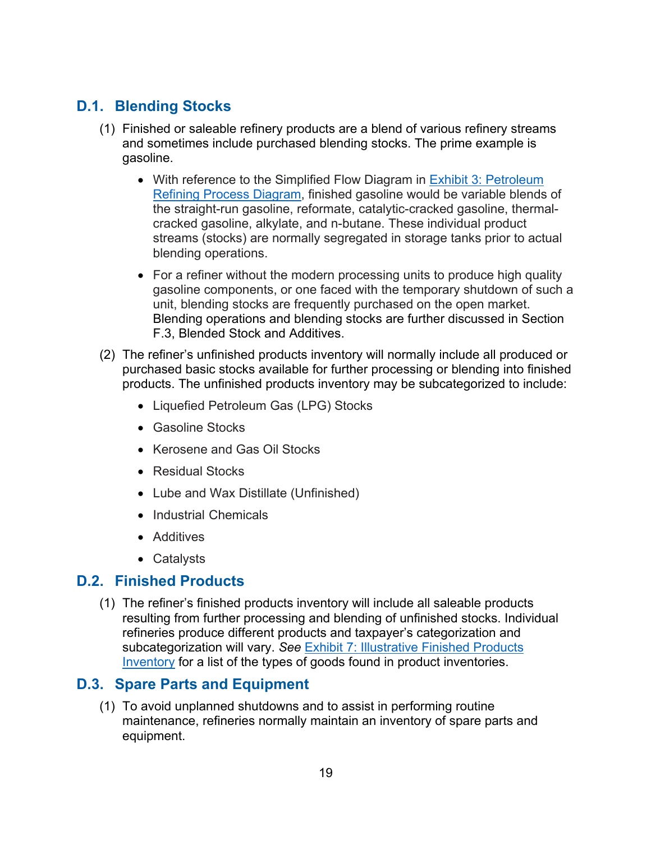## <span id="page-18-0"></span>**D.1. Blending Stocks**

- (1) Finished or saleable refinery products are a blend of various refinery streams and sometimes include purchased blending stocks. The prime example is gasoline.
	- With reference to the Simplified Flow Diagram in **Exhibit 3: Petroleum** [Refining Process Diagram,](#page-55-0) finished gasoline would be variable blends of the straight-run gasoline, reformate, catalytic-cracked gasoline, thermalcracked gasoline, alkylate, and n-butane. These individual product streams (stocks) are normally segregated in storage tanks prior to actual blending operations.
	- For a refiner without the modern processing units to produce high quality gasoline components, or one faced with the temporary shutdown of such a unit, blending stocks are frequently purchased on the open market. Blending operations and blending stocks are further discussed in Section F.3, Blended Stock and Additives.
- (2) The refiner's unfinished products inventory will normally include all produced or purchased basic stocks available for further processing or blending into finished products. The unfinished products inventory may be subcategorized to include:
	- Liquefied Petroleum Gas (LPG) Stocks
	- Gasoline Stocks
	- Kerosene and Gas Oil Stocks
	- Residual Stocks
	- Lube and Wax Distillate (Unfinished)
	- Industrial Chemicals
	- Additives
	- Catalysts

## <span id="page-18-1"></span>**D.2. Finished Products**

(1) The refiner's finished products inventory will include all saleable products resulting from further processing and blending of unfinished stocks. Individual refineries produce different products and taxpayer's categorization and subcategorization will vary. *See* [Exhibit 7: Illustrative Finished Products](#page-59-0)  [Inventory](#page-59-0) for a list of the types of goods found in product inventories.

## <span id="page-18-2"></span>**D.3. Spare Parts and Equipment**

(1) To avoid unplanned shutdowns and to assist in performing routine maintenance, refineries normally maintain an inventory of spare parts and equipment.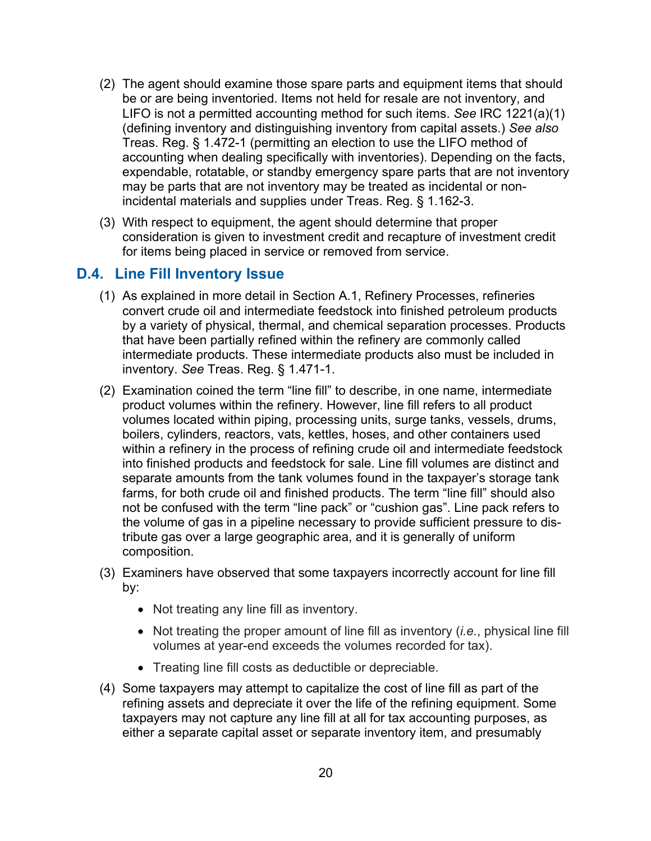- (2) The agent should examine those spare parts and equipment items that should be or are being inventoried. Items not held for resale are not inventory, and LIFO is not a permitted accounting method for such items. *See* IRC 1221(a)(1) (defining inventory and distinguishing inventory from capital assets.) *See also* Treas. Reg. § 1.472-1 (permitting an election to use the LIFO method of accounting when dealing specifically with inventories). Depending on the facts, expendable, rotatable, or standby emergency spare parts that are not inventory may be parts that are not inventory may be treated as incidental or nonincidental materials and supplies under Treas. Reg. § 1.162-3.
- (3) With respect to equipment, the agent should determine that proper consideration is given to investment credit and recapture of investment credit for items being placed in service or removed from service.

#### <span id="page-19-0"></span>**D.4. Line Fill Inventory Issue**

- (1) As explained in more detail in Section A.1, Refinery Processes, refineries convert crude oil and intermediate feedstock into finished petroleum products by a variety of physical, thermal, and chemical separation processes. Products that have been partially refined within the refinery are commonly called intermediate products. These intermediate products also must be included in inventory. *See* Treas. Reg. § 1.471-1.
- (2) Examination coined the term "line fill" to describe, in one name, intermediate product volumes within the refinery. However, line fill refers to all product volumes located within piping, processing units, surge tanks, vessels, drums, boilers, cylinders, reactors, vats, kettles, hoses, and other containers used within a refinery in the process of refining crude oil and intermediate feedstock into finished products and feedstock for sale. Line fill volumes are distinct and separate amounts from the tank volumes found in the taxpayer's storage tank farms, for both crude oil and finished products. The term "line fill" should also not be confused with the term "line pack" or "cushion gas". Line pack refers to the volume of gas in a pipeline necessary to provide sufficient pressure to distribute gas over a large geographic area, and it is generally of uniform composition.
- (3) Examiners have observed that some taxpayers incorrectly account for line fill by:
	- Not treating any line fill as inventory.
	- Not treating the proper amount of line fill as inventory (*i.e.*, physical line fill volumes at year-end exceeds the volumes recorded for tax).
	- Treating line fill costs as deductible or depreciable.
- (4) Some taxpayers may attempt to capitalize the cost of line fill as part of the refining assets and depreciate it over the life of the refining equipment. Some taxpayers may not capture any line fill at all for tax accounting purposes, as either a separate capital asset or separate inventory item, and presumably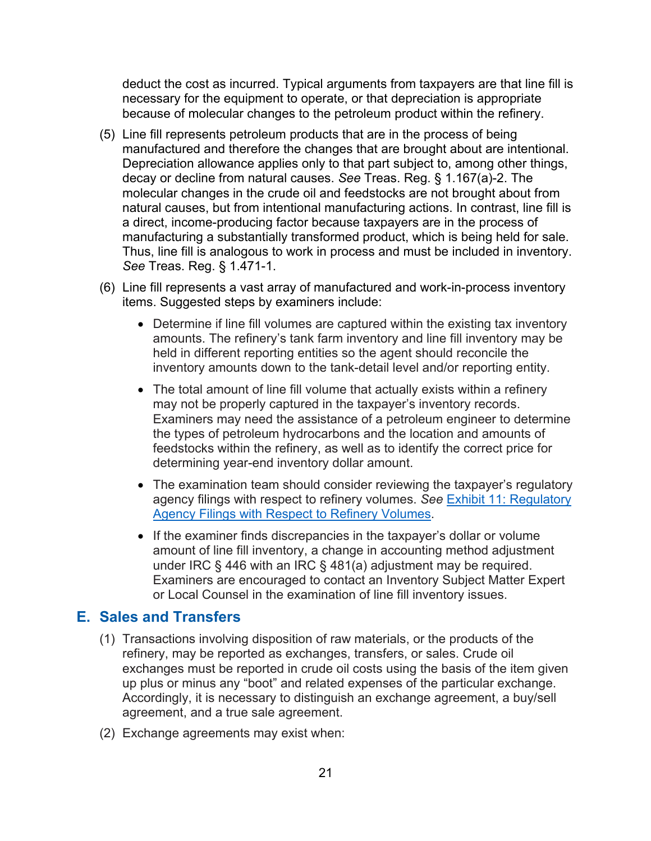deduct the cost as incurred. Typical arguments from taxpayers are that line fill is necessary for the equipment to operate, or that depreciation is appropriate because of molecular changes to the petroleum product within the refinery.

- (5) Line fill represents petroleum products that are in the process of being manufactured and therefore the changes that are brought about are intentional. Depreciation allowance applies only to that part subject to, among other things, decay or decline from natural causes. *See* Treas. Reg. § 1.167(a)-2. The molecular changes in the crude oil and feedstocks are not brought about from natural causes, but from intentional manufacturing actions. In contrast, line fill is a direct, income-producing factor because taxpayers are in the process of manufacturing a substantially transformed product, which is being held for sale. Thus, line fill is analogous to work in process and must be included in inventory. *See* Treas. Reg. § 1.471-1.
- (6) Line fill represents a vast array of manufactured and work-in-process inventory items. Suggested steps by examiners include:
	- Determine if line fill volumes are captured within the existing tax inventory amounts. The refinery's tank farm inventory and line fill inventory may be held in different reporting entities so the agent should reconcile the inventory amounts down to the tank-detail level and/or reporting entity.
	- The total amount of line fill volume that actually exists within a refinery may not be properly captured in the taxpayer's inventory records. Examiners may need the assistance of a petroleum engineer to determine the types of petroleum hydrocarbons and the location and amounts of feedstocks within the refinery, as well as to identify the correct price for determining year-end inventory dollar amount.
	- The examination team should consider reviewing the taxpayer's regulatory agency filings with respect to refinery volumes. *See* [Exhibit 11: Regulatory](#page-62-0)  [Agency Filings with Respect to Refinery Volumes.](#page-62-0)
	- If the examiner finds discrepancies in the taxpayer's dollar or volume amount of line fill inventory, a change in accounting method adjustment under IRC § 446 with an IRC § 481(a) adjustment may be required. Examiners are encouraged to contact an Inventory Subject Matter Expert or Local Counsel in the examination of line fill inventory issues.

## <span id="page-20-0"></span>**E. Sales and Transfers**

- (1) Transactions involving disposition of raw materials, or the products of the refinery, may be reported as exchanges, transfers, or sales. Crude oil exchanges must be reported in crude oil costs using the basis of the item given up plus or minus any "boot" and related expenses of the particular exchange. Accordingly, it is necessary to distinguish an exchange agreement, a buy/sell agreement, and a true sale agreement.
- (2) Exchange agreements may exist when: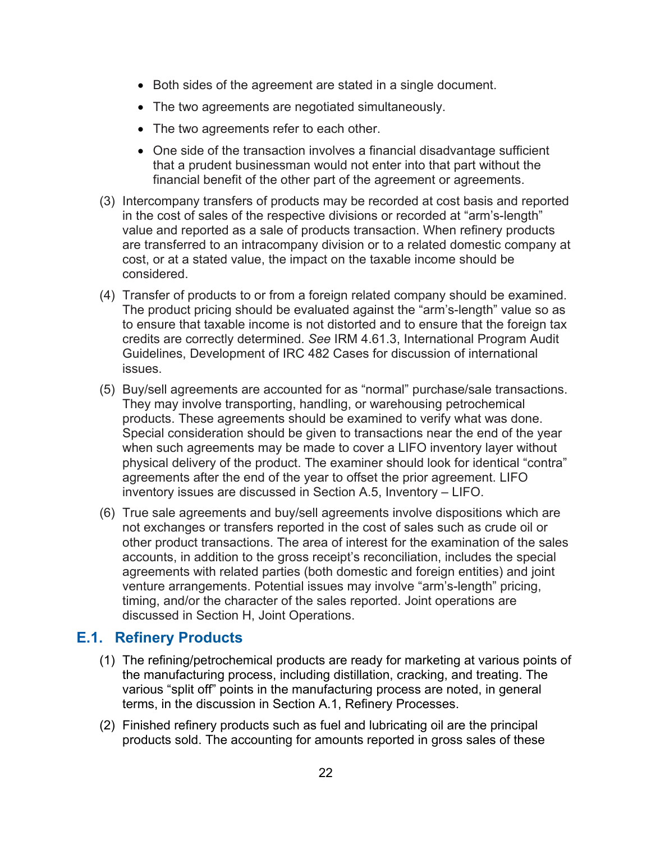- Both sides of the agreement are stated in a single document.
- The two agreements are negotiated simultaneously.
- The two agreements refer to each other.
- One side of the transaction involves a financial disadvantage sufficient that a prudent businessman would not enter into that part without the financial benefit of the other part of the agreement or agreements.
- (3) Intercompany transfers of products may be recorded at cost basis and reported in the cost of sales of the respective divisions or recorded at "arm's-length" value and reported as a sale of products transaction. When refinery products are transferred to an intracompany division or to a related domestic company at cost, or at a stated value, the impact on the taxable income should be considered.
- (4) Transfer of products to or from a foreign related company should be examined. The product pricing should be evaluated against the "arm's-length" value so as to ensure that taxable income is not distorted and to ensure that the foreign tax credits are correctly determined. *See* IRM 4.61.3, International Program Audit Guidelines, Development of IRC 482 Cases for discussion of international issues.
- (5) Buy/sell agreements are accounted for as "normal" purchase/sale transactions. They may involve transporting, handling, or warehousing petrochemical products. These agreements should be examined to verify what was done. Special consideration should be given to transactions near the end of the year when such agreements may be made to cover a LIFO inventory layer without physical delivery of the product. The examiner should look for identical "contra" agreements after the end of the year to offset the prior agreement. LIFO inventory issues are discussed in Section A.5, Inventory – LIFO.
- (6) True sale agreements and buy/sell agreements involve dispositions which are not exchanges or transfers reported in the cost of sales such as crude oil or other product transactions. The area of interest for the examination of the sales accounts, in addition to the gross receipt's reconciliation, includes the special agreements with related parties (both domestic and foreign entities) and joint venture arrangements. Potential issues may involve "arm's-length" pricing, timing, and/or the character of the sales reported. Joint operations are discussed in Section H, Joint Operations.

## <span id="page-21-0"></span>**E.1. Refinery Products**

- (1) The refining/petrochemical products are ready for marketing at various points of the manufacturing process, including distillation, cracking, and treating. The various "split off" points in the manufacturing process are noted, in general terms, in the discussion in Section A.1, Refinery Processes.
- (2) Finished refinery products such as fuel and lubricating oil are the principal products sold. The accounting for amounts reported in gross sales of these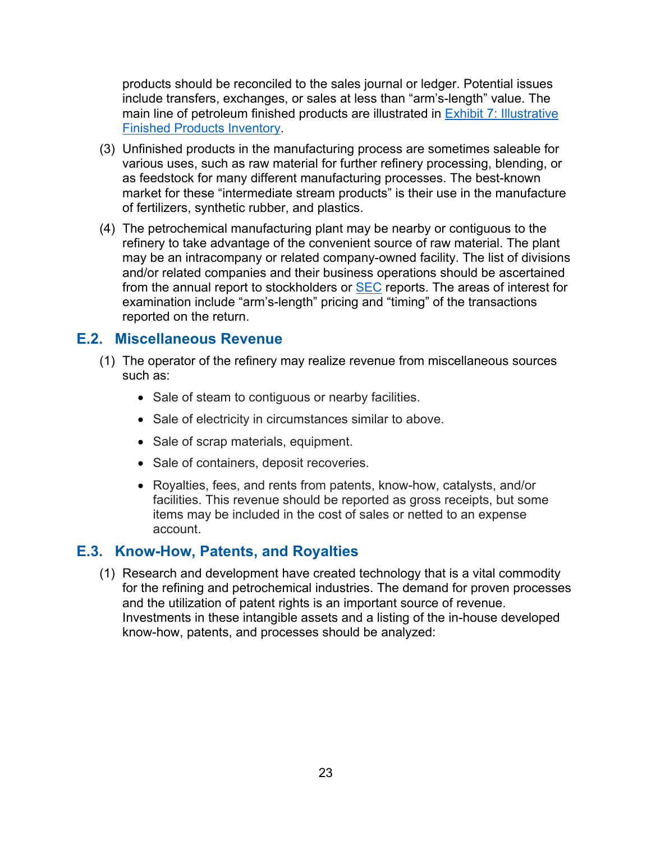products should be reconciled to the sales journal or ledger. Potential issues include transfers, exchanges, or sales at less than "arm's-length" value. The main line of petroleum finished products are illustrated in [Exhibit 7: Illustrative](#page-59-0)  [Finished Products Inventory.](#page-59-0)

- (3) Unfinished products in the manufacturing process are sometimes saleable for various uses, such as raw material for further refinery processing, blending, or as feedstock for many different manufacturing processes. The best-known market for these "intermediate stream products" is their use in the manufacture of fertilizers, synthetic rubber, and plastics.
- (4) The petrochemical manufacturing plant may be nearby or contiguous to the refinery to take advantage of the convenient source of raw material. The plant may be an intracompany or related company-owned facility. The list of divisions and/or related companies and their business operations should be ascertained from the annual report to stockholders or [SEC](https://www.sec.gov/) reports. The areas of interest for examination include "arm's-length" pricing and "timing" of the transactions reported on the return.

## <span id="page-22-0"></span>**E.2. Miscellaneous Revenue**

- (1) The operator of the refinery may realize revenue from miscellaneous sources such as:
	- Sale of steam to contiguous or nearby facilities.
	- Sale of electricity in circumstances similar to above.
	- Sale of scrap materials, equipment.
	- Sale of containers, deposit recoveries.
	- Royalties, fees, and rents from patents, know-how, catalysts, and/or facilities. This revenue should be reported as gross receipts, but some items may be included in the cost of sales or netted to an expense account.

#### <span id="page-22-1"></span>**E.3. Know-How, Patents, and Royalties**

(1) Research and development have created technology that is a vital commodity for the refining and petrochemical industries. The demand for proven processes and the utilization of patent rights is an important source of revenue. Investments in these intangible assets and a listing of the in-house developed know-how, patents, and processes should be analyzed: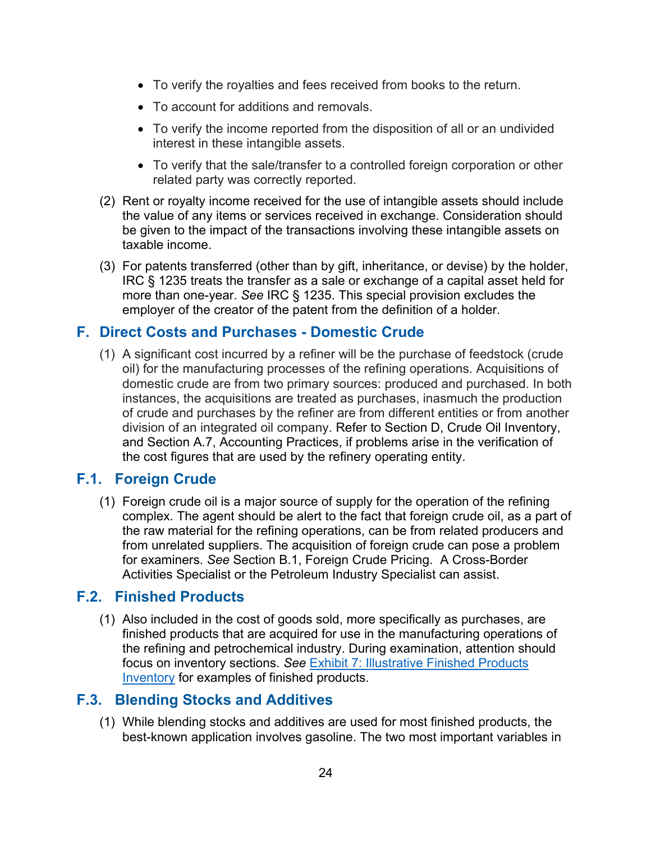- To verify the royalties and fees received from books to the return.
- To account for additions and removals.
- To verify the income reported from the disposition of all or an undivided interest in these intangible assets.
- To verify that the sale/transfer to a controlled foreign corporation or other related party was correctly reported.
- (2) Rent or royalty income received for the use of intangible assets should include the value of any items or services received in exchange. Consideration should be given to the impact of the transactions involving these intangible assets on taxable income.
- (3) For patents transferred (other than by gift, inheritance, or devise) by the holder, IRC § 1235 treats the transfer as a sale or exchange of a capital asset held for more than one-year. *See* IRC § 1235. This special provision excludes the employer of the creator of the patent from the definition of a holder.

## <span id="page-23-0"></span>**F. Direct Costs and Purchases - Domestic Crude**

(1) A significant cost incurred by a refiner will be the purchase of feedstock (crude oil) for the manufacturing processes of the refining operations. Acquisitions of domestic crude are from two primary sources: produced and purchased. In both instances, the acquisitions are treated as purchases, inasmuch the production of crude and purchases by the refiner are from different entities or from another division of an integrated oil company. Refer to Section D, Crude Oil Inventory, and Section A.7, Accounting Practices, if problems arise in the verification of the cost figures that are used by the refinery operating entity.

## <span id="page-23-1"></span>**F.1. Foreign Crude**

(1) Foreign crude oil is a major source of supply for the operation of the refining complex. The agent should be alert to the fact that foreign crude oil, as a part of the raw material for the refining operations, can be from related producers and from unrelated suppliers. The acquisition of foreign crude can pose a problem for examiners. *See* Section B.1, Foreign Crude Pricing. A Cross-Border Activities Specialist or the Petroleum Industry Specialist can assist.

## <span id="page-23-2"></span>**F.2. Finished Products**

(1) Also included in the cost of goods sold, more specifically as purchases, are finished products that are acquired for use in the manufacturing operations of the refining and petrochemical industry. During examination, attention should focus on inventory sections. *See* [Exhibit 7: Illustrative Finished Products](#page-59-0)  [Inventory](#page-59-0) for examples of finished products.

## <span id="page-23-3"></span>**F.3. Blending Stocks and Additives**

(1) While blending stocks and additives are used for most finished products, the best-known application involves gasoline. The two most important variables in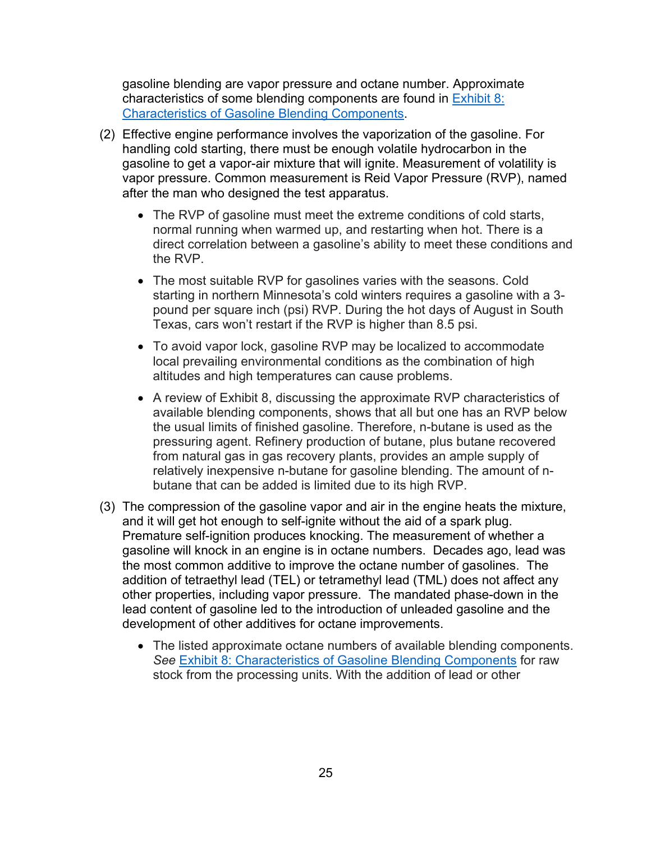gasoline blending are vapor pressure and octane number. Approximate characteristics of some blending components are found in [Exhibit 8:](#page-59-1)  [Characteristics of Gasoline Blending Components.](#page-59-1)

- (2) Effective engine performance involves the vaporization of the gasoline. For handling cold starting, there must be enough volatile hydrocarbon in the gasoline to get a vapor-air mixture that will ignite. Measurement of volatility is vapor pressure. Common measurement is Reid Vapor Pressure (RVP), named after the man who designed the test apparatus.
	- The RVP of gasoline must meet the extreme conditions of cold starts, normal running when warmed up, and restarting when hot. There is a direct correlation between a gasoline's ability to meet these conditions and the RVP.
	- The most suitable RVP for gasolines varies with the seasons. Cold starting in northern Minnesota's cold winters requires a gasoline with a 3 pound per square inch (psi) RVP. During the hot days of August in South Texas, cars won't restart if the RVP is higher than 8.5 psi.
	- To avoid vapor lock, gasoline RVP may be localized to accommodate local prevailing environmental conditions as the combination of high altitudes and high temperatures can cause problems.
	- A review of Exhibit 8, discussing the approximate RVP characteristics of available blending components, shows that all but one has an RVP below the usual limits of finished gasoline. Therefore, n-butane is used as the pressuring agent. Refinery production of butane, plus butane recovered from natural gas in gas recovery plants, provides an ample supply of relatively inexpensive n-butane for gasoline blending. The amount of nbutane that can be added is limited due to its high RVP.
- (3) The compression of the gasoline vapor and air in the engine heats the mixture, and it will get hot enough to self-ignite without the aid of a spark plug. Premature self-ignition produces knocking. The measurement of whether a gasoline will knock in an engine is in octane numbers. Decades ago, lead was the most common additive to improve the octane number of gasolines. The addition of tetraethyl lead (TEL) or tetramethyl lead (TML) does not affect any other properties, including vapor pressure. The mandated phase-down in the lead content of gasoline led to the introduction of unleaded gasoline and the development of other additives for octane improvements.
	- The listed approximate octane numbers of available blending components. *See* [Exhibit 8: Characteristics of Gasoline Blending Components](#page-59-1) for raw stock from the processing units. With the addition of lead or other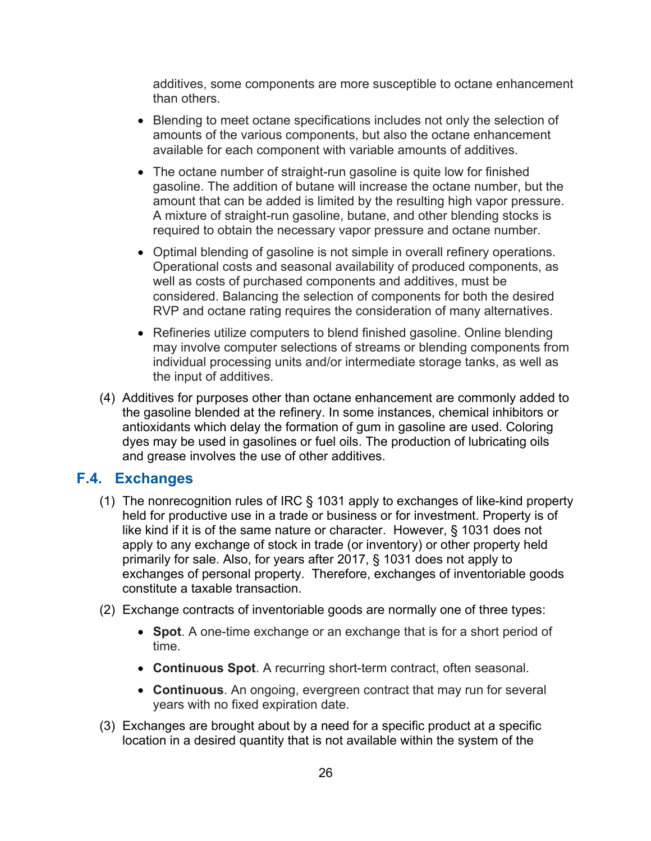additives, some components are more susceptible to octane enhancement than others.

- Blending to meet octane specifications includes not only the selection of amounts of the various components, but also the octane enhancement available for each component with variable amounts of additives.
- The octane number of straight-run gasoline is quite low for finished gasoline. The addition of butane will increase the octane number, but the amount that can be added is limited by the resulting high vapor pressure. A mixture of straight-run gasoline, butane, and other blending stocks is required to obtain the necessary vapor pressure and octane number.
- Optimal blending of gasoline is not simple in overall refinery operations. Operational costs and seasonal availability of produced components, as well as costs of purchased components and additives, must be considered. Balancing the selection of components for both the desired RVP and octane rating requires the consideration of many alternatives.
- Refineries utilize computers to blend finished gasoline. Online blending may involve computer selections of streams or blending components from individual processing units and/or intermediate storage tanks, as well as the input of additives.
- (4) Additives for purposes other than octane enhancement are commonly added to the gasoline blended at the refinery. In some instances, chemical inhibitors or antioxidants which delay the formation of gum in gasoline are used. Coloring dyes may be used in gasolines or fuel oils. The production of lubricating oils and grease involves the use of other additives.

## <span id="page-25-0"></span>**F.4. Exchanges**

- (1) The nonrecognition rules of IRC § 1031 apply to exchanges of like-kind property held for productive use in a trade or business or for investment. Property is of like kind if it is of the same nature or character. However, § 1031 does not apply to any exchange of stock in trade (or inventory) or other property held primarily for sale. Also, for years after 2017, § 1031 does not apply to exchanges of personal property. Therefore, exchanges of inventoriable goods constitute a taxable transaction.
- (2) Exchange contracts of inventoriable goods are normally one of three types:
	- **Spot**. A one-time exchange or an exchange that is for a short period of time.
	- **Continuous Spot**. A recurring short-term contract, often seasonal.
	- **Continuous**. An ongoing, evergreen contract that may run for several years with no fixed expiration date.
- (3) Exchanges are brought about by a need for a specific product at a specific location in a desired quantity that is not available within the system of the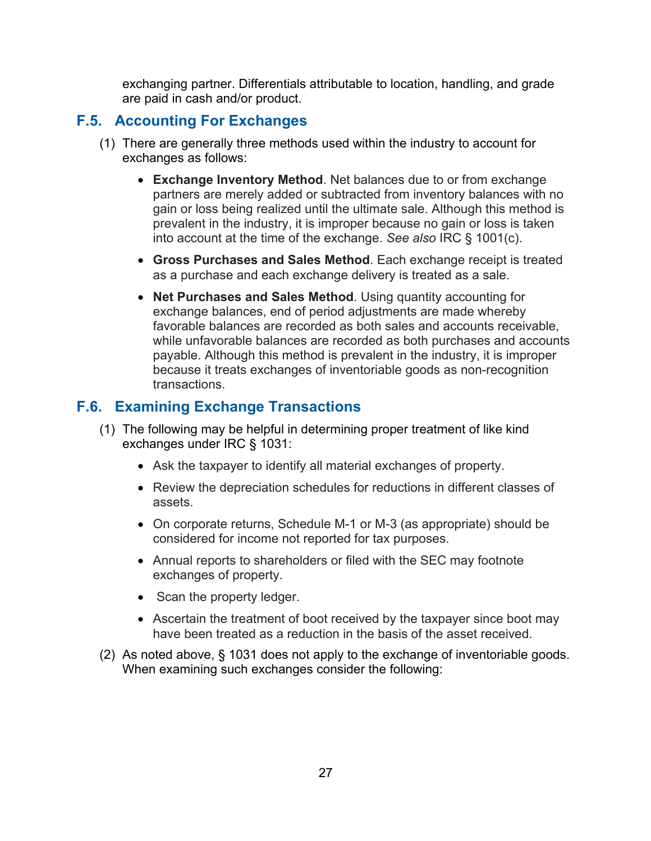exchanging partner. Differentials attributable to location, handling, and grade are paid in cash and/or product.

## <span id="page-26-0"></span>**F.5. Accounting For Exchanges**

- (1) There are generally three methods used within the industry to account for exchanges as follows:
	- **Exchange Inventory Method**. Net balances due to or from exchange partners are merely added or subtracted from inventory balances with no gain or loss being realized until the ultimate sale. Although this method is prevalent in the industry, it is improper because no gain or loss is taken into account at the time of the exchange. *See also* IRC § 1001(c).
	- **Gross Purchases and Sales Method**. Each exchange receipt is treated as a purchase and each exchange delivery is treated as a sale.
	- **Net Purchases and Sales Method**. Using quantity accounting for exchange balances, end of period adjustments are made whereby favorable balances are recorded as both sales and accounts receivable, while unfavorable balances are recorded as both purchases and accounts payable. Although this method is prevalent in the industry, it is improper because it treats exchanges of inventoriable goods as non-recognition transactions.

## <span id="page-26-1"></span>**F.6. Examining Exchange Transactions**

- (1) The following may be helpful in determining proper treatment of like kind exchanges under IRC § 1031:
	- Ask the taxpayer to identify all material exchanges of property.
	- Review the depreciation schedules for reductions in different classes of assets.
	- On corporate returns, Schedule M-1 or M-3 (as appropriate) should be considered for income not reported for tax purposes.
	- Annual reports to shareholders or filed with the SEC may footnote exchanges of property.
	- Scan the property ledger.
	- Ascertain the treatment of boot received by the taxpayer since boot may have been treated as a reduction in the basis of the asset received.
- (2) As noted above, § 1031 does not apply to the exchange of inventoriable goods. When examining such exchanges consider the following: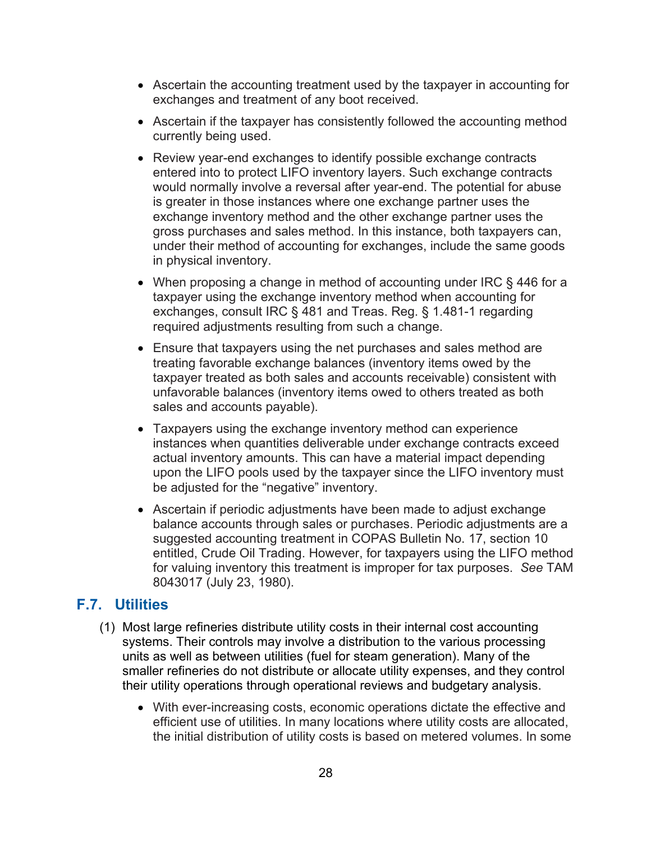- Ascertain the accounting treatment used by the taxpayer in accounting for exchanges and treatment of any boot received.
- Ascertain if the taxpayer has consistently followed the accounting method currently being used.
- Review year-end exchanges to identify possible exchange contracts entered into to protect LIFO inventory layers. Such exchange contracts would normally involve a reversal after year-end. The potential for abuse is greater in those instances where one exchange partner uses the exchange inventory method and the other exchange partner uses the gross purchases and sales method. In this instance, both taxpayers can, under their method of accounting for exchanges, include the same goods in physical inventory.
- When proposing a change in method of accounting under IRC § 446 for a taxpayer using the exchange inventory method when accounting for exchanges, consult IRC § 481 and Treas. Reg. § 1.481-1 regarding required adjustments resulting from such a change.
- Ensure that taxpayers using the net purchases and sales method are treating favorable exchange balances (inventory items owed by the taxpayer treated as both sales and accounts receivable) consistent with unfavorable balances (inventory items owed to others treated as both sales and accounts payable).
- Taxpayers using the exchange inventory method can experience instances when quantities deliverable under exchange contracts exceed actual inventory amounts. This can have a material impact depending upon the LIFO pools used by the taxpayer since the LIFO inventory must be adjusted for the "negative" inventory.
- Ascertain if periodic adjustments have been made to adjust exchange balance accounts through sales or purchases. Periodic adjustments are a suggested accounting treatment in COPAS Bulletin No. 17, section 10 entitled, Crude Oil Trading. However, for taxpayers using the LIFO method for valuing inventory this treatment is improper for tax purposes. *See* TAM 8043017 (July 23, 1980).

## <span id="page-27-0"></span>**F.7. Utilities**

- (1) Most large refineries distribute utility costs in their internal cost accounting systems. Their controls may involve a distribution to the various processing units as well as between utilities (fuel for steam generation). Many of the smaller refineries do not distribute or allocate utility expenses, and they control their utility operations through operational reviews and budgetary analysis.
	- With ever-increasing costs, economic operations dictate the effective and efficient use of utilities. In many locations where utility costs are allocated, the initial distribution of utility costs is based on metered volumes. In some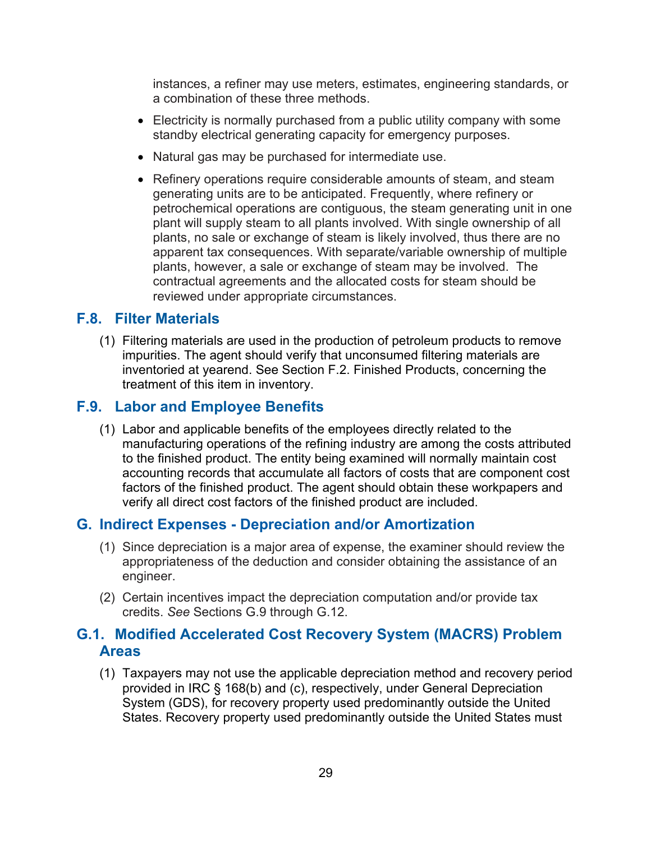instances, a refiner may use meters, estimates, engineering standards, or a combination of these three methods.

- Electricity is normally purchased from a public utility company with some standby electrical generating capacity for emergency purposes.
- Natural gas may be purchased for intermediate use.
- Refinery operations require considerable amounts of steam, and steam generating units are to be anticipated. Frequently, where refinery or petrochemical operations are contiguous, the steam generating unit in one plant will supply steam to all plants involved. With single ownership of all plants, no sale or exchange of steam is likely involved, thus there are no apparent tax consequences. With separate/variable ownership of multiple plants, however, a sale or exchange of steam may be involved. The contractual agreements and the allocated costs for steam should be reviewed under appropriate circumstances.

#### <span id="page-28-0"></span>**F.8. Filter Materials**

(1) Filtering materials are used in the production of petroleum products to remove impurities. The agent should verify that unconsumed filtering materials are inventoried at yearend. See Section F.2. Finished Products, concerning the treatment of this item in inventory.

## <span id="page-28-1"></span>**F.9. Labor and Employee Benefits**

(1) Labor and applicable benefits of the employees directly related to the manufacturing operations of the refining industry are among the costs attributed to the finished product. The entity being examined will normally maintain cost accounting records that accumulate all factors of costs that are component cost factors of the finished product. The agent should obtain these workpapers and verify all direct cost factors of the finished product are included.

#### <span id="page-28-2"></span>**G. Indirect Expenses - Depreciation and/or Amortization**

- (1) Since depreciation is a major area of expense, the examiner should review the appropriateness of the deduction and consider obtaining the assistance of an engineer.
- (2) Certain incentives impact the depreciation computation and/or provide tax credits. *See* Sections G.9 through G.12.

## <span id="page-28-3"></span>**G.1. Modified Accelerated Cost Recovery System (MACRS) Problem Areas**

(1) Taxpayers may not use the applicable depreciation method and recovery period provided in IRC § 168(b) and (c), respectively, under General Depreciation System (GDS), for recovery property used predominantly outside the United States. Recovery property used predominantly outside the United States must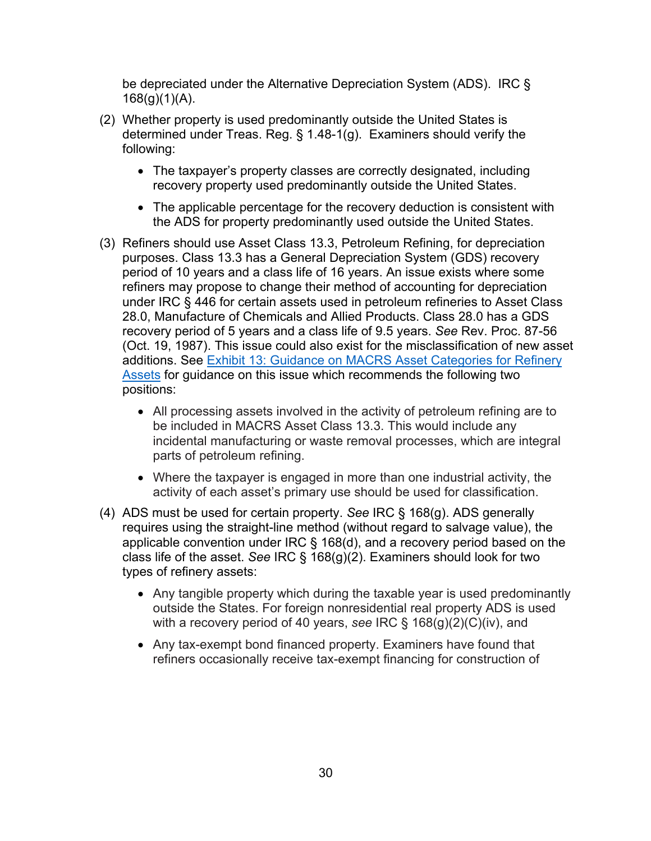be depreciated under the Alternative Depreciation System (ADS). IRC §  $168(g)(1)(A)$ .

- (2) Whether property is used predominantly outside the United States is determined under Treas. Reg. § 1.48-1(g). Examiners should verify the following:
	- The taxpayer's property classes are correctly designated, including recovery property used predominantly outside the United States.
	- The applicable percentage for the recovery deduction is consistent with the ADS for property predominantly used outside the United States.
- (3) Refiners should use Asset Class 13.3, Petroleum Refining, for depreciation purposes. Class 13.3 has a General Depreciation System (GDS) recovery period of 10 years and a class life of 16 years. An issue exists where some refiners may propose to change their method of accounting for depreciation under IRC § 446 for certain assets used in petroleum refineries to Asset Class 28.0, Manufacture of Chemicals and Allied Products. Class 28.0 has a GDS recovery period of 5 years and a class life of 9.5 years. *See* Rev. Proc. 87-56 (Oct. 19, 1987). This issue could also exist for the misclassification of new asset additions. See [Exhibit 13: Guidance on MACRS Asset Categories for Refinery](#page-68-0)  [Assets](#page-68-0) for guidance on this issue which recommends the following two positions:
	- All processing assets involved in the activity of petroleum refining are to be included in MACRS Asset Class 13.3. This would include any incidental manufacturing or waste removal processes, which are integral parts of petroleum refining.
	- Where the taxpayer is engaged in more than one industrial activity, the activity of each asset's primary use should be used for classification.
- (4) ADS must be used for certain property. *See* IRC § 168(g). ADS generally requires using the straight-line method (without regard to salvage value), the applicable convention under IRC § 168(d), and a recovery period based on the class life of the asset. *See* IRC § 168(g)(2). Examiners should look for two types of refinery assets:
	- Any tangible property which during the taxable year is used predominantly outside the States. For foreign nonresidential real property ADS is used with a recovery period of 40 years, *see* IRC § 168(g)(2)(C)(iv), and
	- Any tax-exempt bond financed property. Examiners have found that refiners occasionally receive tax-exempt financing for construction of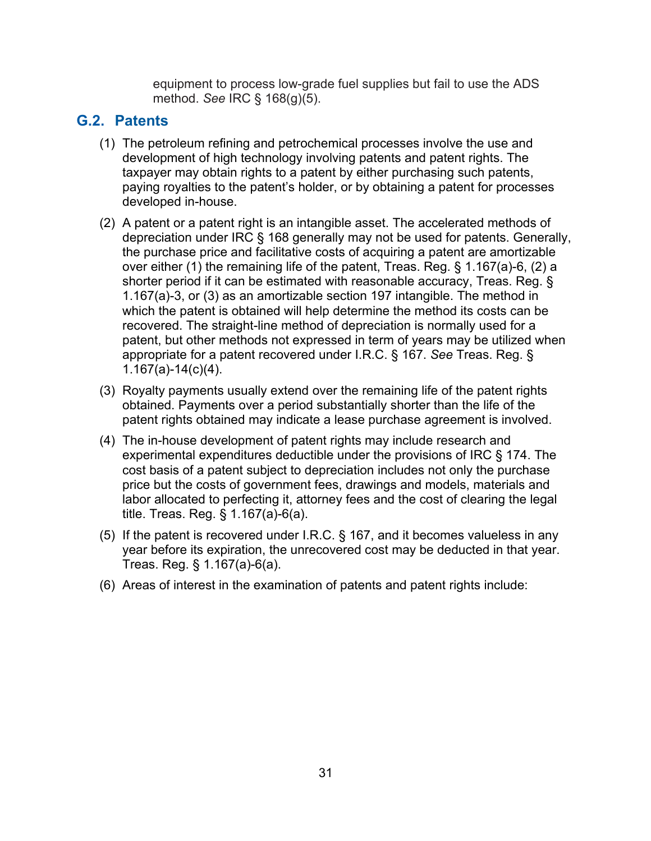equipment to process low-grade fuel supplies but fail to use the ADS method. *See* IRC § 168(g)(5).

## <span id="page-30-0"></span>**G.2. Patents**

- (1) The petroleum refining and petrochemical processes involve the use and development of high technology involving patents and patent rights. The taxpayer may obtain rights to a patent by either purchasing such patents, paying royalties to the patent's holder, or by obtaining a patent for processes developed in-house.
- (2) A patent or a patent right is an intangible asset. The accelerated methods of depreciation under IRC § 168 generally may not be used for patents. Generally, the purchase price and facilitative costs of acquiring a patent are amortizable over either (1) the remaining life of the patent, Treas. Reg. § 1.167(a)-6, (2) a shorter period if it can be estimated with reasonable accuracy, Treas. Reg. § 1.167(a)-3, or (3) as an amortizable section 197 intangible. The method in which the patent is obtained will help determine the method its costs can be recovered. The straight-line method of depreciation is normally used for a patent, but other methods not expressed in term of years may be utilized when appropriate for a patent recovered under I.R.C. § 167. *See* Treas. Reg. § 1.167(a)-14(c)(4).
- (3) Royalty payments usually extend over the remaining life of the patent rights obtained. Payments over a period substantially shorter than the life of the patent rights obtained may indicate a lease purchase agreement is involved.
- (4) The in-house development of patent rights may include research and experimental expenditures deductible under the provisions of IRC § 174. The cost basis of a patent subject to depreciation includes not only the purchase price but the costs of government fees, drawings and models, materials and labor allocated to perfecting it, attorney fees and the cost of clearing the legal title. Treas. Reg. § 1.167(a)-6(a).
- (5) If the patent is recovered under I.R.C. § 167, and it becomes valueless in any year before its expiration, the unrecovered cost may be deducted in that year. Treas. Reg. § 1.167(a)-6(a).
- (6) Areas of interest in the examination of patents and patent rights include: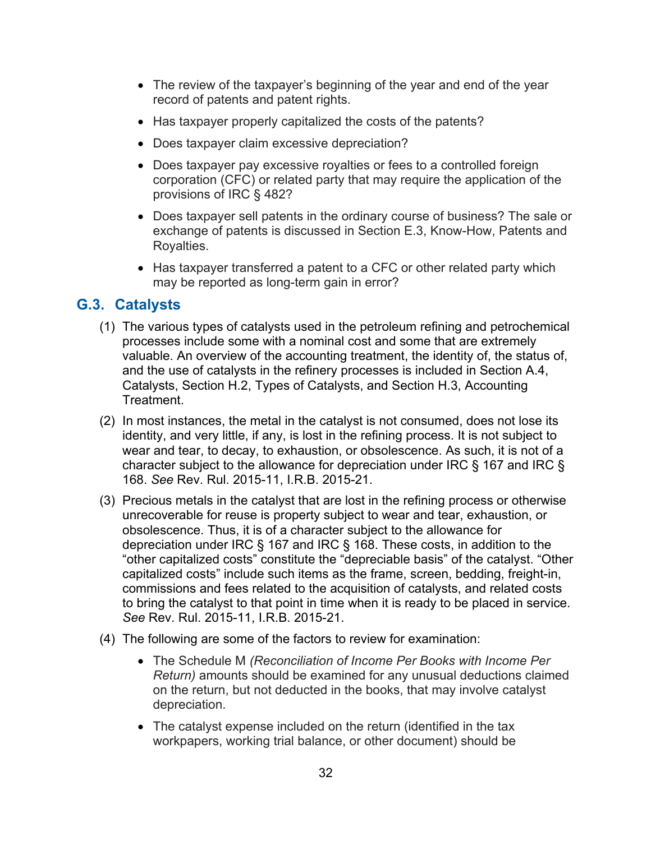- The review of the taxpayer's beginning of the year and end of the year record of patents and patent rights.
- Has taxpayer properly capitalized the costs of the patents?
- Does taxpayer claim excessive depreciation?
- Does taxpayer pay excessive royalties or fees to a controlled foreign corporation (CFC) or related party that may require the application of the provisions of IRC § 482?
- Does taxpayer sell patents in the ordinary course of business? The sale or exchange of patents is discussed in Section E.3, Know-How, Patents and Royalties.
- Has taxpayer transferred a patent to a CFC or other related party which may be reported as long-term gain in error?

## <span id="page-31-0"></span>**G.3. Catalysts**

- (1) The various types of catalysts used in the petroleum refining and petrochemical processes include some with a nominal cost and some that are extremely valuable. An overview of the accounting treatment, the identity of, the status of, and the use of catalysts in the refinery processes is included in Section A.4, Catalysts, Section H.2, Types of Catalysts, and Section H.3, Accounting Treatment.
- (2) In most instances, the metal in the catalyst is not consumed, does not lose its identity, and very little, if any, is lost in the refining process. It is not subject to wear and tear, to decay, to exhaustion, or obsolescence. As such, it is not of a character subject to the allowance for depreciation under IRC § 167 and IRC § 168. *See* Rev. Rul. 2015-11, I.R.B. 2015-21.
- (3) Precious metals in the catalyst that are lost in the refining process or otherwise unrecoverable for reuse is property subject to wear and tear, exhaustion, or obsolescence. Thus, it is of a character subject to the allowance for depreciation under IRC § 167 and IRC § 168. These costs, in addition to the "other capitalized costs" constitute the "depreciable basis" of the catalyst. "Other capitalized costs" include such items as the frame, screen, bedding, freight-in, commissions and fees related to the acquisition of catalysts, and related costs to bring the catalyst to that point in time when it is ready to be placed in service. *See* Rev. Rul. 2015-11, I.R.B. 2015-21.
- (4) The following are some of the factors to review for examination:
	- The Schedule M *(Reconciliation of Income Per Books with Income Per Return)* amounts should be examined for any unusual deductions claimed on the return, but not deducted in the books, that may involve catalyst depreciation.
	- The catalyst expense included on the return (identified in the tax workpapers, working trial balance, or other document) should be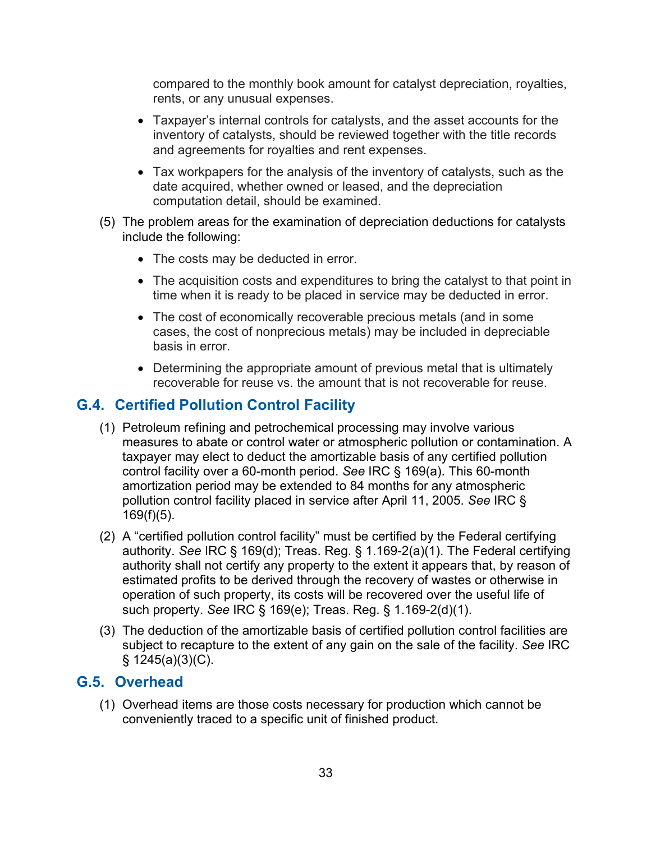compared to the monthly book amount for catalyst depreciation, royalties, rents, or any unusual expenses.

- Taxpayer's internal controls for catalysts, and the asset accounts for the inventory of catalysts, should be reviewed together with the title records and agreements for royalties and rent expenses.
- Tax workpapers for the analysis of the inventory of catalysts, such as the date acquired, whether owned or leased, and the depreciation computation detail, should be examined.
- (5) The problem areas for the examination of depreciation deductions for catalysts include the following:
	- The costs may be deducted in error.
	- The acquisition costs and expenditures to bring the catalyst to that point in time when it is ready to be placed in service may be deducted in error.
	- The cost of economically recoverable precious metals (and in some cases, the cost of nonprecious metals) may be included in depreciable basis in error.
	- Determining the appropriate amount of previous metal that is ultimately recoverable for reuse vs. the amount that is not recoverable for reuse.

## <span id="page-32-0"></span>**G.4. Certified Pollution Control Facility**

- (1) Petroleum refining and petrochemical processing may involve various measures to abate or control water or atmospheric pollution or contamination. A taxpayer may elect to deduct the amortizable basis of any certified pollution control facility over a 60-month period. *See* IRC § 169(a). This 60-month amortization period may be extended to 84 months for any atmospheric pollution control facility placed in service after April 11, 2005. *See* IRC §  $169(f)(5)$ .
- (2) A "certified pollution control facility" must be certified by the Federal certifying authority. *See* IRC § 169(d); Treas. Reg. § 1.169-2(a)(1). The Federal certifying authority shall not certify any property to the extent it appears that, by reason of estimated profits to be derived through the recovery of wastes or otherwise in operation of such property, its costs will be recovered over the useful life of such property. *See* IRC § 169(e); Treas. Reg. § 1.169-2(d)(1).
- (3) The deduction of the amortizable basis of certified pollution control facilities are subject to recapture to the extent of any gain on the sale of the facility. *See* IRC  $§$  1245(a)(3)(C).

## <span id="page-32-1"></span>**G.5. Overhead**

(1) Overhead items are those costs necessary for production which cannot be conveniently traced to a specific unit of finished product.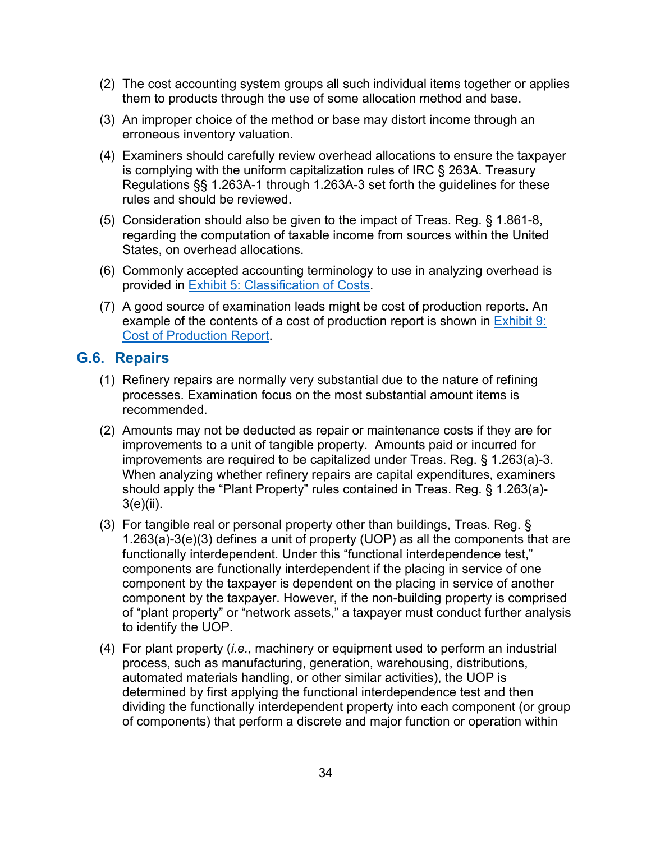- (2) The cost accounting system groups all such individual items together or applies them to products through the use of some allocation method and base.
- (3) An improper choice of the method or base may distort income through an erroneous inventory valuation.
- (4) Examiners should carefully review overhead allocations to ensure the taxpayer is complying with the uniform capitalization rules of IRC § 263A. Treasury Regulations §§ 1.263A-1 through 1.263A-3 set forth the guidelines for these rules and should be reviewed.
- (5) Consideration should also be given to the impact of Treas. Reg. § 1.861-8, regarding the computation of taxable income from sources within the United States, on overhead allocations.
- (6) Commonly accepted accounting terminology to use in analyzing overhead is provided in [Exhibit 5: Classification of Costs.](#page-56-1)
- (7) A good source of examination leads might be cost of production reports. An example of the contents of a cost of production report is shown in Exhibit 9: [Cost of Production Report.](#page-60-0)

## <span id="page-33-0"></span>**G.6. Repairs**

- (1) Refinery repairs are normally very substantial due to the nature of refining processes. Examination focus on the most substantial amount items is recommended.
- (2) Amounts may not be deducted as repair or maintenance costs if they are for improvements to a unit of tangible property. Amounts paid or incurred for improvements are required to be capitalized under Treas. Reg. § 1.263(a)-3. When analyzing whether refinery repairs are capital expenditures, examiners should apply the "Plant Property" rules contained in Treas. Reg. § 1.263(a)- 3(e)(ii).
- (3) For tangible real or personal property other than buildings, Treas. Reg. § 1.263(a)-3(e)(3) defines a unit of property (UOP) as all the components that are functionally interdependent. Under this "functional interdependence test," components are functionally interdependent if the placing in service of one component by the taxpayer is dependent on the placing in service of another component by the taxpayer. However, if the non-building property is comprised of "plant property" or "network assets," a taxpayer must conduct further analysis to identify the UOP.
- (4) For plant property (*i.e.*, machinery or equipment used to perform an industrial process, such as manufacturing, generation, warehousing, distributions, automated materials handling, or other similar activities), the UOP is determined by first applying the functional interdependence test and then dividing the functionally interdependent property into each component (or group of components) that perform a discrete and major function or operation within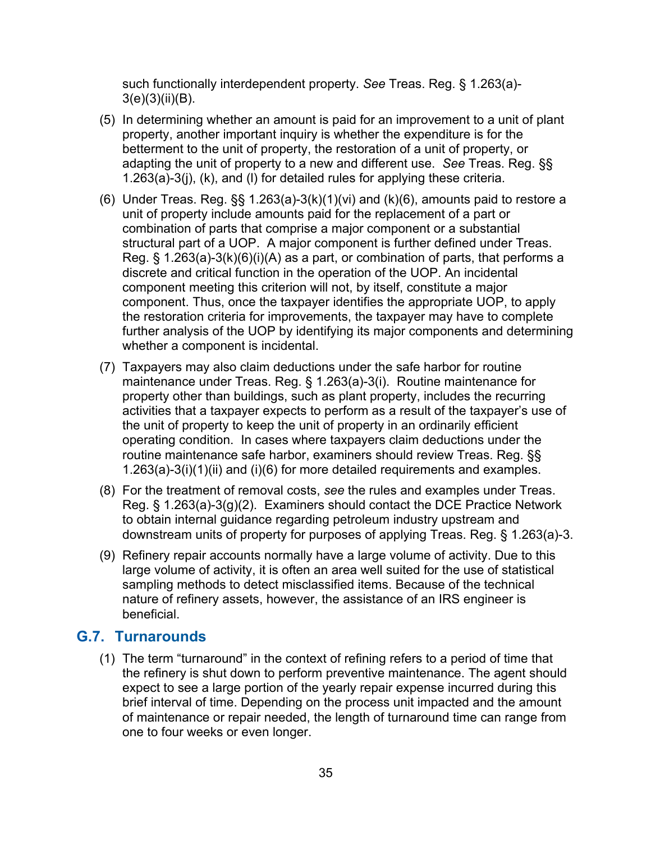such functionally interdependent property. *See* Treas. Reg. § 1.263(a)-  $3(e)(3)(ii)(B)$ .

- (5) In determining whether an amount is paid for an improvement to a unit of plant property, another important inquiry is whether the expenditure is for the betterment to the unit of property, the restoration of a unit of property, or adapting the unit of property to a new and different use. *See* Treas. Reg. §§ 1.263(a)-3(j), (k), and (l) for detailed rules for applying these criteria.
- (6) Under Treas. Reg.  $\S$ § 1.263(a)-3(k)(1)(vi) and (k)(6), amounts paid to restore a unit of property include amounts paid for the replacement of a part or combination of parts that comprise a major component or a substantial structural part of a UOP. A major component is further defined under Treas. Reg. § 1.263(a)-3(k)(6)(i)(A) as a part, or combination of parts, that performs a discrete and critical function in the operation of the UOP. An incidental component meeting this criterion will not, by itself, constitute a major component. Thus, once the taxpayer identifies the appropriate UOP, to apply the restoration criteria for improvements, the taxpayer may have to complete further analysis of the UOP by identifying its major components and determining whether a component is incidental.
- (7) Taxpayers may also claim deductions under the safe harbor for routine maintenance under Treas. Reg. § 1.263(a)-3(i). Routine maintenance for property other than buildings, such as plant property, includes the recurring activities that a taxpayer expects to perform as a result of the taxpayer's use of the unit of property to keep the unit of property in an ordinarily efficient operating condition. In cases where taxpayers claim deductions under the routine maintenance safe harbor, examiners should review Treas. Reg. §§ 1.263(a)-3(i)(1)(ii) and (i)(6) for more detailed requirements and examples.
- (8) For the treatment of removal costs, *see* the rules and examples under Treas. Reg. § 1.263(a)-3(g)(2). Examiners should contact the DCE Practice Network to obtain internal guidance regarding petroleum industry upstream and downstream units of property for purposes of applying Treas. Reg. § 1.263(a)-3.
- (9) Refinery repair accounts normally have a large volume of activity. Due to this large volume of activity, it is often an area well suited for the use of statistical sampling methods to detect misclassified items. Because of the technical nature of refinery assets, however, the assistance of an IRS engineer is beneficial.

#### <span id="page-34-0"></span>**G.7. Turnarounds**

(1) The term "turnaround" in the context of refining refers to a period of time that the refinery is shut down to perform preventive maintenance. The agent should expect to see a large portion of the yearly repair expense incurred during this brief interval of time. Depending on the process unit impacted and the amount of maintenance or repair needed, the length of turnaround time can range from one to four weeks or even longer.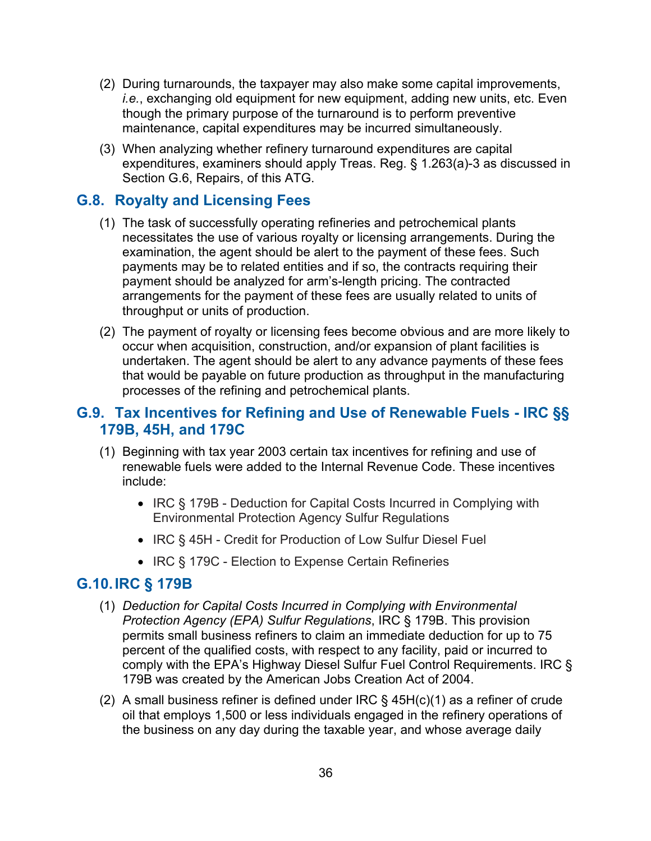- (2) During turnarounds, the taxpayer may also make some capital improvements, *i.e.*, exchanging old equipment for new equipment, adding new units, etc. Even though the primary purpose of the turnaround is to perform preventive maintenance, capital expenditures may be incurred simultaneously.
- (3) When analyzing whether refinery turnaround expenditures are capital expenditures, examiners should apply Treas. Reg. § 1.263(a)-3 as discussed in Section G.6, Repairs, of this ATG.

## <span id="page-35-0"></span>**G.8. Royalty and Licensing Fees**

- (1) The task of successfully operating refineries and petrochemical plants necessitates the use of various royalty or licensing arrangements. During the examination, the agent should be alert to the payment of these fees. Such payments may be to related entities and if so, the contracts requiring their payment should be analyzed for arm's-length pricing. The contracted arrangements for the payment of these fees are usually related to units of throughput or units of production.
- (2) The payment of royalty or licensing fees become obvious and are more likely to occur when acquisition, construction, and/or expansion of plant facilities is undertaken. The agent should be alert to any advance payments of these fees that would be payable on future production as throughput in the manufacturing processes of the refining and petrochemical plants.

## <span id="page-35-1"></span>**G.9. Tax Incentives for Refining and Use of Renewable Fuels - IRC §§ 179B, 45H, and 179C**

- (1) Beginning with tax year 2003 certain tax incentives for refining and use of renewable fuels were added to the Internal Revenue Code. These incentives include:
	- IRC § 179B Deduction for Capital Costs Incurred in Complying with Environmental Protection Agency Sulfur Regulations
	- IRC § 45H Credit for Production of Low Sulfur Diesel Fuel
	- IRC § 179C Election to Expense Certain Refineries

#### <span id="page-35-2"></span>**G.10.IRC § 179B**

- (1) *Deduction for Capital Costs Incurred in Complying with Environmental Protection Agency (EPA) Sulfur Regulations*, IRC § 179B. This provision permits small business refiners to claim an immediate deduction for up to 75 percent of the qualified costs, with respect to any facility, paid or incurred to comply with the EPA's Highway Diesel Sulfur Fuel Control Requirements. IRC § 179B was created by the American Jobs Creation Act of 2004.
- (2) A small business refiner is defined under IRC  $\S$  45H(c)(1) as a refiner of crude oil that employs 1,500 or less individuals engaged in the refinery operations of the business on any day during the taxable year, and whose average daily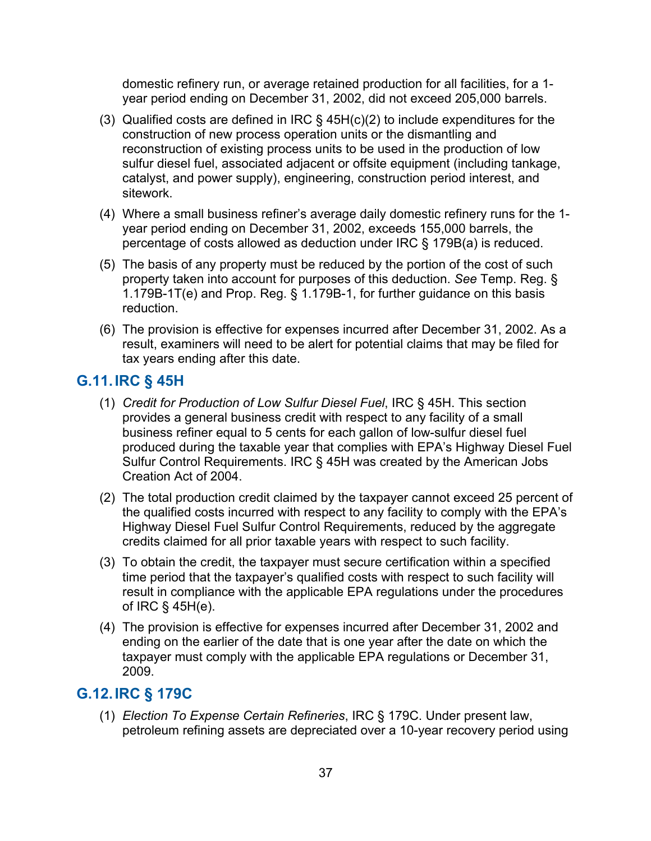domestic refinery run, or average retained production for all facilities, for a 1 year period ending on December 31, 2002, did not exceed 205,000 barrels.

- (3) Qualified costs are defined in IRC § 45H(c)(2) to include expenditures for the construction of new process operation units or the dismantling and reconstruction of existing process units to be used in the production of low sulfur diesel fuel, associated adjacent or offsite equipment (including tankage, catalyst, and power supply), engineering, construction period interest, and sitework.
- (4) Where a small business refiner's average daily domestic refinery runs for the 1 year period ending on December 31, 2002, exceeds 155,000 barrels, the percentage of costs allowed as deduction under IRC § 179B(a) is reduced.
- (5) The basis of any property must be reduced by the portion of the cost of such property taken into account for purposes of this deduction. *See* Temp. Reg. § 1.179B-1T(e) and Prop. Reg. § 1.179B-1, for further guidance on this basis reduction.
- (6) The provision is effective for expenses incurred after December 31, 2002. As a result, examiners will need to be alert for potential claims that may be filed for tax years ending after this date.

#### **G.11.IRC § 45H**

- (1) *Credit for Production of Low Sulfur Diesel Fuel*, IRC § 45H. This section provides a general business credit with respect to any facility of a small business refiner equal to 5 cents for each gallon of low-sulfur diesel fuel produced during the taxable year that complies with EPA's Highway Diesel Fuel Sulfur Control Requirements. IRC § 45H was created by the American Jobs Creation Act of 2004.
- (2) The total production credit claimed by the taxpayer cannot exceed 25 percent of the qualified costs incurred with respect to any facility to comply with the EPA's Highway Diesel Fuel Sulfur Control Requirements, reduced by the aggregate credits claimed for all prior taxable years with respect to such facility.
- (3) To obtain the credit, the taxpayer must secure certification within a specified time period that the taxpayer's qualified costs with respect to such facility will result in compliance with the applicable EPA regulations under the procedures of IRC § 45H(e).
- (4) The provision is effective for expenses incurred after December 31, 2002 and ending on the earlier of the date that is one year after the date on which the taxpayer must comply with the applicable EPA regulations or December 31, 2009.

### **G.12.IRC § 179C**

(1) *Election To Expense Certain Refineries*, IRC § 179C. Under present law, petroleum refining assets are depreciated over a 10-year recovery period using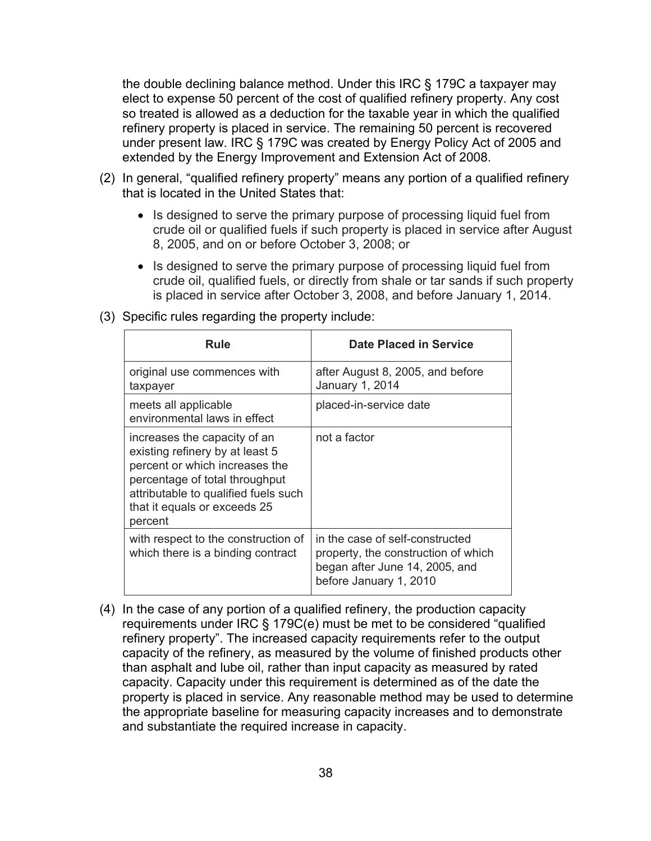the double declining balance method. Under this IRC § 179C a taxpayer may elect to expense 50 percent of the cost of qualified refinery property. Any cost so treated is allowed as a deduction for the taxable year in which the qualified refinery property is placed in service. The remaining 50 percent is recovered under present law. IRC § 179C was created by Energy Policy Act of 2005 and extended by the Energy Improvement and Extension Act of 2008.

- (2) In general, "qualified refinery property" means any portion of a qualified refinery that is located in the United States that:
	- Is designed to serve the primary purpose of processing liquid fuel from crude oil or qualified fuels if such property is placed in service after August 8, 2005, and on or before October 3, 2008; or
	- Is designed to serve the primary purpose of processing liquid fuel from crude oil, qualified fuels, or directly from shale or tar sands if such property is placed in service after October 3, 2008, and before January 1, 2014.

| Rule                                                                                                                                                                                                                   | <b>Date Placed in Service</b>                                                                                                      |
|------------------------------------------------------------------------------------------------------------------------------------------------------------------------------------------------------------------------|------------------------------------------------------------------------------------------------------------------------------------|
| original use commences with<br>taxpayer                                                                                                                                                                                | after August 8, 2005, and before<br>January 1, 2014                                                                                |
| meets all applicable<br>environmental laws in effect                                                                                                                                                                   | placed-in-service date                                                                                                             |
| increases the capacity of an<br>existing refinery by at least 5<br>percent or which increases the<br>percentage of total throughput<br>attributable to qualified fuels such<br>that it equals or exceeds 25<br>percent | not a factor                                                                                                                       |
| with respect to the construction of<br>which there is a binding contract                                                                                                                                               | in the case of self-constructed<br>property, the construction of which<br>began after June 14, 2005, and<br>before January 1, 2010 |

(3) Specific rules regarding the property include:

(4) In the case of any portion of a qualified refinery, the production capacity requirements under IRC § 179C(e) must be met to be considered "qualified refinery property". The increased capacity requirements refer to the output capacity of the refinery, as measured by the volume of finished products other than asphalt and lube oil, rather than input capacity as measured by rated capacity. Capacity under this requirement is determined as of the date the property is placed in service. Any reasonable method may be used to determine the appropriate baseline for measuring capacity increases and to demonstrate and substantiate the required increase in capacity.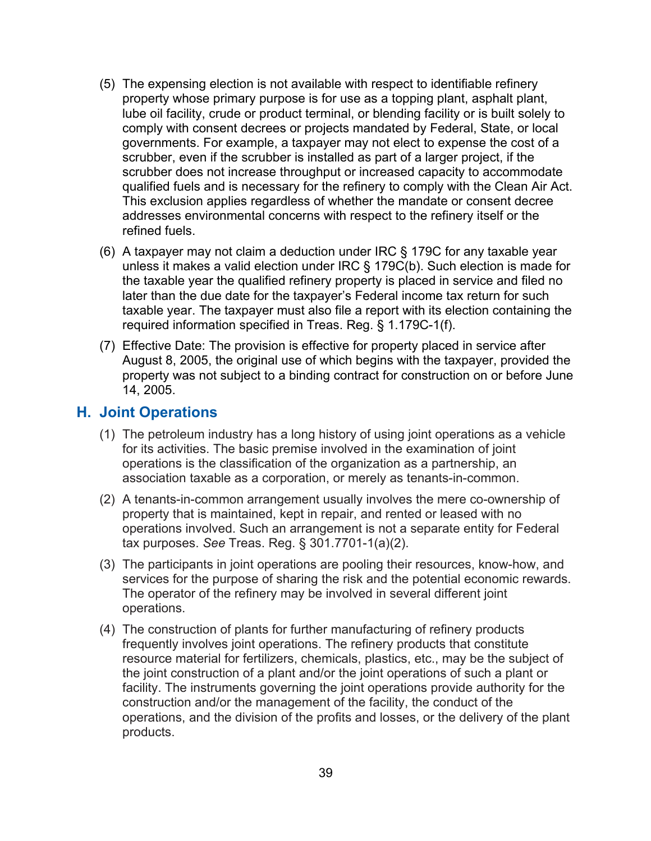- (5) The expensing election is not available with respect to identifiable refinery property whose primary purpose is for use as a topping plant, asphalt plant, lube oil facility, crude or product terminal, or blending facility or is built solely to comply with consent decrees or projects mandated by Federal, State, or local governments. For example, a taxpayer may not elect to expense the cost of a scrubber, even if the scrubber is installed as part of a larger project, if the scrubber does not increase throughput or increased capacity to accommodate qualified fuels and is necessary for the refinery to comply with the Clean Air Act. This exclusion applies regardless of whether the mandate or consent decree addresses environmental concerns with respect to the refinery itself or the refined fuels.
- (6) A taxpayer may not claim a deduction under IRC § 179C for any taxable year unless it makes a valid election under IRC § 179C(b). Such election is made for the taxable year the qualified refinery property is placed in service and filed no later than the due date for the taxpayer's Federal income tax return for such taxable year. The taxpayer must also file a report with its election containing the required information specified in Treas. Reg. § 1.179C-1(f).
- (7) Effective Date: The provision is effective for property placed in service after August 8, 2005, the original use of which begins with the taxpayer, provided the property was not subject to a binding contract for construction on or before June 14, 2005.

#### **H. Joint Operations**

- (1) The petroleum industry has a long history of using joint operations as a vehicle for its activities. The basic premise involved in the examination of joint operations is the classification of the organization as a partnership, an association taxable as a corporation, or merely as tenants-in-common.
- (2) A tenants-in-common arrangement usually involves the mere co-ownership of property that is maintained, kept in repair, and rented or leased with no operations involved. Such an arrangement is not a separate entity for Federal tax purposes. *See* Treas. Reg. § 301.7701-1(a)(2).
- (3) The participants in joint operations are pooling their resources, know-how, and services for the purpose of sharing the risk and the potential economic rewards. The operator of the refinery may be involved in several different joint operations.
- (4) The construction of plants for further manufacturing of refinery products frequently involves joint operations. The refinery products that constitute resource material for fertilizers, chemicals, plastics, etc., may be the subject of the joint construction of a plant and/or the joint operations of such a plant or facility. The instruments governing the joint operations provide authority for the construction and/or the management of the facility, the conduct of the operations, and the division of the profits and losses, or the delivery of the plant products.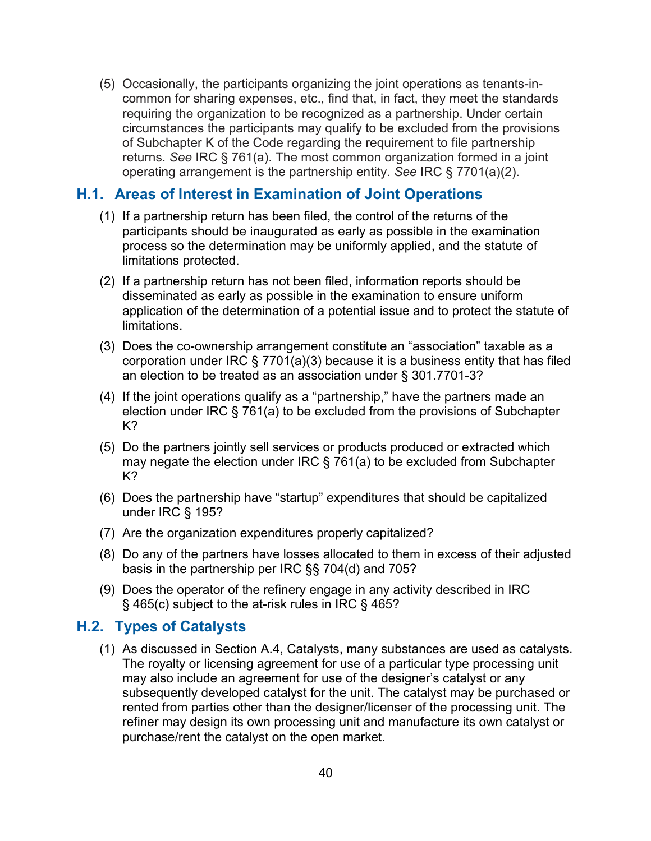(5) Occasionally, the participants organizing the joint operations as tenants-incommon for sharing expenses, etc., find that, in fact, they meet the standards requiring the organization to be recognized as a partnership. Under certain circumstances the participants may qualify to be excluded from the provisions of Subchapter K of the Code regarding the requirement to file partnership returns. *See* IRC § 761(a). The most common organization formed in a joint operating arrangement is the partnership entity. *See* IRC § 7701(a)(2).

#### **H.1. Areas of Interest in Examination of Joint Operations**

- (1) If a partnership return has been filed, the control of the returns of the participants should be inaugurated as early as possible in the examination process so the determination may be uniformly applied, and the statute of limitations protected.
- (2) If a partnership return has not been filed, information reports should be disseminated as early as possible in the examination to ensure uniform application of the determination of a potential issue and to protect the statute of limitations.
- (3) Does the co-ownership arrangement constitute an "association" taxable as a corporation under IRC § 7701(a)(3) because it is a business entity that has filed an election to be treated as an association under § 301.7701-3?
- (4) If the joint operations qualify as a "partnership," have the partners made an election under IRC § 761(a) to be excluded from the provisions of Subchapter K?
- (5) Do the partners jointly sell services or products produced or extracted which may negate the election under IRC § 761(a) to be excluded from Subchapter K?
- (6) Does the partnership have "startup" expenditures that should be capitalized under IRC § 195?
- (7) Are the organization expenditures properly capitalized?
- (8) Do any of the partners have losses allocated to them in excess of their adjusted basis in the partnership per IRC §§ 704(d) and 705?
- (9) Does the operator of the refinery engage in any activity described in IRC § 465(c) subject to the at-risk rules in IRC § 465?

#### **H.2. Types of Catalysts**

(1) As discussed in Section A.4, Catalysts, many substances are used as catalysts. The royalty or licensing agreement for use of a particular type processing unit may also include an agreement for use of the designer's catalyst or any subsequently developed catalyst for the unit. The catalyst may be purchased or rented from parties other than the designer/licenser of the processing unit. The refiner may design its own processing unit and manufacture its own catalyst or purchase/rent the catalyst on the open market.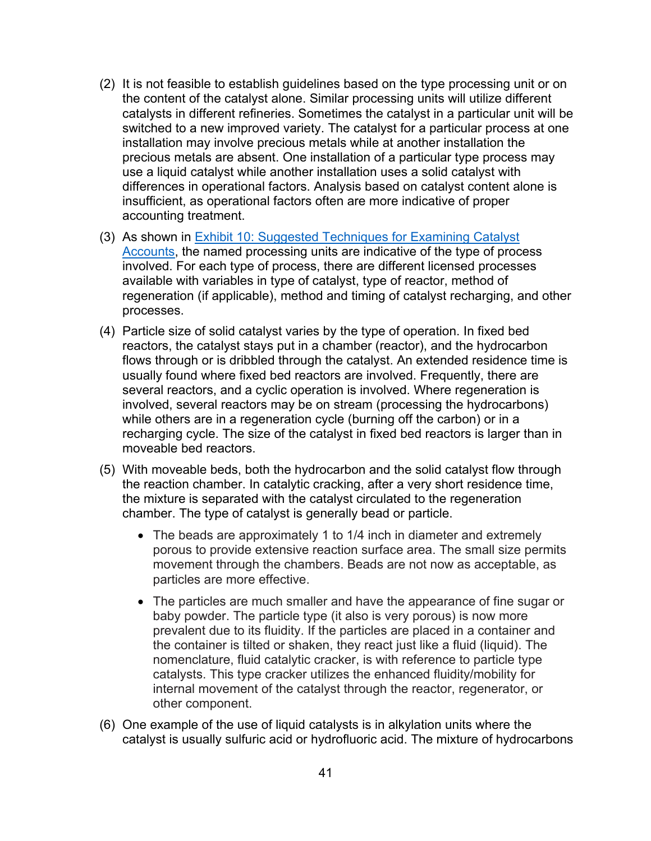- (2) It is not feasible to establish guidelines based on the type processing unit or on the content of the catalyst alone. Similar processing units will utilize different catalysts in different refineries. Sometimes the catalyst in a particular unit will be switched to a new improved variety. The catalyst for a particular process at one installation may involve precious metals while at another installation the precious metals are absent. One installation of a particular type process may use a liquid catalyst while another installation uses a solid catalyst with differences in operational factors. Analysis based on catalyst content alone is insufficient, as operational factors often are more indicative of proper accounting treatment.
- (3) As shown in [Exhibit 10: Suggested Techniques for Examining Catalyst](#page-60-0)  [Accounts,](#page-60-0) the named processing units are indicative of the type of process involved. For each type of process, there are different licensed processes available with variables in type of catalyst, type of reactor, method of regeneration (if applicable), method and timing of catalyst recharging, and other processes.
- (4) Particle size of solid catalyst varies by the type of operation. In fixed bed reactors, the catalyst stays put in a chamber (reactor), and the hydrocarbon flows through or is dribbled through the catalyst. An extended residence time is usually found where fixed bed reactors are involved. Frequently, there are several reactors, and a cyclic operation is involved. Where regeneration is involved, several reactors may be on stream (processing the hydrocarbons) while others are in a regeneration cycle (burning off the carbon) or in a recharging cycle. The size of the catalyst in fixed bed reactors is larger than in moveable bed reactors.
- (5) With moveable beds, both the hydrocarbon and the solid catalyst flow through the reaction chamber. In catalytic cracking, after a very short residence time, the mixture is separated with the catalyst circulated to the regeneration chamber. The type of catalyst is generally bead or particle.
	- The beads are approximately 1 to 1/4 inch in diameter and extremely porous to provide extensive reaction surface area. The small size permits movement through the chambers. Beads are not now as acceptable, as particles are more effective.
	- The particles are much smaller and have the appearance of fine sugar or baby powder. The particle type (it also is very porous) is now more prevalent due to its fluidity. If the particles are placed in a container and the container is tilted or shaken, they react just like a fluid (liquid). The nomenclature, fluid catalytic cracker, is with reference to particle type catalysts. This type cracker utilizes the enhanced fluidity/mobility for internal movement of the catalyst through the reactor, regenerator, or other component.
- (6) One example of the use of liquid catalysts is in alkylation units where the catalyst is usually sulfuric acid or hydrofluoric acid. The mixture of hydrocarbons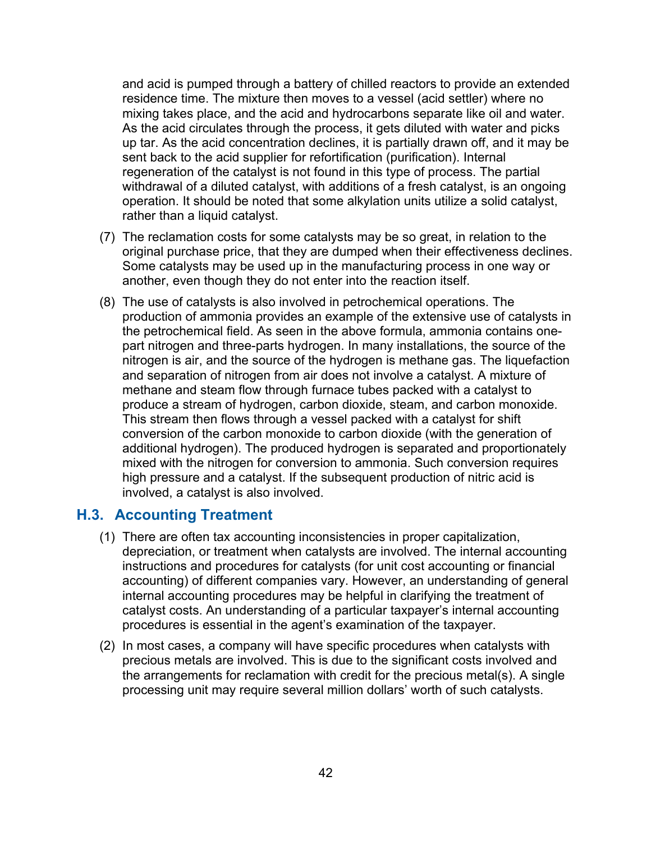and acid is pumped through a battery of chilled reactors to provide an extended residence time. The mixture then moves to a vessel (acid settler) where no mixing takes place, and the acid and hydrocarbons separate like oil and water. As the acid circulates through the process, it gets diluted with water and picks up tar. As the acid concentration declines, it is partially drawn off, and it may be sent back to the acid supplier for refortification (purification). Internal regeneration of the catalyst is not found in this type of process. The partial withdrawal of a diluted catalyst, with additions of a fresh catalyst, is an ongoing operation. It should be noted that some alkylation units utilize a solid catalyst, rather than a liquid catalyst.

- (7) The reclamation costs for some catalysts may be so great, in relation to the original purchase price, that they are dumped when their effectiveness declines. Some catalysts may be used up in the manufacturing process in one way or another, even though they do not enter into the reaction itself.
- (8) The use of catalysts is also involved in petrochemical operations. The production of ammonia provides an example of the extensive use of catalysts in the petrochemical field. As seen in the above formula, ammonia contains onepart nitrogen and three-parts hydrogen. In many installations, the source of the nitrogen is air, and the source of the hydrogen is methane gas. The liquefaction and separation of nitrogen from air does not involve a catalyst. A mixture of methane and steam flow through furnace tubes packed with a catalyst to produce a stream of hydrogen, carbon dioxide, steam, and carbon monoxide. This stream then flows through a vessel packed with a catalyst for shift conversion of the carbon monoxide to carbon dioxide (with the generation of additional hydrogen). The produced hydrogen is separated and proportionately mixed with the nitrogen for conversion to ammonia. Such conversion requires high pressure and a catalyst. If the subsequent production of nitric acid is involved, a catalyst is also involved.

#### **H.3. Accounting Treatment**

- (1) There are often tax accounting inconsistencies in proper capitalization, depreciation, or treatment when catalysts are involved. The internal accounting instructions and procedures for catalysts (for unit cost accounting or financial accounting) of different companies vary. However, an understanding of general internal accounting procedures may be helpful in clarifying the treatment of catalyst costs. An understanding of a particular taxpayer's internal accounting procedures is essential in the agent's examination of the taxpayer.
- (2) In most cases, a company will have specific procedures when catalysts with precious metals are involved. This is due to the significant costs involved and the arrangements for reclamation with credit for the precious metal(s). A single processing unit may require several million dollars' worth of such catalysts.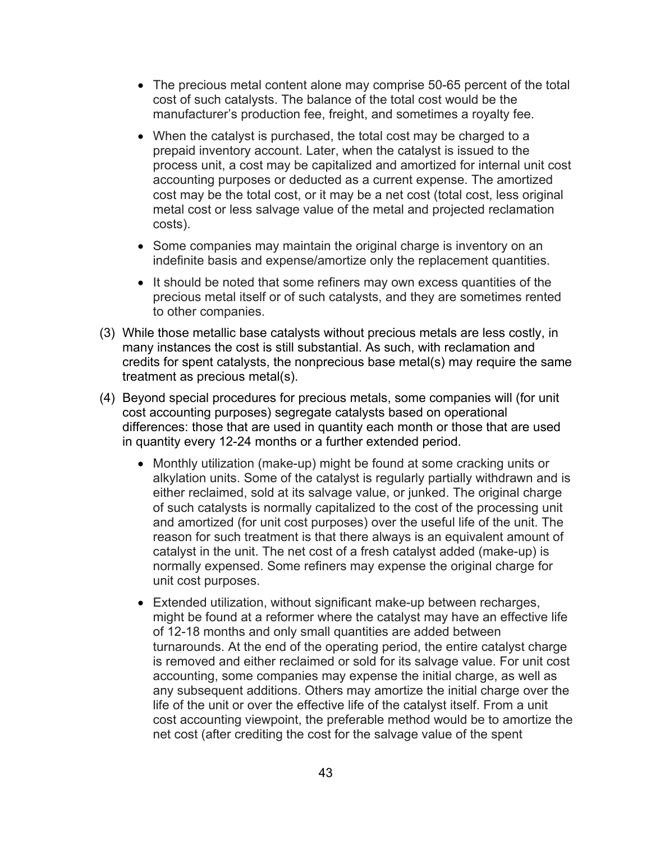- The precious metal content alone may comprise 50-65 percent of the total cost of such catalysts. The balance of the total cost would be the manufacturer's production fee, freight, and sometimes a royalty fee.
- When the catalyst is purchased, the total cost may be charged to a prepaid inventory account. Later, when the catalyst is issued to the process unit, a cost may be capitalized and amortized for internal unit cost accounting purposes or deducted as a current expense. The amortized cost may be the total cost, or it may be a net cost (total cost, less original metal cost or less salvage value of the metal and projected reclamation costs).
- Some companies may maintain the original charge is inventory on an indefinite basis and expense/amortize only the replacement quantities.
- It should be noted that some refiners may own excess quantities of the precious metal itself or of such catalysts, and they are sometimes rented to other companies.
- (3) While those metallic base catalysts without precious metals are less costly, in many instances the cost is still substantial. As such, with reclamation and credits for spent catalysts, the nonprecious base metal(s) may require the same treatment as precious metal(s).
- (4) Beyond special procedures for precious metals, some companies will (for unit cost accounting purposes) segregate catalysts based on operational differences: those that are used in quantity each month or those that are used in quantity every 12-24 months or a further extended period.
	- Monthly utilization (make-up) might be found at some cracking units or alkylation units. Some of the catalyst is regularly partially withdrawn and is either reclaimed, sold at its salvage value, or junked. The original charge of such catalysts is normally capitalized to the cost of the processing unit and amortized (for unit cost purposes) over the useful life of the unit. The reason for such treatment is that there always is an equivalent amount of catalyst in the unit. The net cost of a fresh catalyst added (make-up) is normally expensed. Some refiners may expense the original charge for unit cost purposes.
	- Extended utilization, without significant make-up between recharges, might be found at a reformer where the catalyst may have an effective life of 12-18 months and only small quantities are added between turnarounds. At the end of the operating period, the entire catalyst charge is removed and either reclaimed or sold for its salvage value. For unit cost accounting, some companies may expense the initial charge, as well as any subsequent additions. Others may amortize the initial charge over the life of the unit or over the effective life of the catalyst itself. From a unit cost accounting viewpoint, the preferable method would be to amortize the net cost (after crediting the cost for the salvage value of the spent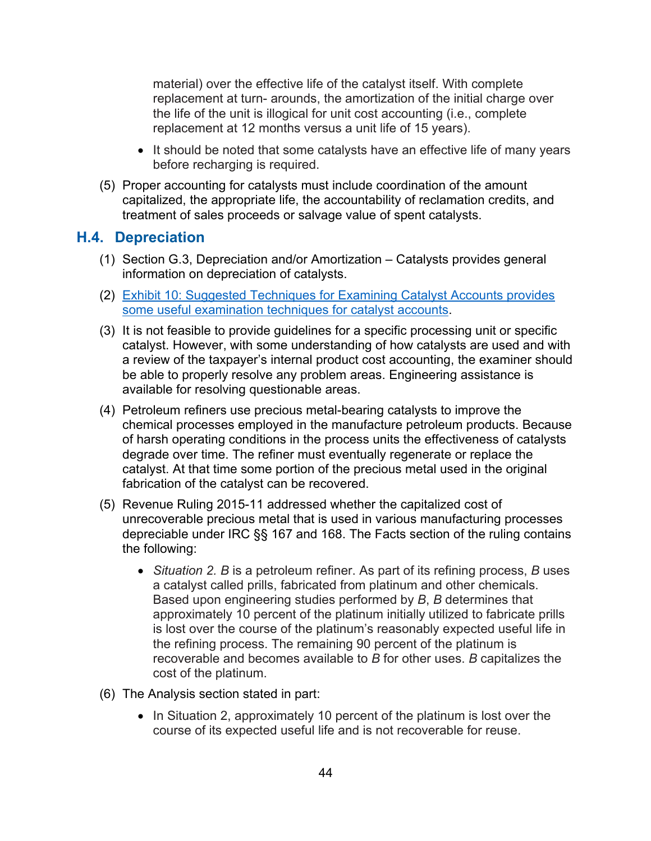material) over the effective life of the catalyst itself. With complete replacement at turn- arounds, the amortization of the initial charge over the life of the unit is illogical for unit cost accounting (i.e., complete replacement at 12 months versus a unit life of 15 years).

- It should be noted that some catalysts have an effective life of many years before recharging is required.
- (5) Proper accounting for catalysts must include coordination of the amount capitalized, the appropriate life, the accountability of reclamation credits, and treatment of sales proceeds or salvage value of spent catalysts.

### **H.4. Depreciation**

- (1) Section G.3, Depreciation and/or Amortization Catalysts provides general information on depreciation of catalysts.
- (2) [Exhibit 10: Suggested Techniques for Examining Catalyst Accounts provides](#page-60-0)  [some useful examination techniques for catalyst accounts.](#page-60-0)
- (3) It is not feasible to provide guidelines for a specific processing unit or specific catalyst. However, with some understanding of how catalysts are used and with a review of the taxpayer's internal product cost accounting, the examiner should be able to properly resolve any problem areas. Engineering assistance is available for resolving questionable areas.
- (4) Petroleum refiners use precious metal-bearing catalysts to improve the chemical processes employed in the manufacture petroleum products. Because of harsh operating conditions in the process units the effectiveness of catalysts degrade over time. The refiner must eventually regenerate or replace the catalyst. At that time some portion of the precious metal used in the original fabrication of the catalyst can be recovered.
- (5) Revenue Ruling 2015-11 addressed whether the capitalized cost of unrecoverable precious metal that is used in various manufacturing processes depreciable under IRC §§ 167 and 168. The Facts section of the ruling contains the following:
	- *Situation 2. B* is a petroleum refiner. As part of its refining process, *B* uses a catalyst called prills, fabricated from platinum and other chemicals. Based upon engineering studies performed by *B*, *B* determines that approximately 10 percent of the platinum initially utilized to fabricate prills is lost over the course of the platinum's reasonably expected useful life in the refining process. The remaining 90 percent of the platinum is recoverable and becomes available to *B* for other uses. *B* capitalizes the cost of the platinum.
- (6) The Analysis section stated in part:
	- In Situation 2, approximately 10 percent of the platinum is lost over the course of its expected useful life and is not recoverable for reuse.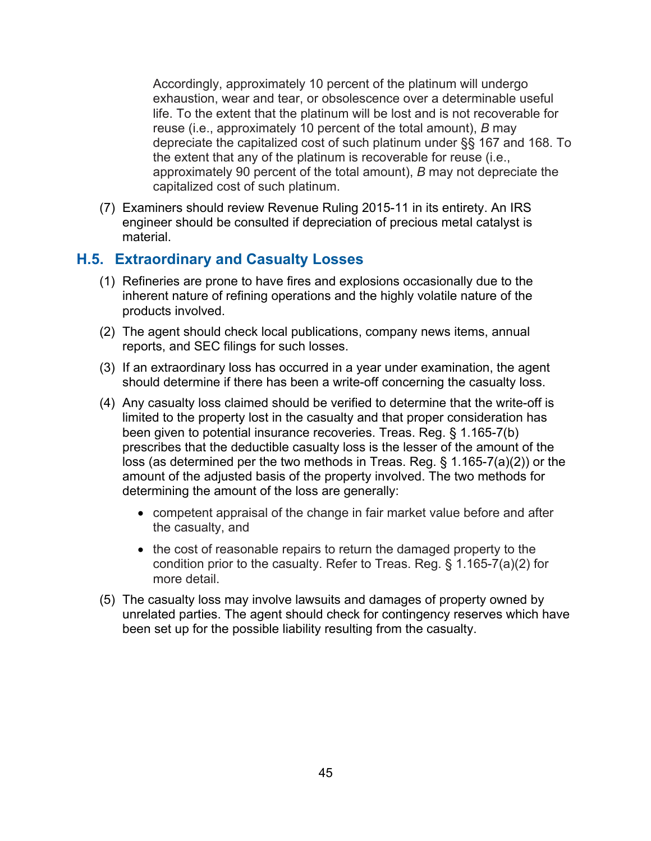Accordingly, approximately 10 percent of the platinum will undergo exhaustion, wear and tear, or obsolescence over a determinable useful life. To the extent that the platinum will be lost and is not recoverable for reuse (i.e., approximately 10 percent of the total amount), *B* may depreciate the capitalized cost of such platinum under §§ 167 and 168. To the extent that any of the platinum is recoverable for reuse (i.e., approximately 90 percent of the total amount), *B* may not depreciate the capitalized cost of such platinum.

(7) Examiners should review Revenue Ruling 2015-11 in its entirety. An IRS engineer should be consulted if depreciation of precious metal catalyst is material.

## **H.5. Extraordinary and Casualty Losses**

- (1) Refineries are prone to have fires and explosions occasionally due to the inherent nature of refining operations and the highly volatile nature of the products involved.
- (2) The agent should check local publications, company news items, annual reports, and SEC filings for such losses.
- (3) If an extraordinary loss has occurred in a year under examination, the agent should determine if there has been a write-off concerning the casualty loss.
- (4) Any casualty loss claimed should be verified to determine that the write-off is limited to the property lost in the casualty and that proper consideration has been given to potential insurance recoveries. Treas. Reg. § 1.165-7(b) prescribes that the deductible casualty loss is the lesser of the amount of the loss (as determined per the two methods in Treas. Reg. § 1.165-7(a)(2)) or the amount of the adjusted basis of the property involved. The two methods for determining the amount of the loss are generally:
	- competent appraisal of the change in fair market value before and after the casualty, and
	- the cost of reasonable repairs to return the damaged property to the condition prior to the casualty. Refer to Treas. Reg. § 1.165-7(a)(2) for more detail.
- (5) The casualty loss may involve lawsuits and damages of property owned by unrelated parties. The agent should check for contingency reserves which have been set up for the possible liability resulting from the casualty.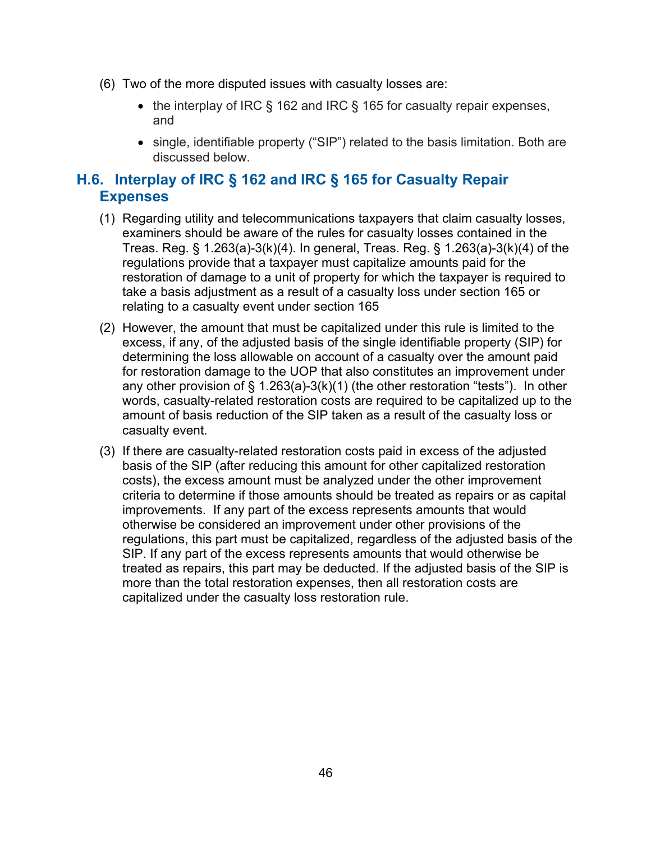- (6) Two of the more disputed issues with casualty losses are:
	- the interplay of IRC § 162 and IRC § 165 for casualty repair expenses, and
	- single, identifiable property ("SIP") related to the basis limitation. Both are discussed below.

## **H.6. Interplay of IRC § 162 and IRC § 165 for Casualty Repair Expenses**

- (1) Regarding utility and telecommunications taxpayers that claim casualty losses, examiners should be aware of the rules for casualty losses contained in the Treas. Reg. § 1.263(a)-3(k)(4). In general, Treas. Reg. § 1.263(a)-3(k)(4) of the regulations provide that a taxpayer must capitalize amounts paid for the restoration of damage to a unit of property for which the taxpayer is required to take a basis adjustment as a result of a casualty loss under section 165 or relating to a casualty event under section 165
- (2) However, the amount that must be capitalized under this rule is limited to the excess, if any, of the adjusted basis of the single identifiable property (SIP) for determining the loss allowable on account of a casualty over the amount paid for restoration damage to the UOP that also constitutes an improvement under any other provision of  $\S$  1.263(a)-3(k)(1) (the other restoration "tests"). In other words, casualty-related restoration costs are required to be capitalized up to the amount of basis reduction of the SIP taken as a result of the casualty loss or casualty event.
- (3) If there are casualty-related restoration costs paid in excess of the adjusted basis of the SIP (after reducing this amount for other capitalized restoration costs), the excess amount must be analyzed under the other improvement criteria to determine if those amounts should be treated as repairs or as capital improvements. If any part of the excess represents amounts that would otherwise be considered an improvement under other provisions of the regulations, this part must be capitalized, regardless of the adjusted basis of the SIP. If any part of the excess represents amounts that would otherwise be treated as repairs, this part may be deducted. If the adjusted basis of the SIP is more than the total restoration expenses, then all restoration costs are capitalized under the casualty loss restoration rule.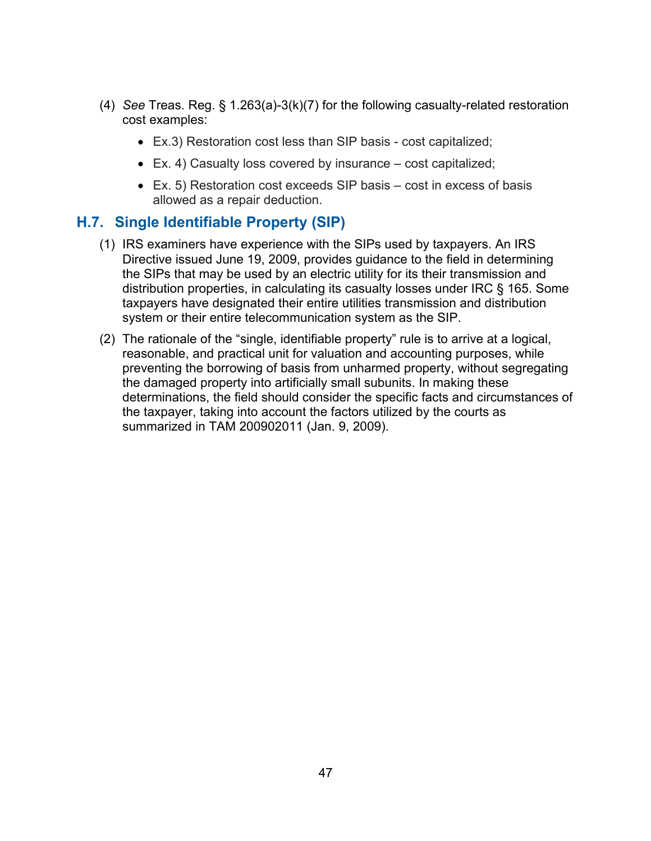- (4) *See* Treas. Reg. § 1.263(a)-3(k)(7) for the following casualty-related restoration cost examples:
	- Ex.3) Restoration cost less than SIP basis cost capitalized;
	- Ex. 4) Casualty loss covered by insurance cost capitalized;
	- Ex. 5) Restoration cost exceeds SIP basis cost in excess of basis allowed as a repair deduction.

## **H.7. Single Identifiable Property (SIP)**

- (1) IRS examiners have experience with the SIPs used by taxpayers. An IRS Directive issued June 19, 2009, provides guidance to the field in determining the SIPs that may be used by an electric utility for its their transmission and distribution properties, in calculating its casualty losses under IRC § 165. Some taxpayers have designated their entire utilities transmission and distribution system or their entire telecommunication system as the SIP.
- (2) The rationale of the "single, identifiable property" rule is to arrive at a logical, reasonable, and practical unit for valuation and accounting purposes, while preventing the borrowing of basis from unharmed property, without segregating the damaged property into artificially small subunits. In making these determinations, the field should consider the specific facts and circumstances of the taxpayer, taking into account the factors utilized by the courts as summarized in TAM 200902011 (Jan. 9, 2009).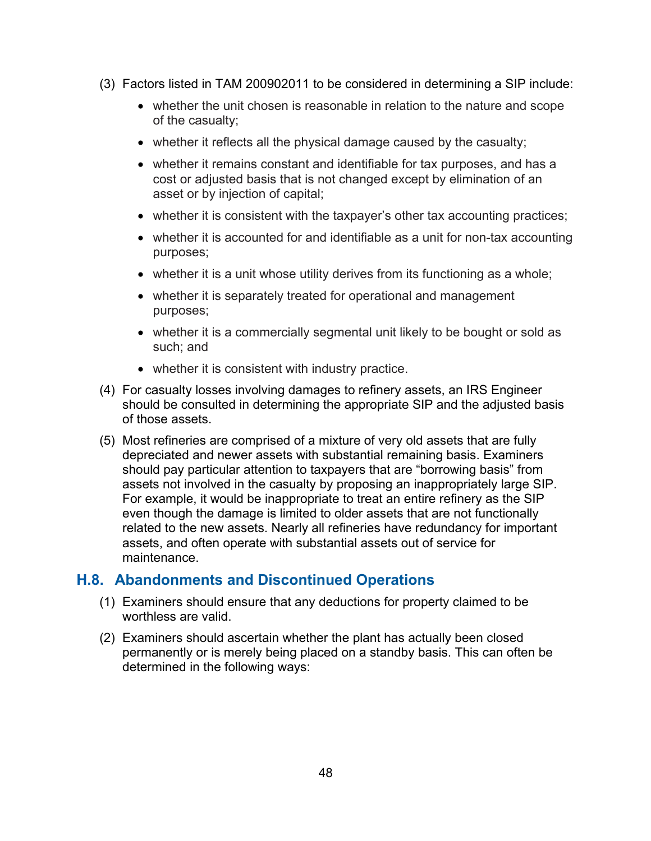- (3) Factors listed in TAM 200902011 to be considered in determining a SIP include:
	- whether the unit chosen is reasonable in relation to the nature and scope of the casualty;
	- whether it reflects all the physical damage caused by the casualty;
	- whether it remains constant and identifiable for tax purposes, and has a cost or adjusted basis that is not changed except by elimination of an asset or by injection of capital;
	- whether it is consistent with the taxpayer's other tax accounting practices;
	- whether it is accounted for and identifiable as a unit for non-tax accounting purposes;
	- whether it is a unit whose utility derives from its functioning as a whole;
	- whether it is separately treated for operational and management purposes;
	- whether it is a commercially segmental unit likely to be bought or sold as such; and
	- whether it is consistent with industry practice.
- (4) For casualty losses involving damages to refinery assets, an IRS Engineer should be consulted in determining the appropriate SIP and the adjusted basis of those assets.
- (5) Most refineries are comprised of a mixture of very old assets that are fully depreciated and newer assets with substantial remaining basis. Examiners should pay particular attention to taxpayers that are "borrowing basis" from assets not involved in the casualty by proposing an inappropriately large SIP. For example, it would be inappropriate to treat an entire refinery as the SIP even though the damage is limited to older assets that are not functionally related to the new assets. Nearly all refineries have redundancy for important assets, and often operate with substantial assets out of service for maintenance.

### **H.8. Abandonments and Discontinued Operations**

- (1) Examiners should ensure that any deductions for property claimed to be worthless are valid.
- (2) Examiners should ascertain whether the plant has actually been closed permanently or is merely being placed on a standby basis. This can often be determined in the following ways: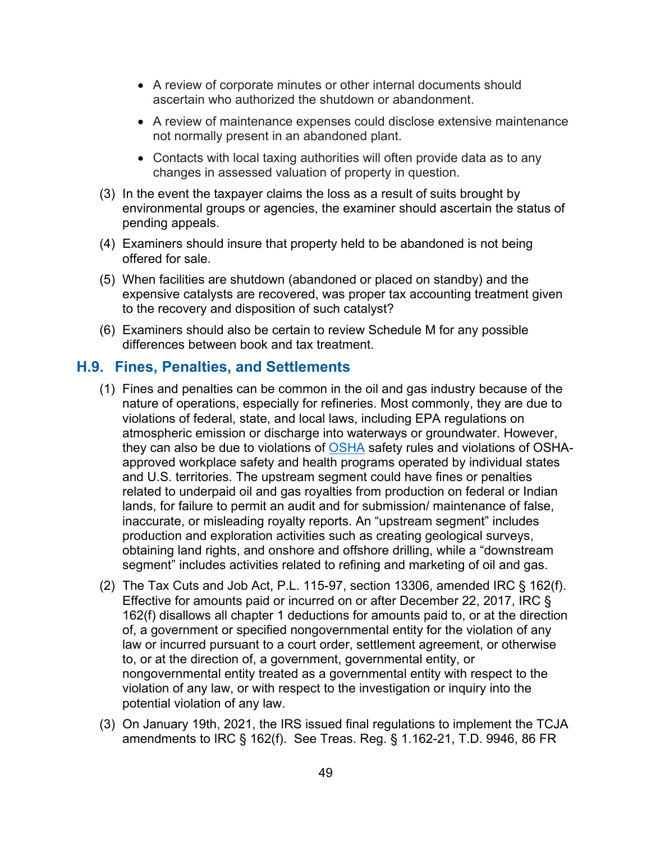- A review of corporate minutes or other internal documents should ascertain who authorized the shutdown or abandonment.
- A review of maintenance expenses could disclose extensive maintenance not normally present in an abandoned plant.
- Contacts with local taxing authorities will often provide data as to any changes in assessed valuation of property in question.
- (3) In the event the taxpayer claims the loss as a result of suits brought by environmental groups or agencies, the examiner should ascertain the status of pending appeals.
- (4) Examiners should insure that property held to be abandoned is not being offered for sale.
- (5) When facilities are shutdown (abandoned or placed on standby) and the expensive catalysts are recovered, was proper tax accounting treatment given to the recovery and disposition of such catalyst?
- (6) Examiners should also be certain to review Schedule M for any possible differences between book and tax treatment.

#### **H.9. Fines, Penalties, and Settlements**

- (1) Fines and penalties can be common in the oil and gas industry because of the nature of operations, especially for refineries. Most commonly, they are due to violations of federal, state, and local laws, including [EPA](https://www.epa.gov/) regulations on atmospheric emission or discharge into waterways or groundwater. However, they can also be due to violations of [OSHA](https://www.osha.gov/) safety rules and violations of OSHAapproved workplace safety and health programs operated by individual states and U.S. territories. The upstream segment could have fines or penalties related to underpaid oil and gas royalties from production on federal or Indian lands, for failure to permit an audit and for submission/ maintenance of false, inaccurate, or misleading royalty reports. An "upstream segment" includes production and exploration activities such as creating geological surveys, obtaining land rights, and onshore and offshore drilling, while a "downstream segment" includes activities related to refining and marketing of oil and gas.
- (2) The Tax Cuts and Job Act, P.L. 115-97, section 13306, amended IRC § 162(f). Effective for amounts paid or incurred on or after December 22, 2017, IRC § 162(f) disallows all chapter 1 deductions for amounts paid to, or at the direction of, a government or specified nongovernmental entity for the violation of any law or incurred pursuant to a court order, settlement agreement, or otherwise to, or at the direction of, a government, governmental entity, or nongovernmental entity treated as a governmental entity with respect to the violation of any law, or with respect to the investigation or inquiry into the potential violation of any law.
- (3) On January 19th, 2021, the IRS issued final regulations to implement the TCJA amendments to IRC § 162(f). See Treas. Reg. § 1.162-21, T.D. 9946, 86 FR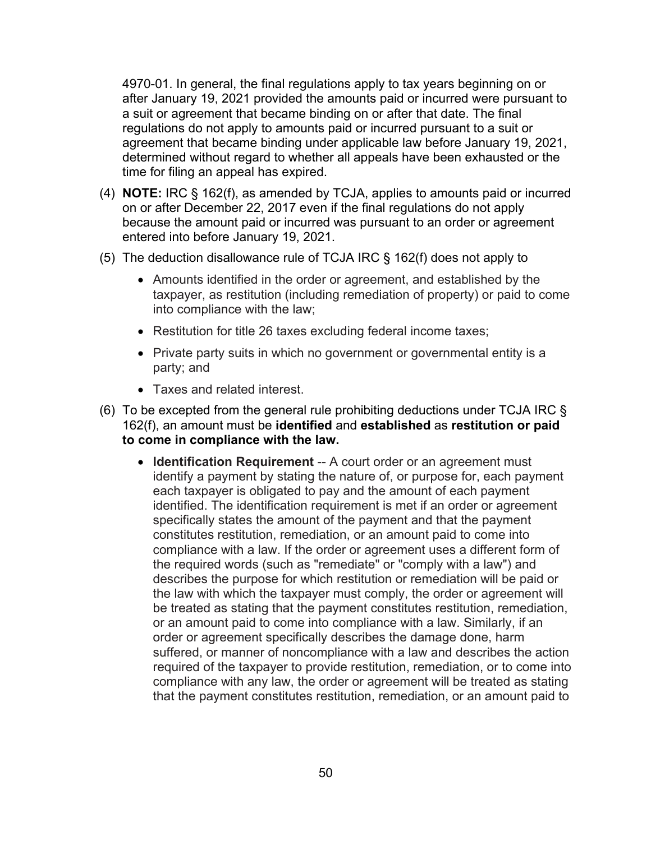4970-01. In general, the final regulations apply to tax years beginning on or after January 19, 2021 provided the amounts paid or incurred were pursuant to a suit or agreement that became binding on or after that date. The final regulations do not apply to amounts paid or incurred pursuant to a suit or agreement that became binding under applicable law before January 19, 2021, determined without regard to whether all appeals have been exhausted or the time for filing an appeal has expired.

- (4) **NOTE:** IRC § 162(f), as amended by TCJA, applies to amounts paid or incurred on or after December 22, 2017 even if the final regulations do not apply because the amount paid or incurred was pursuant to an order or agreement entered into before January 19, 2021.
- (5) The deduction disallowance rule of TCJA IRC § 162(f) does not apply to
	- Amounts identified in the order or agreement, and established by the taxpayer, as restitution (including remediation of property) or paid to come into compliance with the law;
	- Restitution for title 26 taxes excluding federal income taxes;
	- Private party suits in which no government or governmental entity is a party; and
	- Taxes and related interest.
- (6) To be excepted from the general rule prohibiting deductions under TCJA IRC  $\S$ 162(f), an amount must be **identified** and **established** as **restitution or paid to come in compliance with the law.**
	- **Identification Requirement** -- A court order or an agreement must identify a payment by stating the nature of, or purpose for, each payment each taxpayer is obligated to pay and the amount of each payment identified. The identification requirement is met if an order or agreement specifically states the amount of the payment and that the payment constitutes restitution, remediation, or an amount paid to come into compliance with a law. If the order or agreement uses a different form of the required words (such as "remediate" or "comply with a law") and describes the purpose for which restitution or remediation will be paid or the law with which the taxpayer must comply, the order or agreement will be treated as stating that the payment constitutes restitution, remediation, or an amount paid to come into compliance with a law. Similarly, if an order or agreement specifically describes the damage done, harm suffered, or manner of noncompliance with a law and describes the action required of the taxpayer to provide restitution, remediation, or to come into compliance with any law, the order or agreement will be treated as stating that the payment constitutes restitution, remediation, or an amount paid to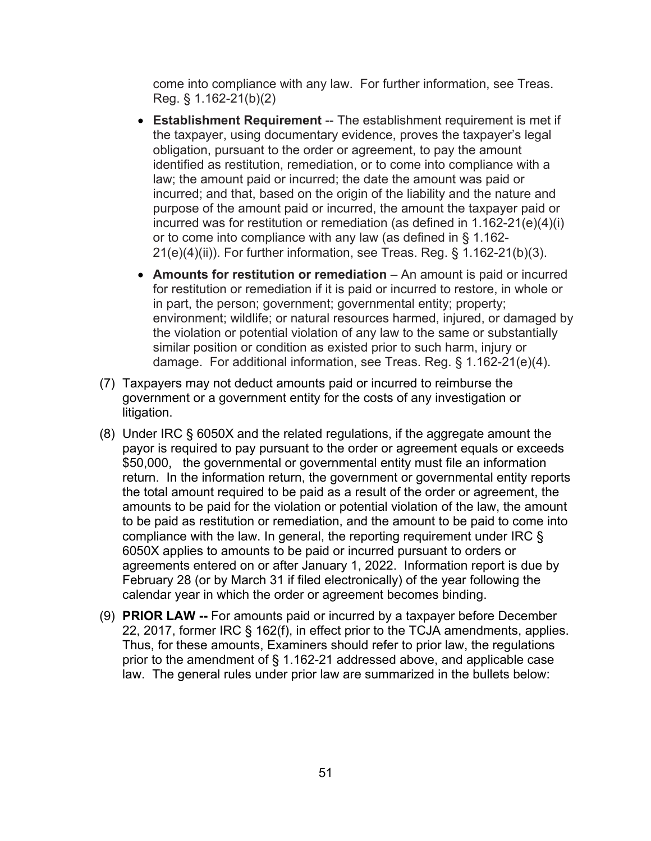come into compliance with any law. For further information, see Treas. Reg. § 1.162-21(b)(2)

- **Establishment Requirement** -- The establishment requirement is met if the taxpayer, using documentary evidence, proves the taxpayer's legal obligation, pursuant to the order or agreement, to pay the amount identified as restitution, remediation, or to come into compliance with a law; the amount paid or incurred; the date the amount was paid or incurred; and that, based on the origin of the liability and the nature and purpose of the amount paid or incurred, the amount the taxpayer paid or incurred was for restitution or remediation (as defined in 1.162-21(e)(4)(i) or to come into compliance with any law (as defined in § 1.162- 21(e)(4)(ii)). For further information, see Treas. Reg. § 1.162-21(b)(3).
- **Amounts for restitution or remediation** An amount is paid or incurred for restitution or remediation if it is paid or incurred to restore, in whole or in part, the person; government; governmental entity; property; environment; wildlife; or natural resources harmed, injured, or damaged by the violation or potential violation of any law to the same or substantially similar position or condition as existed prior to such harm, injury or damage. For additional information, see Treas. Reg. § 1.162-21(e)(4).
- (7) Taxpayers may not deduct amounts paid or incurred to reimburse the government or a government entity for the costs of any investigation or litigation.
- (8) Under IRC § 6050X and the related regulations, if the aggregate amount the payor is required to pay pursuant to the order or agreement equals or exceeds \$50,000, the governmental or governmental entity must file an information return. In the information return, the government or governmental entity reports the total amount required to be paid as a result of the order or agreement, the amounts to be paid for the violation or potential violation of the law, the amount to be paid as restitution or remediation, and the amount to be paid to come into compliance with the law. In general, the reporting requirement under IRC § 6050X applies to amounts to be paid or incurred pursuant to orders or agreements entered on or after January 1, 2022. Information report is due by February 28 (or by March 31 if filed electronically) of the year following the calendar year in which the order or agreement becomes binding.
- (9) **PRIOR LAW --** For amounts paid or incurred by a taxpayer before December 22, 2017, former IRC § 162(f), in effect prior to the TCJA amendments, applies. Thus, for these amounts, Examiners should refer to prior law, the regulations prior to the amendment of § 1.162-21 addressed above, and applicable case law. The general rules under prior law are summarized in the bullets below: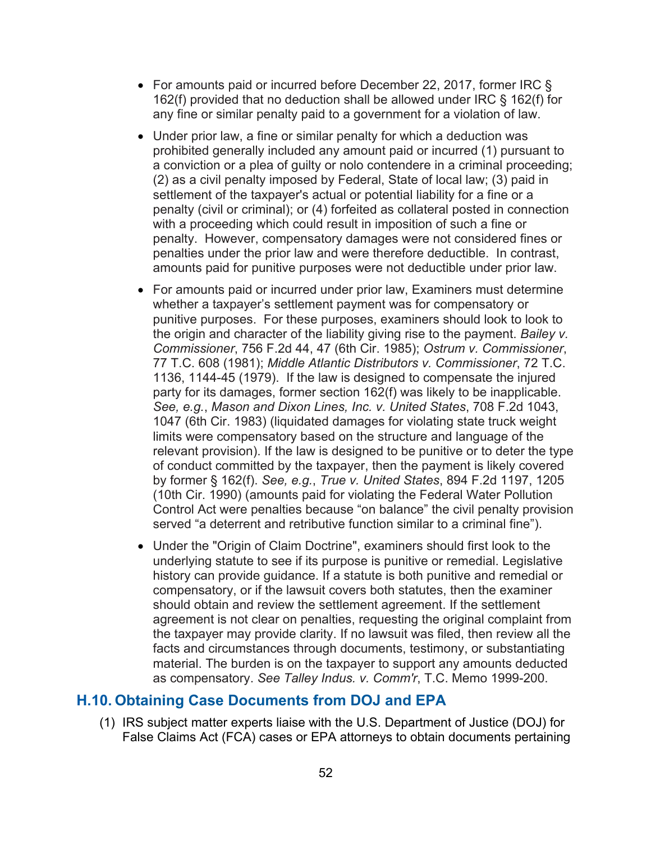- For amounts paid or incurred before December 22, 2017, former IRC § 162(f) provided that no deduction shall be allowed under IRC § 162(f) for any fine or similar penalty paid to a government for a violation of law.
- Under prior law, a fine or similar penalty for which a deduction was prohibited generally included any amount paid or incurred (1) pursuant to a conviction or a plea of guilty or nolo contendere in a criminal proceeding; (2) as a civil penalty imposed by Federal, State of local law; (3) paid in settlement of the taxpayer's actual or potential liability for a fine or a penalty (civil or criminal); or (4) forfeited as collateral posted in connection with a proceeding which could result in imposition of such a fine or penalty. However, compensatory damages were not considered fines or penalties under the prior law and were therefore deductible. In contrast, amounts paid for punitive purposes were not deductible under prior law.
- For amounts paid or incurred under prior law, Examiners must determine whether a taxpayer's settlement payment was for compensatory or punitive purposes. For these purposes, examiners should look to look to the origin and character of the liability giving rise to the payment. *Bailey v. Commissioner*, 756 F.2d 44, 47 (6th Cir. 1985); *Ostrum v. Commissioner*, 77 T.C. 608 (1981); *Middle Atlantic Distributors v. Commissioner*, 72 T.C. 1136, 1144-45 (1979). If the law is designed to compensate the injured party for its damages, former section 162(f) was likely to be inapplicable. *See, e.g.*, *Mason and Dixon Lines, Inc. v. United States*, 708 F.2d 1043, 1047 (6th Cir. 1983) (liquidated damages for violating state truck weight limits were compensatory based on the structure and language of the relevant provision). If the law is designed to be punitive or to deter the type of conduct committed by the taxpayer, then the payment is likely covered by former § 162(f). *See, e.g.*, *True v. United States*, 894 F.2d 1197, 1205 (10th Cir. 1990) (amounts paid for violating the Federal Water Pollution Control Act were penalties because "on balance" the civil penalty provision served "a deterrent and retributive function similar to a criminal fine").
- Under the "Origin of Claim Doctrine", examiners should first look to the underlying statute to see if its purpose is punitive or remedial. Legislative history can provide guidance. If a statute is both punitive and remedial or compensatory, or if the lawsuit covers both statutes, then the examiner should obtain and review the settlement agreement. If the settlement agreement is not clear on penalties, requesting the original complaint from the taxpayer may provide clarity. If no lawsuit was filed, then review all the facts and circumstances through documents, testimony, or substantiating material. The burden is on the taxpayer to support any amounts deducted as compensatory. *See Talley Indus. v. Comm'r*, T.C. Memo 1999-200.

#### **H.10. Obtaining Case Documents from DOJ and EPA**

(1) IRS subject matter experts liaise with the U.S. Department of Justice (DOJ) for False Claims Act (FCA) cases or EPA attorneys to obtain documents pertaining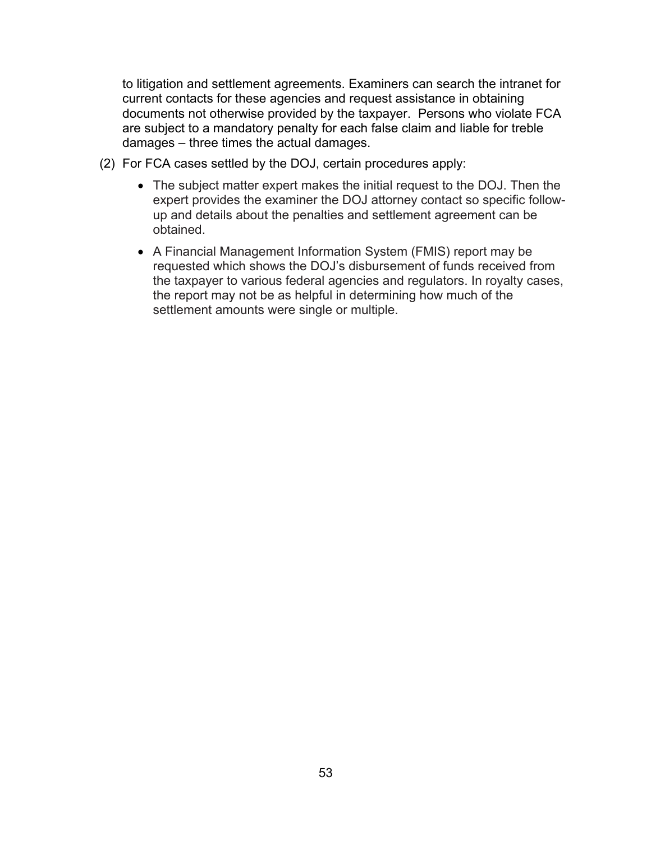to litigation and settlement agreements. Examiners can search the intranet for current contacts for these agencies and request assistance in obtaining documents not otherwise provided by the taxpayer. Persons who violate FCA are subject to a mandatory penalty for each false claim and liable for treble damages – three times the actual damages.

- (2) For FCA cases settled by the DOJ, certain procedures apply:
	- The subject matter expert makes the initial request to the DOJ. Then the expert provides the examiner the DOJ attorney contact so specific followup and details about the penalties and settlement agreement can be obtained.
	- A Financial Management Information System (FMIS) report may be requested which shows the DOJ's disbursement of funds received from the taxpayer to various federal agencies and regulators. In royalty cases, the report may not be as helpful in determining how much of the settlement amounts were single or multiple.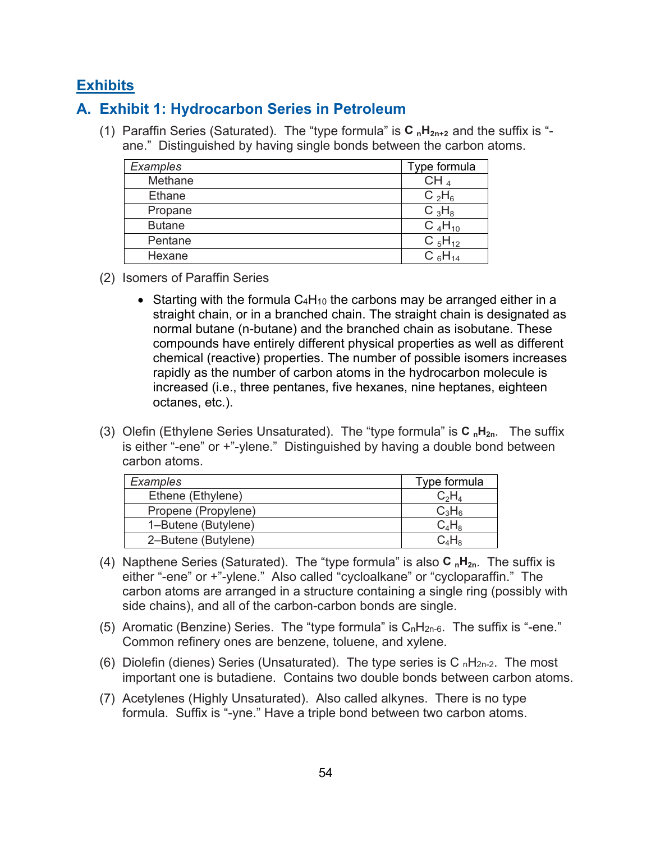# **Exhibits**

# **A. Exhibit 1: Hydrocarbon Series in Petroleum**

(1) Paraffin Series (Saturated). The "type formula" is **C nH2n+2** and the suffix is " ane." Distinguished by having single bonds between the carbon atoms.

| Examples      | Type formula    |
|---------------|-----------------|
| Methane       | CH <sub>4</sub> |
| Ethane        | $C_2H_6$        |
| Propane       | $C_3H_8$        |
| <b>Butane</b> | $C_4H_{10}$     |
| Pentane       | $C_5H_{12}$     |
| Hexane        | $C_6H_{14}$     |

- (2) Isomers of Paraffin Series
	- Starting with the formula  $C_4H_{10}$  the carbons may be arranged either in a straight chain, or in a branched chain. The straight chain is designated as normal butane (n-butane) and the branched chain as isobutane. These compounds have entirely different physical properties as well as different chemical (reactive) properties. The number of possible isomers increases rapidly as the number of carbon atoms in the hydrocarbon molecule is increased (i.e., three pentanes, five hexanes, nine heptanes, eighteen octanes, etc.).
- (3) Olefin (Ethylene Series Unsaturated). The "type formula" is **C nH2n**. The suffix is either "-ene" or +"-ylene." Distinguished by having a double bond between carbon atoms.

| Examples            | Type formula  |
|---------------------|---------------|
| Ethene (Ethylene)   | $\rm{C_2H_4}$ |
| Propene (Propylene) | $C_3H_6$      |
| 1-Butene (Butylene) | $C_4H_8$      |
| 2-Butene (Butylene) |               |

- (4) Napthene Series (Saturated). The "type formula" is also **C nH2n**. The suffix is either "-ene" or +"-ylene." Also called "cycloalkane" or "cycloparaffin." The carbon atoms are arranged in a structure containing a single ring (possibly with side chains), and all of the carbon-carbon bonds are single.
- (5) Aromatic (Benzine) Series. The "type formula" is  $C_nH_{2n-6}$ . The suffix is "-ene." Common refinery ones are benzene, toluene, and xylene.
- (6) Diolefin (dienes) Series (Unsaturated). The type series is C<sub>n</sub>H<sub>2n-2</sub>. The most important one is butadiene. Contains two double bonds between carbon atoms.
- (7) Acetylenes (Highly Unsaturated). Also called alkynes. There is no type formula. Suffix is "-yne." Have a triple bond between two carbon atoms.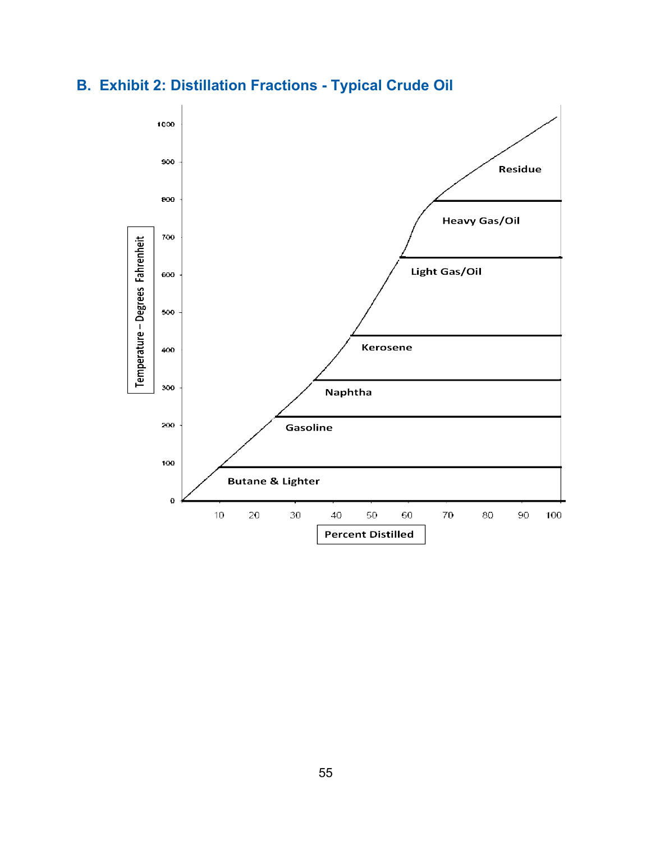

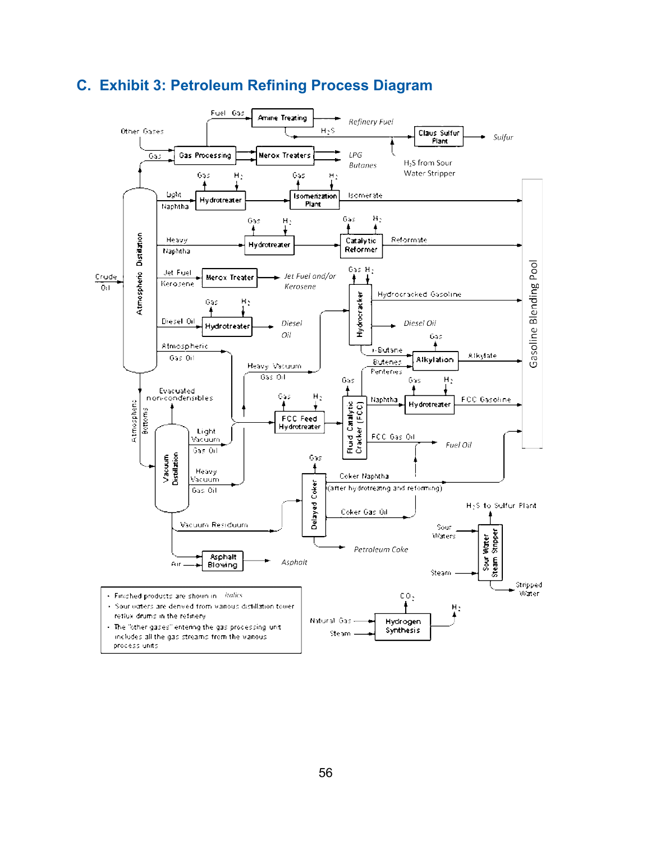

# **C. Exhibit 3: Petroleum Refining Process Diagram**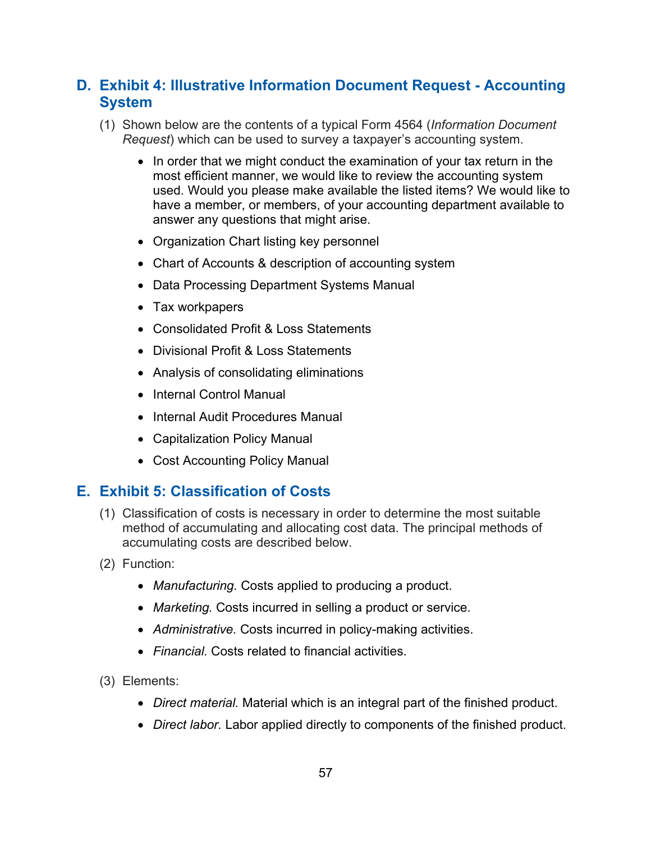# **D. Exhibit 4: Illustrative Information Document Request - Accounting System**

- (1) Shown below are the contents of a typical Form 4564 (*Information Document Request*) which can be used to survey a taxpayer's accounting system.
	- In order that we might conduct the examination of your tax return in the most efficient manner, we would like to review the accounting system used. Would you please make available the listed items? We would like to have a member, or members, of your accounting department available to answer any questions that might arise.
	- Organization Chart listing key personnel
	- Chart of Accounts & description of accounting system
	- Data Processing Department Systems Manual
	- Tax workpapers
	- Consolidated Profit & Loss Statements
	- Divisional Profit & Loss Statements
	- Analysis of consolidating eliminations
	- Internal Control Manual
	- Internal Audit Procedures Manual
	- Capitalization Policy Manual
	- Cost Accounting Policy Manual

## **E. Exhibit 5: Classification of Costs**

- (1) Classification of costs is necessary in order to determine the most suitable method of accumulating and allocating cost data. The principal methods of accumulating costs are described below.
- (2) Function:
	- *Manufacturing.* Costs applied to producing a product.
	- *Marketing.* Costs incurred in selling a product or service.
	- *Administrative.* Costs incurred in policy-making activities.
	- *Financial.* Costs related to financial activities.
- (3) Elements:
	- *Direct material.* Material which is an integral part of the finished product.
	- *Direct labor.* Labor applied directly to components of the finished product.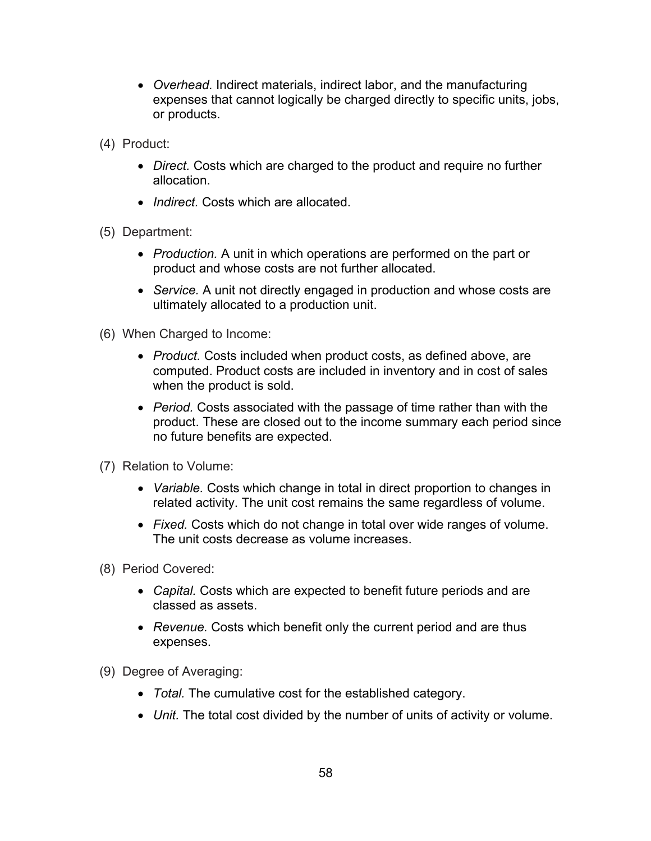- *Overhead.* Indirect materials, indirect labor, and the manufacturing expenses that cannot logically be charged directly to specific units, jobs, or products.
- (4) Product:
	- *Direct.* Costs which are charged to the product and require no further allocation.
	- *Indirect.* Costs which are allocated.
- (5) Department:
	- *Production.* A unit in which operations are performed on the part or product and whose costs are not further allocated.
	- *Service.* A unit not directly engaged in production and whose costs are ultimately allocated to a production unit.
- (6) When Charged to Income:
	- *Product.* Costs included when product costs, as defined above, are computed. Product costs are included in inventory and in cost of sales when the product is sold.
	- *Period.* Costs associated with the passage of time rather than with the product. These are closed out to the income summary each period since no future benefits are expected.
- (7) Relation to Volume:
	- *Variable.* Costs which change in total in direct proportion to changes in related activity. The unit cost remains the same regardless of volume.
	- *Fixed.* Costs which do not change in total over wide ranges of volume. The unit costs decrease as volume increases.
- (8) Period Covered:
	- *Capital.* Costs which are expected to benefit future periods and are classed as assets.
	- *Revenue.* Costs which benefit only the current period and are thus expenses.
- (9) Degree of Averaging:
	- *Total.* The cumulative cost for the established category.
	- *Unit.* The total cost divided by the number of units of activity or volume.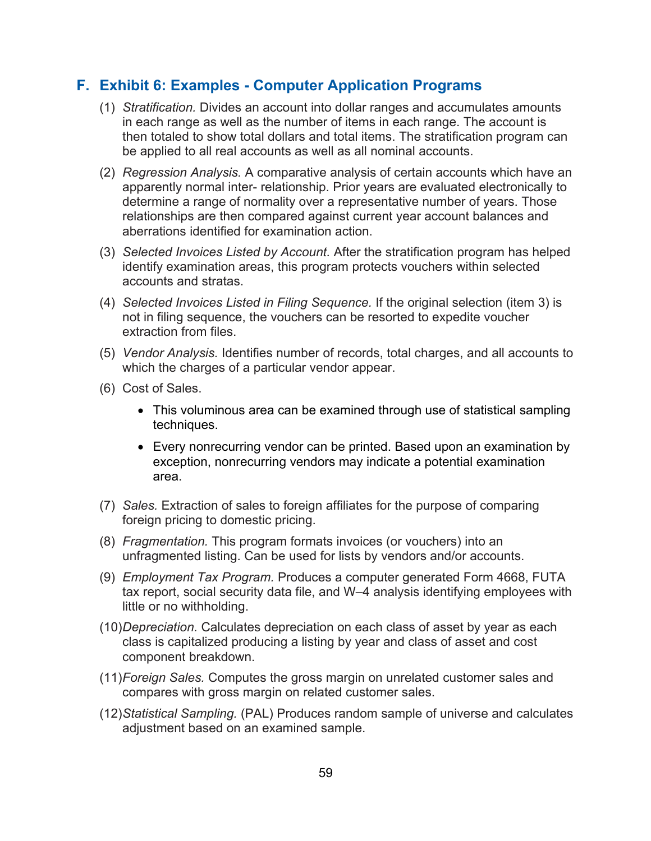### **F. Exhibit 6: Examples - Computer Application Programs**

- (1) *Stratification.* Divides an account into dollar ranges and accumulates amounts in each range as well as the number of items in each range. The account is then totaled to show total dollars and total items. The stratification program can be applied to all real accounts as well as all nominal accounts.
- (2) *Regression Analysis.* A comparative analysis of certain accounts which have an apparently normal inter- relationship. Prior years are evaluated electronically to determine a range of normality over a representative number of years. Those relationships are then compared against current year account balances and aberrations identified for examination action.
- (3) *Selected Invoices Listed by Account.* After the stratification program has helped identify examination areas, this program protects vouchers within selected accounts and stratas.
- (4) *Selected Invoices Listed in Filing Sequence.* If the original selection (item 3) is not in filing sequence, the vouchers can be resorted to expedite voucher extraction from files.
- (5) *Vendor Analysis.* Identifies number of records, total charges, and all accounts to which the charges of a particular vendor appear.
- (6) Cost of Sales.
	- This voluminous area can be examined through use of statistical sampling techniques.
	- Every nonrecurring vendor can be printed. Based upon an examination by exception, nonrecurring vendors may indicate a potential examination area.
- (7) *Sales.* Extraction of sales to foreign affiliates for the purpose of comparing foreign pricing to domestic pricing.
- (8) *Fragmentation.* This program formats invoices (or vouchers) into an unfragmented listing. Can be used for lists by vendors and/or accounts.
- (9) *Employment Tax Program.* Produces a computer generated Form 4668, FUTA tax report, social security data file, and W–4 analysis identifying employees with little or no withholding.
- (10)*Depreciation.* Calculates depreciation on each class of asset by year as each class is capitalized producing a listing by year and class of asset and cost component breakdown.
- (11)*Foreign Sales.* Computes the gross margin on unrelated customer sales and compares with gross margin on related customer sales.
- (12)*Statistical Sampling.* (PAL) Produces random sample of universe and calculates adjustment based on an examined sample.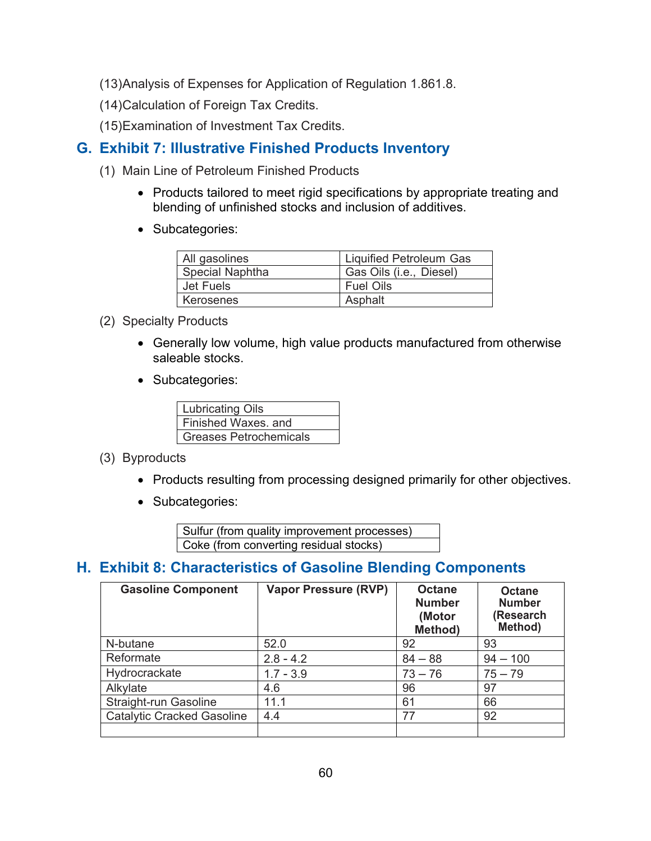- (13)Analysis of Expenses for Application of Regulation 1.861.8.
- (14)Calculation of Foreign Tax Credits.
- (15)Examination of Investment Tax Credits.

# **G. Exhibit 7: Illustrative Finished Products Inventory**

- (1) Main Line of Petroleum Finished Products
	- Products tailored to meet rigid specifications by appropriate treating and blending of unfinished stocks and inclusion of additives.
	- Subcategories:

| All gasolines   | <b>Liquified Petroleum Gas</b> |
|-----------------|--------------------------------|
| Special Naphtha | Gas Oils (i.e., Diesel)        |
| Jet Fuels       | <b>Fuel Oils</b>               |
| Kerosenes       | Asphalt                        |

- (2) Specialty Products
	- Generally low volume, high value products manufactured from otherwise saleable stocks.
	- Subcategories:

| <b>Lubricating Oils</b>       |
|-------------------------------|
| Finished Waxes, and           |
| <b>Greases Petrochemicals</b> |

- (3) Byproducts
	- Products resulting from processing designed primarily for other objectives.
	- Subcategories:

Sulfur (from quality improvement processes) Coke (from converting residual stocks)

# **H. Exhibit 8: Characteristics of Gasoline Blending Components**

| <b>Gasoline Component</b>         | <b>Vapor Pressure (RVP)</b> | <b>Octane</b><br><b>Number</b><br>(Motor<br>Method) | <b>Octane</b><br><b>Number</b><br>(Research<br>Method) |
|-----------------------------------|-----------------------------|-----------------------------------------------------|--------------------------------------------------------|
| N-butane                          | 52.0                        | 92                                                  | 93                                                     |
| Reformate                         | $2.8 - 4.2$                 | $84 - 88$                                           | $94 - 100$                                             |
| Hydrocrackate                     | $1.7 - 3.9$                 | $73 - 76$                                           | $75 - 79$                                              |
| Alkylate                          | 4.6                         | 96                                                  | 97                                                     |
| Straight-run Gasoline             | 11.1                        | 61                                                  | 66                                                     |
| <b>Catalytic Cracked Gasoline</b> | 4.4                         | 77                                                  | 92                                                     |
|                                   |                             |                                                     |                                                        |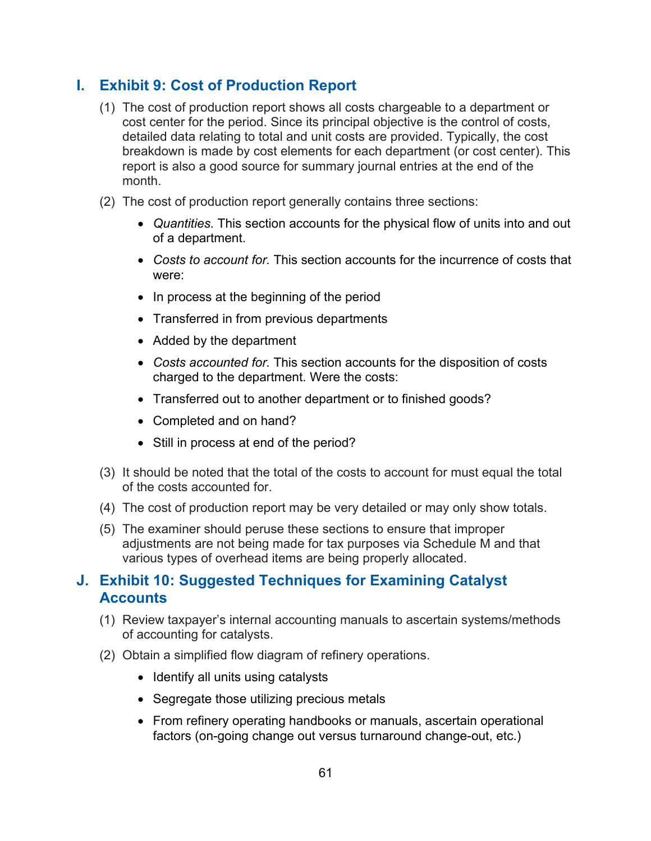# **I. Exhibit 9: Cost of Production Report**

- (1) The cost of production report shows all costs chargeable to a department or cost center for the period. Since its principal objective is the control of costs, detailed data relating to total and unit costs are provided. Typically, the cost breakdown is made by cost elements for each department (or cost center). This report is also a good source for summary journal entries at the end of the month.
- (2) The cost of production report generally contains three sections:
	- *Quantities.* This section accounts for the physical flow of units into and out of a department.
	- *Costs to account for.* This section accounts for the incurrence of costs that were:
	- In process at the beginning of the period
	- Transferred in from previous departments
	- Added by the department
	- *Costs accounted for.* This section accounts for the disposition of costs charged to the department. Were the costs:
	- Transferred out to another department or to finished goods?
	- Completed and on hand?
	- Still in process at end of the period?
- (3) It should be noted that the total of the costs to account for must equal the total of the costs accounted for.
- (4) The cost of production report may be very detailed or may only show totals.
- (5) The examiner should peruse these sections to ensure that improper adjustments are not being made for tax purposes via Schedule M and that various types of overhead items are being properly allocated.

## <span id="page-60-0"></span>**J. Exhibit 10: Suggested Techniques for Examining Catalyst Accounts**

- (1) Review taxpayer's internal accounting manuals to ascertain systems/methods of accounting for catalysts.
- (2) Obtain a simplified flow diagram of refinery operations.
	- Identify all units using catalysts
	- Segregate those utilizing precious metals
	- From refinery operating handbooks or manuals, ascertain operational factors (on-going change out versus turnaround change-out, etc.)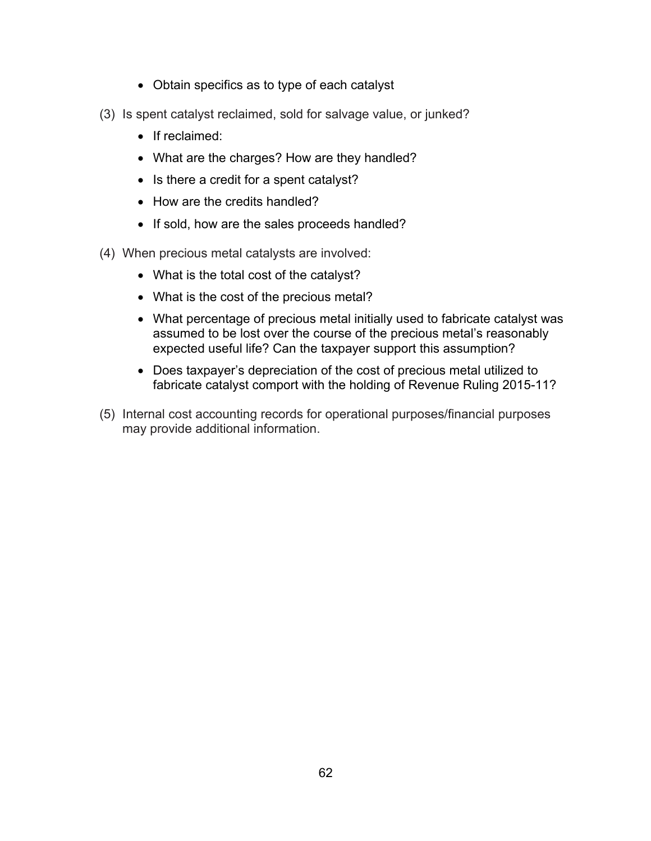- Obtain specifics as to type of each catalyst
- (3) Is spent catalyst reclaimed, sold for salvage value, or junked?
	- If reclaimed:
	- What are the charges? How are they handled?
	- Is there a credit for a spent catalyst?
	- How are the credits handled?
	- If sold, how are the sales proceeds handled?
- (4) When precious metal catalysts are involved:
	- What is the total cost of the catalyst?
	- What is the cost of the precious metal?
	- What percentage of precious metal initially used to fabricate catalyst was assumed to be lost over the course of the precious metal's reasonably expected useful life? Can the taxpayer support this assumption?
	- Does taxpayer's depreciation of the cost of precious metal utilized to fabricate catalyst comport with the holding of Revenue Ruling 2015-11?
- (5) Internal cost accounting records for operational purposes/financial purposes may provide additional information.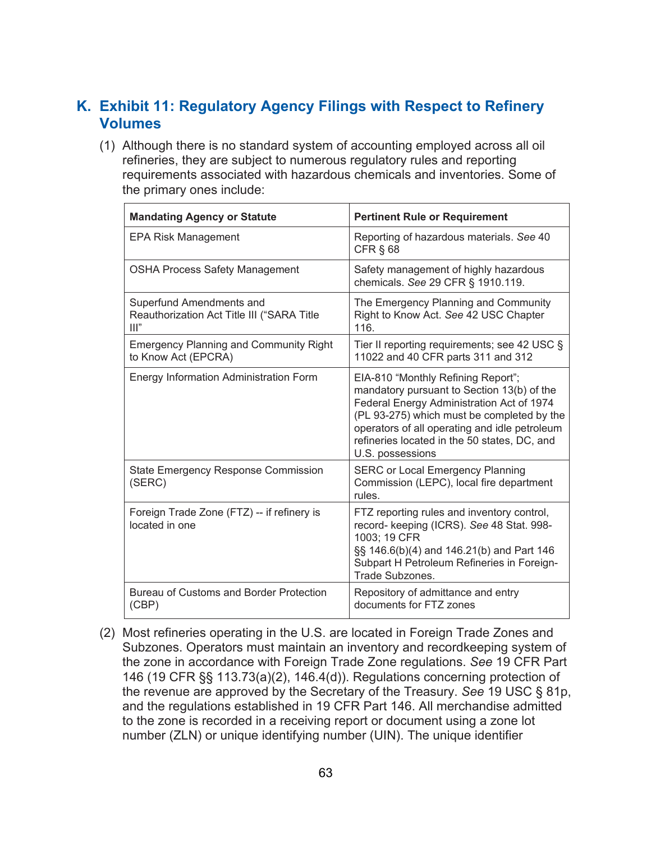# **K. Exhibit 11: Regulatory Agency Filings with Respect to Refinery Volumes**

(1) Although there is no standard system of accounting employed across all oil refineries, they are subject to numerous regulatory rules and reporting requirements associated with hazardous chemicals and inventories. Some of the primary ones include:

| <b>Mandating Agency or Statute</b>                                                       | <b>Pertinent Rule or Requirement</b>                                                                                                                                                                                                                                                             |
|------------------------------------------------------------------------------------------|--------------------------------------------------------------------------------------------------------------------------------------------------------------------------------------------------------------------------------------------------------------------------------------------------|
| <b>EPA Risk Management</b>                                                               | Reporting of hazardous materials. See 40<br>CFR $§$ 68                                                                                                                                                                                                                                           |
| <b>OSHA Process Safety Management</b>                                                    | Safety management of highly hazardous<br>chemicals. See 29 CFR § 1910.119.                                                                                                                                                                                                                       |
| Superfund Amendments and<br>Reauthorization Act Title III ("SARA Title<br>$\mathbf{III}$ | The Emergency Planning and Community<br>Right to Know Act. See 42 USC Chapter<br>116.                                                                                                                                                                                                            |
| <b>Emergency Planning and Community Right</b><br>to Know Act (EPCRA)                     | Tier II reporting requirements; see 42 USC §<br>11022 and 40 CFR parts 311 and 312                                                                                                                                                                                                               |
| <b>Energy Information Administration Form</b>                                            | EIA-810 "Monthly Refining Report";<br>mandatory pursuant to Section 13(b) of the<br>Federal Energy Administration Act of 1974<br>(PL 93-275) which must be completed by the<br>operators of all operating and idle petroleum<br>refineries located in the 50 states, DC, and<br>U.S. possessions |
| <b>State Emergency Response Commission</b><br>(SERC)                                     | <b>SERC or Local Emergency Planning</b><br>Commission (LEPC), local fire department<br>rules.                                                                                                                                                                                                    |
| Foreign Trade Zone (FTZ) -- if refinery is<br>located in one                             | FTZ reporting rules and inventory control,<br>record- keeping (ICRS). See 48 Stat. 998-<br>1003; 19 CFR<br>§§ 146.6(b)(4) and 146.21(b) and Part 146<br>Subpart H Petroleum Refineries in Foreign-<br>Trade Subzones.                                                                            |
| <b>Bureau of Customs and Border Protection</b><br>(CBP)                                  | Repository of admittance and entry<br>documents for FTZ zones                                                                                                                                                                                                                                    |

(2) Most refineries operating in the U.S. are located in Foreign Trade Zones and Subzones. Operators must maintain an inventory and recordkeeping system of the zone in accordance with Foreign Trade Zone regulations. *See* 19 CFR Part 146 (19 CFR §§ 113.73(a)(2), 146.4(d)). Regulations concerning protection of the revenue are approved by the Secretary of the Treasury. *See* 19 USC § 81p, and the regulations established in 19 CFR Part 146. All merchandise admitted to the zone is recorded in a receiving report or document using a zone lot number (ZLN) or unique identifying number (UIN). The unique identifier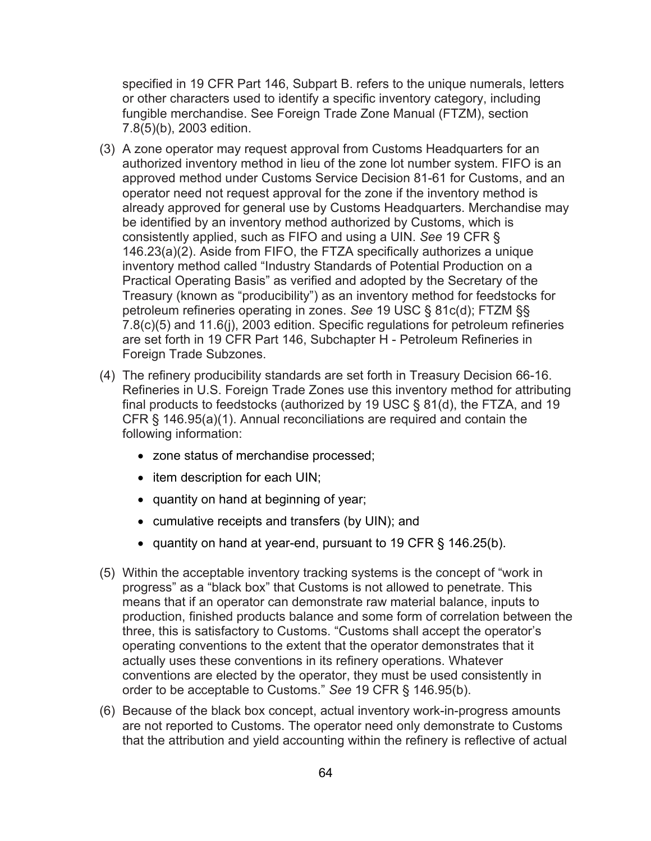specified in 19 CFR Part 146, Subpart B. refers to the unique numerals, letters or other characters used to identify a specific inventory category, including fungible merchandise. See Foreign Trade Zone Manual (FTZM), section 7.8(5)(b), 2003 edition.

- (3) A zone operator may request approval from Customs Headquarters for an authorized inventory method in lieu of the zone lot number system. FIFO is an approved method under Customs Service Decision 81-61 for Customs, and an operator need not request approval for the zone if the inventory method is already approved for general use by Customs Headquarters. Merchandise may be identified by an inventory method authorized by Customs, which is consistently applied, such as FIFO and using a UIN. *See* 19 CFR § 146.23(a)(2). Aside from FIFO, the FTZA specifically authorizes a unique inventory method called "Industry Standards of Potential Production on a Practical Operating Basis" as verified and adopted by the Secretary of the Treasury (known as "producibility") as an inventory method for feedstocks for petroleum refineries operating in zones. *See* 19 USC § 81c(d); FTZM §§ 7.8(c)(5) and 11.6(j), 2003 edition. Specific regulations for petroleum refineries are set forth in 19 CFR Part 146, Subchapter H - Petroleum Refineries in Foreign Trade Subzones.
- (4) The refinery producibility standards are set forth in Treasury Decision 66-16. Refineries in U.S. Foreign Trade Zones use this inventory method for attributing final products to feedstocks (authorized by 19 USC § 81(d), the FTZA, and 19 CFR § 146.95(a)(1). Annual reconciliations are required and contain the following information:
	- zone status of merchandise processed;
	- item description for each UIN;
	- quantity on hand at beginning of year;
	- cumulative receipts and transfers (by UIN); and
	- quantity on hand at year-end, pursuant to 19 CFR § 146.25(b).
- (5) Within the acceptable inventory tracking systems is the concept of "work in progress" as a "black box" that Customs is not allowed to penetrate. This means that if an operator can demonstrate raw material balance, inputs to production, finished products balance and some form of correlation between the three, this is satisfactory to Customs. "Customs shall accept the operator's operating conventions to the extent that the operator demonstrates that it actually uses these conventions in its refinery operations. Whatever conventions are elected by the operator, they must be used consistently in order to be acceptable to Customs." *See* 19 CFR § 146.95(b).
- (6) Because of the black box concept, actual inventory work-in-progress amounts are not reported to Customs. The operator need only demonstrate to Customs that the attribution and yield accounting within the refinery is reflective of actual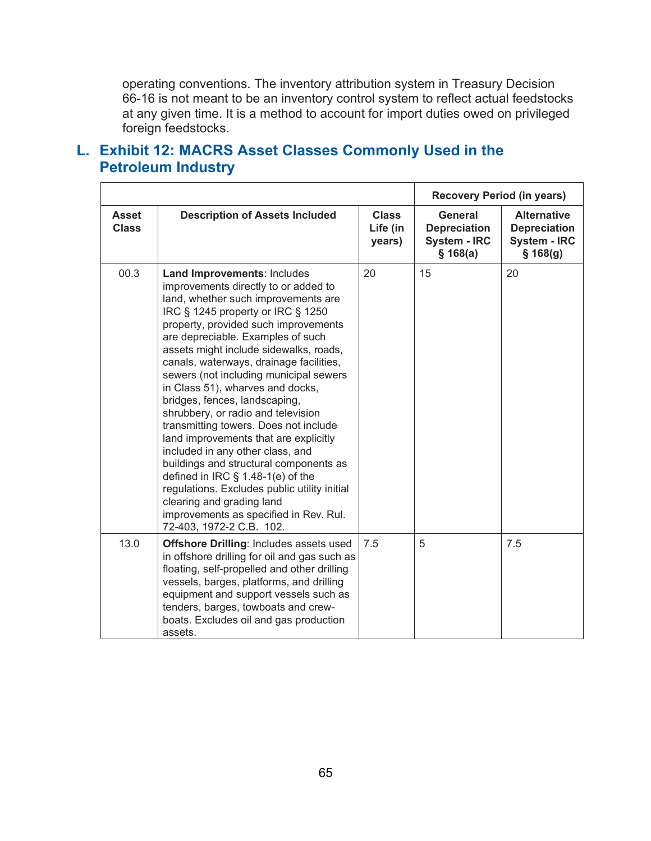operating conventions. The inventory attribution system in Treasury Decision 66-16 is not meant to be an inventory control system to reflect actual feedstocks at any given time. It is a method to account for import duties owed on privileged foreign feedstocks.

# **L. Exhibit 12: MACRS Asset Classes Commonly Used in the Petroleum Industry**

|                              |                                                                                                                                                                                                                                                                                                                                                                                                                                                                                                                                                                                                                                                                                                                                                                                                                                   |                                    | <b>Recovery Period (in years)</b>                                 |                                                                              |
|------------------------------|-----------------------------------------------------------------------------------------------------------------------------------------------------------------------------------------------------------------------------------------------------------------------------------------------------------------------------------------------------------------------------------------------------------------------------------------------------------------------------------------------------------------------------------------------------------------------------------------------------------------------------------------------------------------------------------------------------------------------------------------------------------------------------------------------------------------------------------|------------------------------------|-------------------------------------------------------------------|------------------------------------------------------------------------------|
| <b>Asset</b><br><b>Class</b> | <b>Description of Assets Included</b>                                                                                                                                                                                                                                                                                                                                                                                                                                                                                                                                                                                                                                                                                                                                                                                             | <b>Class</b><br>Life (in<br>years) | General<br><b>Depreciation</b><br><b>System - IRC</b><br>\$168(a) | <b>Alternative</b><br><b>Depreciation</b><br><b>System - IRC</b><br>\$168(g) |
| 00.3                         | Land Improvements: Includes<br>improvements directly to or added to<br>land, whether such improvements are<br>IRC § 1245 property or IRC § 1250<br>property, provided such improvements<br>are depreciable. Examples of such<br>assets might include sidewalks, roads,<br>canals, waterways, drainage facilities,<br>sewers (not including municipal sewers<br>in Class 51), wharves and docks,<br>bridges, fences, landscaping,<br>shrubbery, or radio and television<br>transmitting towers. Does not include<br>land improvements that are explicitly<br>included in any other class, and<br>buildings and structural components as<br>defined in IRC $\S$ 1.48-1(e) of the<br>regulations. Excludes public utility initial<br>clearing and grading land<br>improvements as specified in Rev. Rul.<br>72-403, 1972-2 C.B. 102. | 20                                 | 15                                                                | 20                                                                           |
| 13.0                         | <b>Offshore Drilling: Includes assets used</b><br>in offshore drilling for oil and gas such as<br>floating, self-propelled and other drilling<br>vessels, barges, platforms, and drilling<br>equipment and support vessels such as<br>tenders, barges, towboats and crew-<br>boats. Excludes oil and gas production<br>assets.                                                                                                                                                                                                                                                                                                                                                                                                                                                                                                    | 7.5                                | 5                                                                 | 7.5                                                                          |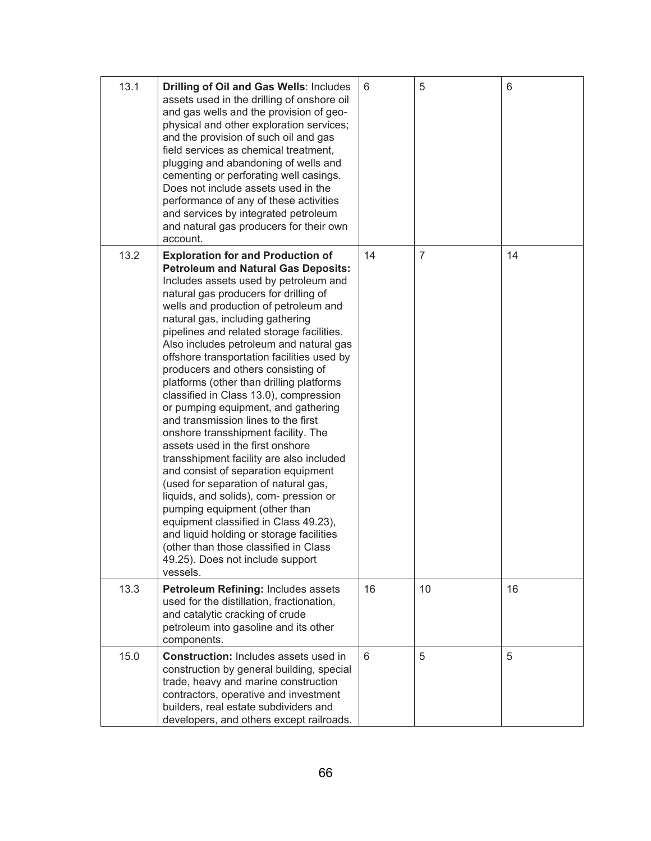| 13.1 | Drilling of Oil and Gas Wells: Includes<br>assets used in the drilling of onshore oil<br>and gas wells and the provision of geo-<br>physical and other exploration services;<br>and the provision of such oil and gas<br>field services as chemical treatment,<br>plugging and abandoning of wells and<br>cementing or perforating well casings.<br>Does not include assets used in the<br>performance of any of these activities<br>and services by integrated petroleum<br>and natural gas producers for their own<br>account.                                                                                                                                                                                                                                                                                                                                                                                                                                                                                                                                     | 6  | 5              | 6  |
|------|----------------------------------------------------------------------------------------------------------------------------------------------------------------------------------------------------------------------------------------------------------------------------------------------------------------------------------------------------------------------------------------------------------------------------------------------------------------------------------------------------------------------------------------------------------------------------------------------------------------------------------------------------------------------------------------------------------------------------------------------------------------------------------------------------------------------------------------------------------------------------------------------------------------------------------------------------------------------------------------------------------------------------------------------------------------------|----|----------------|----|
| 13.2 | <b>Exploration for and Production of</b><br><b>Petroleum and Natural Gas Deposits:</b><br>Includes assets used by petroleum and<br>natural gas producers for drilling of<br>wells and production of petroleum and<br>natural gas, including gathering<br>pipelines and related storage facilities.<br>Also includes petroleum and natural gas<br>offshore transportation facilities used by<br>producers and others consisting of<br>platforms (other than drilling platforms<br>classified in Class 13.0), compression<br>or pumping equipment, and gathering<br>and transmission lines to the first<br>onshore transshipment facility. The<br>assets used in the first onshore<br>transshipment facility are also included<br>and consist of separation equipment<br>(used for separation of natural gas,<br>liquids, and solids), com- pression or<br>pumping equipment (other than<br>equipment classified in Class 49.23),<br>and liquid holding or storage facilities<br>(other than those classified in Class<br>49.25). Does not include support<br>vessels. | 14 | $\overline{7}$ | 14 |
| 13.3 | Petroleum Refining: Includes assets<br>used for the distillation, fractionation,<br>and catalytic cracking of crude<br>petroleum into gasoline and its other<br>components.                                                                                                                                                                                                                                                                                                                                                                                                                                                                                                                                                                                                                                                                                                                                                                                                                                                                                          | 16 | 10             | 16 |
| 15.0 | <b>Construction:</b> Includes assets used in<br>construction by general building, special<br>trade, heavy and marine construction<br>contractors, operative and investment<br>builders, real estate subdividers and<br>developers, and others except railroads.                                                                                                                                                                                                                                                                                                                                                                                                                                                                                                                                                                                                                                                                                                                                                                                                      | 6  | 5              | 5  |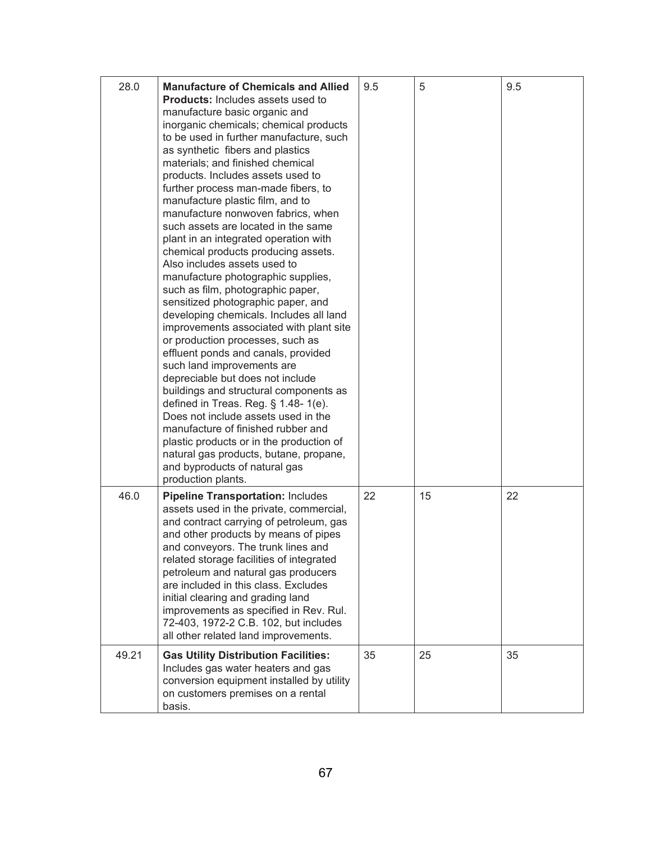| 28.0  | <b>Manufacture of Chemicals and Allied</b><br><b>Products:</b> Includes assets used to<br>manufacture basic organic and<br>inorganic chemicals; chemical products<br>to be used in further manufacture, such<br>as synthetic fibers and plastics<br>materials; and finished chemical<br>products. Includes assets used to<br>further process man-made fibers, to<br>manufacture plastic film, and to<br>manufacture nonwoven fabrics, when<br>such assets are located in the same<br>plant in an integrated operation with<br>chemical products producing assets.<br>Also includes assets used to<br>manufacture photographic supplies,<br>such as film, photographic paper,<br>sensitized photographic paper, and<br>developing chemicals. Includes all land<br>improvements associated with plant site<br>or production processes, such as<br>effluent ponds and canals, provided<br>such land improvements are<br>depreciable but does not include<br>buildings and structural components as<br>defined in Treas. Reg. $\S$ 1.48-1(e).<br>Does not include assets used in the<br>manufacture of finished rubber and<br>plastic products or in the production of<br>natural gas products, butane, propane,<br>and byproducts of natural gas<br>production plants. | 9.5 | 5  | 9.5 |
|-------|---------------------------------------------------------------------------------------------------------------------------------------------------------------------------------------------------------------------------------------------------------------------------------------------------------------------------------------------------------------------------------------------------------------------------------------------------------------------------------------------------------------------------------------------------------------------------------------------------------------------------------------------------------------------------------------------------------------------------------------------------------------------------------------------------------------------------------------------------------------------------------------------------------------------------------------------------------------------------------------------------------------------------------------------------------------------------------------------------------------------------------------------------------------------------------------------------------------------------------------------------------------------|-----|----|-----|
| 46.0  | <b>Pipeline Transportation: Includes</b><br>assets used in the private, commercial,<br>and contract carrying of petroleum, gas<br>and other products by means of pipes<br>and conveyors. The trunk lines and<br>related storage facilities of integrated<br>petroleum and natural gas producers<br>are included in this class. Excludes<br>initial clearing and grading land<br>improvements as specified in Rev. Rul.<br>72-403, 1972-2 C.B. 102, but includes<br>all other related land improvements.                                                                                                                                                                                                                                                                                                                                                                                                                                                                                                                                                                                                                                                                                                                                                             | 22  | 15 | 22  |
| 49.21 | <b>Gas Utility Distribution Facilities:</b><br>Includes gas water heaters and gas<br>conversion equipment installed by utility<br>on customers premises on a rental<br>basis.                                                                                                                                                                                                                                                                                                                                                                                                                                                                                                                                                                                                                                                                                                                                                                                                                                                                                                                                                                                                                                                                                       | 35  | 25 | 35  |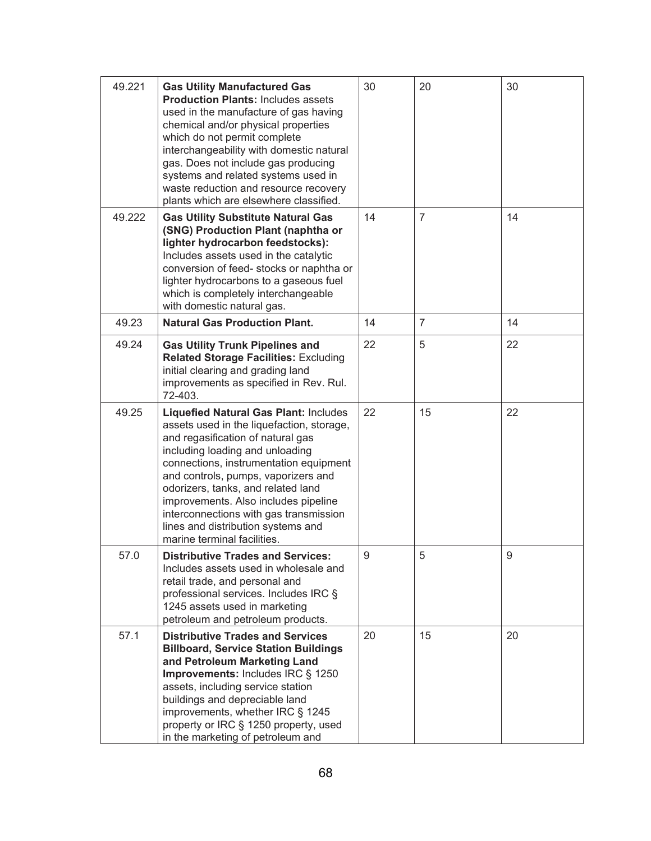| 49.221 | <b>Gas Utility Manufactured Gas</b><br><b>Production Plants: Includes assets</b><br>used in the manufacture of gas having<br>chemical and/or physical properties<br>which do not permit complete<br>interchangeability with domestic natural<br>gas. Does not include gas producing<br>systems and related systems used in<br>waste reduction and resource recovery<br>plants which are elsewhere classified.                                   | 30 | 20             | 30 |
|--------|-------------------------------------------------------------------------------------------------------------------------------------------------------------------------------------------------------------------------------------------------------------------------------------------------------------------------------------------------------------------------------------------------------------------------------------------------|----|----------------|----|
| 49.222 | <b>Gas Utility Substitute Natural Gas</b><br>(SNG) Production Plant (naphtha or<br>lighter hydrocarbon feedstocks):<br>Includes assets used in the catalytic<br>conversion of feed- stocks or naphtha or<br>lighter hydrocarbons to a gaseous fuel<br>which is completely interchangeable<br>with domestic natural gas.                                                                                                                         | 14 | $\overline{7}$ | 14 |
| 49.23  | <b>Natural Gas Production Plant.</b>                                                                                                                                                                                                                                                                                                                                                                                                            | 14 | $\overline{7}$ | 14 |
| 49.24  | <b>Gas Utility Trunk Pipelines and</b><br>Related Storage Facilities: Excluding<br>initial clearing and grading land<br>improvements as specified in Rev. Rul.<br>72-403.                                                                                                                                                                                                                                                                       | 22 | 5              | 22 |
| 49.25  | <b>Liquefied Natural Gas Plant: Includes</b><br>assets used in the liquefaction, storage,<br>and regasification of natural gas<br>including loading and unloading<br>connections, instrumentation equipment<br>and controls, pumps, vaporizers and<br>odorizers, tanks, and related land<br>improvements. Also includes pipeline<br>interconnections with gas transmission<br>lines and distribution systems and<br>marine terminal facilities. | 22 | 15             | 22 |
| 57.0   | <b>Distributive Trades and Services:</b><br>Includes assets used in wholesale and<br>retail trade, and personal and<br>professional services. Includes IRC §<br>1245 assets used in marketing<br>petroleum and petroleum products.                                                                                                                                                                                                              | 9  | 5              | 9  |
| 57.1   | <b>Distributive Trades and Services</b><br><b>Billboard, Service Station Buildings</b><br>and Petroleum Marketing Land<br>Improvements: Includes IRC § 1250<br>assets, including service station<br>buildings and depreciable land<br>improvements, whether IRC § 1245<br>property or IRC § 1250 property, used<br>in the marketing of petroleum and                                                                                            | 20 | 15             | 20 |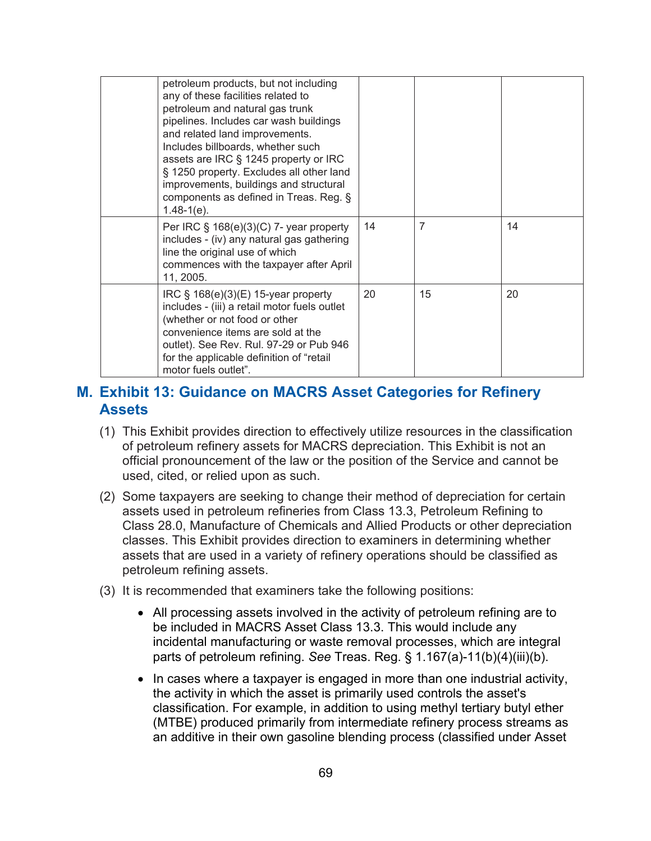| petroleum products, but not including<br>any of these facilities related to<br>petroleum and natural gas trunk<br>pipelines. Includes car wash buildings<br>and related land improvements.<br>Includes billboards, whether such<br>assets are IRC § 1245 property or IRC<br>§ 1250 property. Excludes all other land<br>improvements, buildings and structural<br>components as defined in Treas. Reg. §<br>$1.48-1(e)$ . |    |    |    |
|---------------------------------------------------------------------------------------------------------------------------------------------------------------------------------------------------------------------------------------------------------------------------------------------------------------------------------------------------------------------------------------------------------------------------|----|----|----|
| Per IRC $\S$ 168(e)(3)(C) 7- year property<br>includes - (iv) any natural gas gathering<br>line the original use of which<br>commences with the taxpayer after April<br>11, 2005.                                                                                                                                                                                                                                         | 14 | 7  | 14 |
| IRC $\S$ 168(e)(3)(E) 15-year property<br>includes - (iii) a retail motor fuels outlet<br>(whether or not food or other<br>convenience items are sold at the<br>outlet). See Rev. Rul. 97-29 or Pub 946<br>for the applicable definition of "retail<br>motor fuels outlet".                                                                                                                                               | 20 | 15 | 20 |

### **M. Exhibit 13: Guidance on MACRS Asset Categories for Refinery Assets**

- (1) This Exhibit provides direction to effectively utilize resources in the classification of petroleum refinery assets for MACRS depreciation. This Exhibit is not an official pronouncement of the law or the position of the Service and cannot be used, cited, or relied upon as such.
- (2) Some taxpayers are seeking to change their method of depreciation for certain assets used in petroleum refineries from Class 13.3, Petroleum Refining to Class 28.0, Manufacture of Chemicals and Allied Products or other depreciation classes. This Exhibit provides direction to examiners in determining whether assets that are used in a variety of refinery operations should be classified as petroleum refining assets.
- (3) It is recommended that examiners take the following positions:
	- All processing assets involved in the activity of petroleum refining are to be included in MACRS Asset Class 13.3. This would include any incidental manufacturing or waste removal processes, which are integral parts of petroleum refining. *See* Treas. Reg. § 1.167(a)-11(b)(4)(iii)(b).
	- In cases where a taxpayer is engaged in more than one industrial activity, the activity in which the asset is primarily used controls the asset's classification. For example, in addition to using methyl tertiary butyl ether (MTBE) produced primarily from intermediate refinery process streams as an additive in their own gasoline blending process (classified under Asset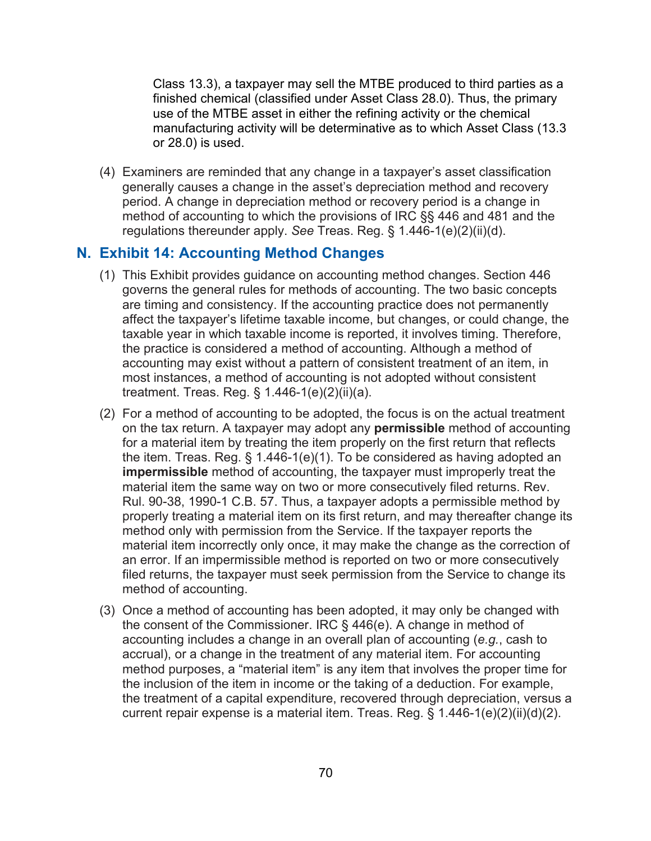Class 13.3), a taxpayer may sell the MTBE produced to third parties as a finished chemical (classified under Asset Class 28.0). Thus, the primary use of the MTBE asset in either the refining activity or the chemical manufacturing activity will be determinative as to which Asset Class (13.3 or 28.0) is used.

(4) Examiners are reminded that any change in a taxpayer's asset classification generally causes a change in the asset's depreciation method and recovery period. A change in depreciation method or recovery period is a change in method of accounting to which the provisions of IRC §§ 446 and 481 and the regulations thereunder apply. *See* Treas. Reg. § 1.446-1(e)(2)(ii)(d).

### **N. Exhibit 14: Accounting Method Changes**

- (1) This Exhibit provides guidance on accounting method changes. Section 446 governs the general rules for methods of accounting. The two basic concepts are timing and consistency. If the accounting practice does not permanently affect the taxpayer's lifetime taxable income, but changes, or could change, the taxable year in which taxable income is reported, it involves timing. Therefore, the practice is considered a method of accounting. Although a method of accounting may exist without a pattern of consistent treatment of an item, in most instances, a method of accounting is not adopted without consistent treatment. Treas. Reg. § 1.446-1(e)(2)(ii)(a).
- (2) For a method of accounting to be adopted, the focus is on the actual treatment on the tax return. A taxpayer may adopt any **permissible** method of accounting for a material item by treating the item properly on the first return that reflects the item. Treas. Reg. § 1.446-1(e)(1). To be considered as having adopted an **impermissible** method of accounting, the taxpayer must improperly treat the material item the same way on two or more consecutively filed returns. Rev. Rul. 90-38, 1990-1 C.B. 57. Thus, a taxpayer adopts a permissible method by properly treating a material item on its first return, and may thereafter change its method only with permission from the Service. If the taxpayer reports the material item incorrectly only once, it may make the change as the correction of an error. If an impermissible method is reported on two or more consecutively filed returns, the taxpayer must seek permission from the Service to change its method of accounting.
- (3) Once a method of accounting has been adopted, it may only be changed with the consent of the Commissioner. IRC § 446(e). A change in method of accounting includes a change in an overall plan of accounting (*e.g.*, cash to accrual), or a change in the treatment of any material item. For accounting method purposes, a "material item" is any item that involves the proper time for the inclusion of the item in income or the taking of a deduction. For example, the treatment of a capital expenditure, recovered through depreciation, versus a current repair expense is a material item. Treas. Reg. § 1.446-1(e)(2)(ii)(d)(2).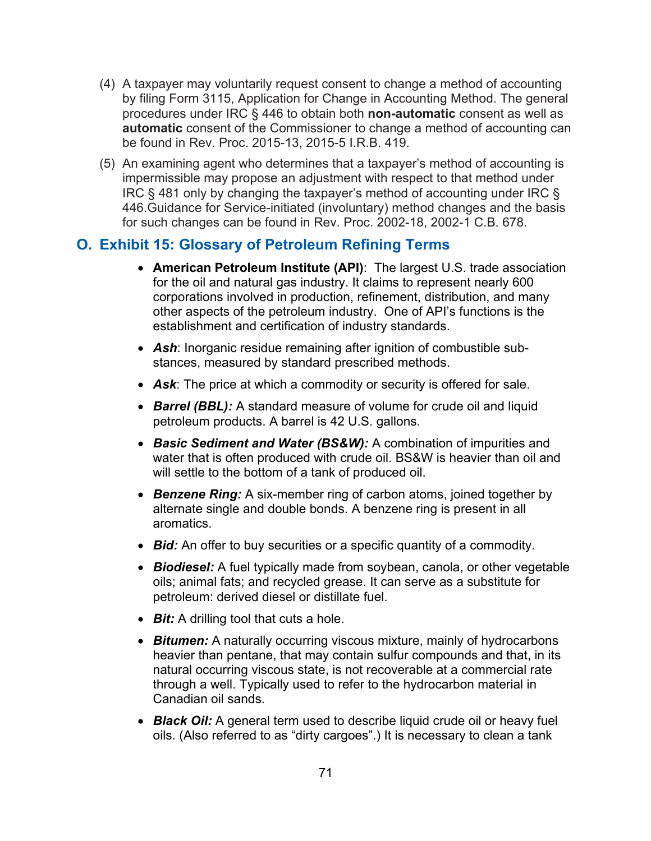- (4) A taxpayer may voluntarily request consent to change a method of accounting by filing Form 3115, Application for Change in Accounting Method. The general procedures under IRC § 446 to obtain both **non-automatic** consent as well as **automatic** consent of the Commissioner to change a method of accounting can be found in Rev. Proc. 2015-13, 2015-5 I.R.B. 419.
- (5) An examining agent who determines that a taxpayer's method of accounting is impermissible may propose an adjustment with respect to that method under IRC § 481 only by changing the taxpayer's method of accounting under IRC § 446.Guidance for Service-initiated (involuntary) method changes and the basis for such changes can be found in Rev. Proc. 2002-18, 2002-1 C.B. 678.

## **O. Exhibit 15: Glossary of Petroleum Refining Terms**

- **American Petroleum Institute (API)**: The largest U.S. trade association for the oil and natural gas industry. It claims to represent nearly 600 corporations involved in production, refinement, distribution, and many other aspects of the petroleum industry. One of API's functions is the establishment and certification of industry standards.
- *Ash*: Inorganic residue remaining after ignition of combustible substances, measured by standard prescribed methods.
- *Ask*: The price at which a commodity or security is offered for sale.
- *Barrel (BBL):* A standard measure of volume for crude oil and liquid petroleum products. A barrel is 42 U.S. gallons.
- *Basic Sediment and Water (BS&W):* A combination of impurities and water that is often produced with crude oil. BS&W is heavier than oil and will settle to the bottom of a tank of produced oil.
- *Benzene Ring:* A six-member ring of carbon atoms, joined together by alternate single and double bonds. A benzene ring is present in all aromatics.
- *Bid:* An offer to buy securities or a specific quantity of a commodity.
- *Biodiesel:* A fuel typically made from soybean, canola, or other vegetable oils; animal fats; and recycled grease. It can serve as a substitute for petroleum: derived diesel or distillate fuel.
- *Bit:* A drilling tool that cuts a hole.
- *Bitumen:* A naturally occurring viscous mixture, mainly of hydrocarbons heavier than pentane, that may contain sulfur compounds and that, in its natural occurring viscous state, is not recoverable at a commercial rate through a well. Typically used to refer to the hydrocarbon material in Canadian oil sands.
- *Black Oil:* A general term used to describe liquid crude oil or heavy fuel oils. (Also referred to as "dirty cargoes".) It is necessary to clean a tank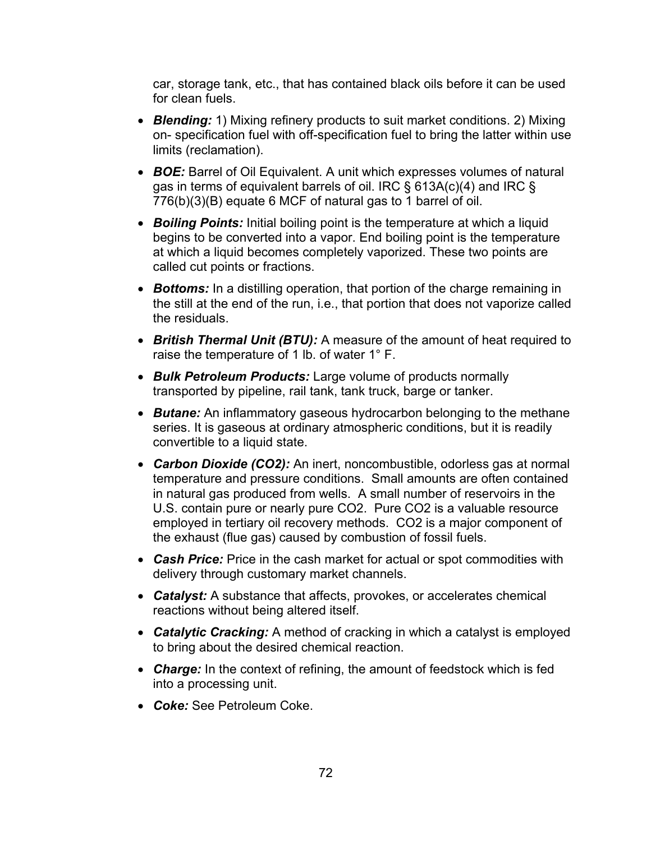car, storage tank, etc., that has contained black oils before it can be used for clean fuels.

- *Blending:* 1) Mixing refinery products to suit market conditions. 2) Mixing on- specification fuel with off-specification fuel to bring the latter within use limits (reclamation).
- **BOE:** Barrel of Oil Equivalent. A unit which expresses volumes of natural gas in terms of equivalent barrels of oil. IRC § 613A(c)(4) and IRC § 776(b)(3)(B) equate 6 MCF of natural gas to 1 barrel of oil.
- *Boiling Points:* Initial boiling point is the temperature at which a liquid begins to be converted into a vapor. End boiling point is the temperature at which a liquid becomes completely vaporized. These two points are called cut points or fractions.
- *Bottoms:* In a distilling operation, that portion of the charge remaining in the still at the end of the run, i.e., that portion that does not vaporize called the residuals.
- *British Thermal Unit (BTU):* A measure of the amount of heat required to raise the temperature of 1 lb. of water 1° F.
- *Bulk Petroleum Products:* Large volume of products normally transported by pipeline, rail tank, tank truck, barge or tanker.
- *Butane:* An inflammatory gaseous hydrocarbon belonging to the methane series. It is gaseous at ordinary atmospheric conditions, but it is readily convertible to a liquid state.
- *Carbon Dioxide (CO2):* An inert, noncombustible, odorless gas at normal temperature and pressure conditions. Small amounts are often contained in natural gas produced from wells. A small number of reservoirs in the U.S. contain pure or nearly pure CO2. Pure CO2 is a valuable resource employed in tertiary oil recovery methods. CO2 is a major component of the exhaust (flue gas) caused by combustion of fossil fuels.
- *Cash Price:* Price in the cash market for actual or spot commodities with delivery through customary market channels.
- *Catalyst:* A substance that affects, provokes, or accelerates chemical reactions without being altered itself.
- *Catalytic Cracking:* A method of cracking in which a catalyst is employed to bring about the desired chemical reaction.
- *Charge:* In the context of refining, the amount of feedstock which is fed into a processing unit.
- *Coke:* See Petroleum Coke.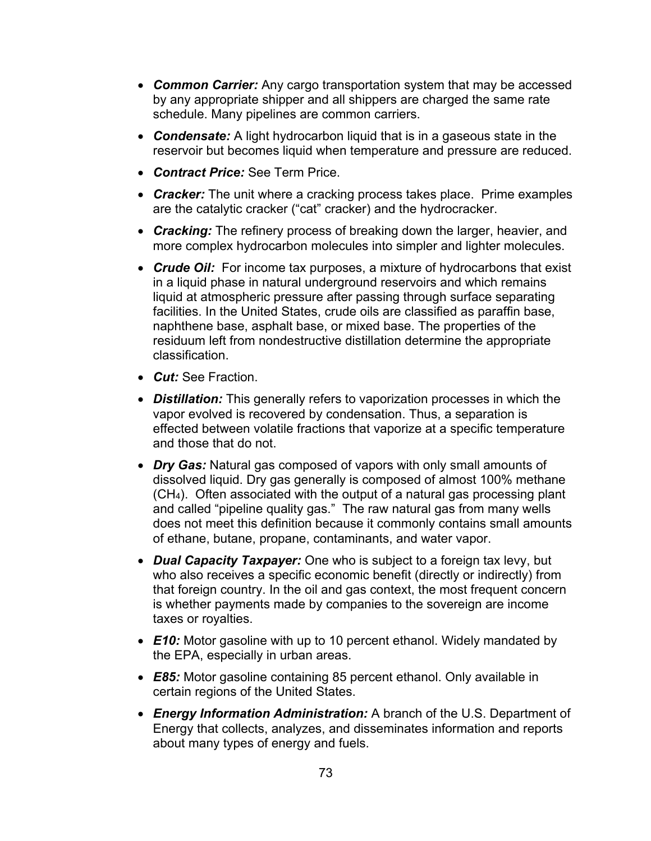- *Common Carrier:* Any cargo transportation system that may be accessed by any appropriate shipper and all shippers are charged the same rate schedule. Many pipelines are common carriers.
- *Condensate:* A light hydrocarbon liquid that is in a gaseous state in the reservoir but becomes liquid when temperature and pressure are reduced.
- *Contract Price:* See Term Price.
- *Cracker:* The unit where a cracking process takes place. Prime examples are the catalytic cracker ("cat" cracker) and the hydrocracker.
- *Cracking:* The refinery process of breaking down the larger, heavier, and more complex hydrocarbon molecules into simpler and lighter molecules.
- *Crude Oil:* For income tax purposes, a mixture of hydrocarbons that exist in a liquid phase in natural underground reservoirs and which remains liquid at atmospheric pressure after passing through surface separating facilities. In the United States, crude oils are classified as paraffin base, naphthene base, asphalt base, or mixed base. The properties of the residuum left from nondestructive distillation determine the appropriate classification.
- *Cut:* See Fraction.
- *Distillation:* This generally refers to vaporization processes in which the vapor evolved is recovered by condensation. Thus, a separation is effected between volatile fractions that vaporize at a specific temperature and those that do not.
- *Dry Gas:* Natural gas composed of vapors with only small amounts of dissolved liquid. Dry gas generally is composed of almost 100% methane (CH4). Often associated with the output of a natural gas processing plant and called "pipeline quality gas." The raw natural gas from many wells does not meet this definition because it commonly contains small amounts of ethane, butane, propane, contaminants, and water vapor.
- *Dual Capacity Taxpayer:* One who is subject to a foreign tax levy, but who also receives a specific economic benefit (directly or indirectly) from that foreign country. In the oil and gas context, the most frequent concern is whether payments made by companies to the sovereign are income taxes or royalties.
- **E10:** Motor gasoline with up to 10 percent ethanol. Widely mandated by the EPA, especially in urban areas.
- *E85:* Motor gasoline containing 85 percent ethanol. Only available in certain regions of the United States.
- *Energy Information Administration:* A branch of the U.S. Department of Energy that collects, analyzes, and disseminates information and reports about many types of energy and fuels.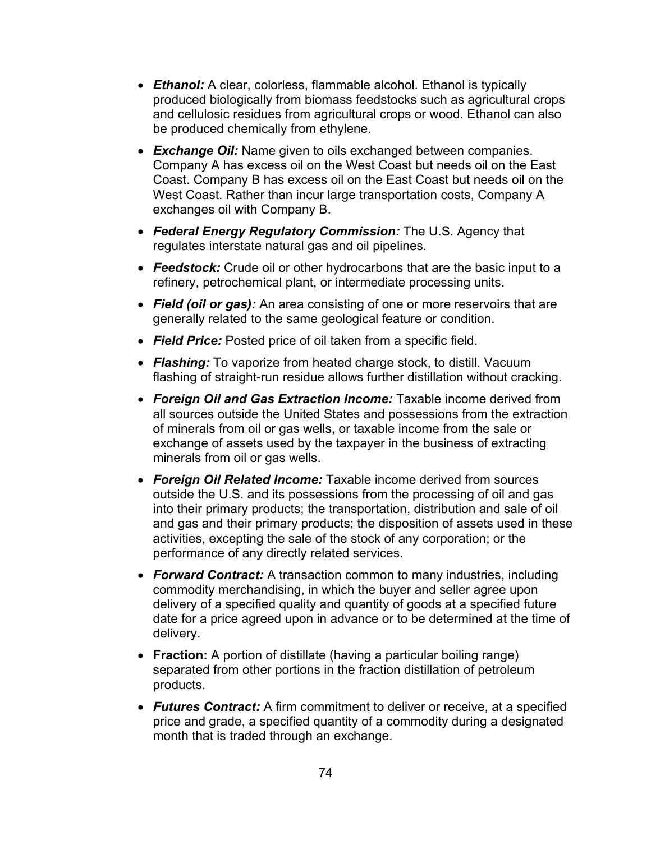- *Ethanol:* A clear, colorless, flammable alcohol. Ethanol is typically produced biologically from biomass feedstocks such as agricultural crops and cellulosic residues from agricultural crops or wood. Ethanol can also be produced chemically from ethylene.
- *Exchange Oil:* Name given to oils exchanged between companies. Company A has excess oil on the West Coast but needs oil on the East Coast. Company B has excess oil on the East Coast but needs oil on the West Coast. Rather than incur large transportation costs, Company A exchanges oil with Company B.
- *Federal Energy Regulatory Commission:* The U.S. Agency that regulates interstate natural gas and oil pipelines.
- *Feedstock:* Crude oil or other hydrocarbons that are the basic input to a refinery, petrochemical plant, or intermediate processing units.
- *Field (oil or gas):* An area consisting of one or more reservoirs that are generally related to the same geological feature or condition.
- *Field Price:* Posted price of oil taken from a specific field.
- *Flashing:* To vaporize from heated charge stock, to distill. Vacuum flashing of straight-run residue allows further distillation without cracking.
- *Foreign Oil and Gas Extraction Income:* Taxable income derived from all sources outside the United States and possessions from the extraction of minerals from oil or gas wells, or taxable income from the sale or exchange of assets used by the taxpayer in the business of extracting minerals from oil or gas wells.
- *Foreign Oil Related Income:* Taxable income derived from sources outside the U.S. and its possessions from the processing of oil and gas into their primary products; the transportation, distribution and sale of oil and gas and their primary products; the disposition of assets used in these activities, excepting the sale of the stock of any corporation; or the performance of any directly related services.
- *Forward Contract:* A transaction common to many industries, including commodity merchandising, in which the buyer and seller agree upon delivery of a specified quality and quantity of goods at a specified future date for a price agreed upon in advance or to be determined at the time of delivery.
- **Fraction:** A portion of distillate (having a particular boiling range) separated from other portions in the fraction distillation of petroleum products.
- *Futures Contract:* A firm commitment to deliver or receive, at a specified price and grade, a specified quantity of a commodity during a designated month that is traded through an exchange.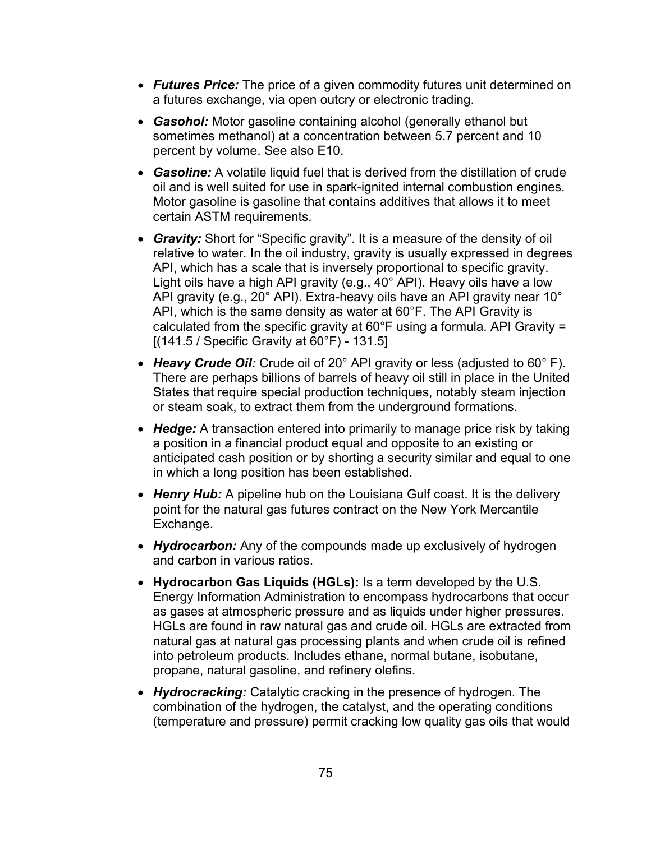- *Futures Price:* The price of a given commodity futures unit determined on a futures exchange, via open outcry or electronic trading.
- *Gasohol:* Motor gasoline containing alcohol (generally ethanol but sometimes methanol) at a concentration between 5.7 percent and 10 percent by volume. See also E10.
- *Gasoline:* A volatile liquid fuel that is derived from the distillation of crude oil and is well suited for use in spark-ignited internal combustion engines. Motor gasoline is gasoline that contains additives that allows it to meet certain ASTM requirements.
- *Gravity:* Short for "Specific gravity". It is a measure of the density of oil relative to water. In the oil industry, gravity is usually expressed in degrees API, which has a scale that is inversely proportional to specific gravity. Light oils have a high API gravity (e.g., 40° API). Heavy oils have a low API gravity (e.g., 20° API). Extra-heavy oils have an API gravity near 10° API, which is the same density as water at 60°F. The API Gravity is calculated from the specific gravity at 60°F using a formula. API Gravity = [(141.5 / Specific Gravity at 60°F) - 131.5]
- *Heavy Crude Oil:* Crude oil of 20° API gravity or less (adjusted to 60° F). There are perhaps billions of barrels of heavy oil still in place in the United States that require special production techniques, notably steam injection or steam soak, to extract them from the underground formations.
- **Hedge:** A transaction entered into primarily to manage price risk by taking a position in a financial product equal and opposite to an existing or anticipated cash position or by shorting a security similar and equal to one in which a long position has been established.
- **Henry Hub:** A pipeline hub on the Louisiana Gulf coast. It is the delivery point for the natural gas futures contract on the New York Mercantile Exchange.
- *Hydrocarbon:* Any of the compounds made up exclusively of hydrogen and carbon in various ratios.
- **Hydrocarbon Gas Liquids (HGLs):** Is a term developed by the U.S. Energy Information Administration to encompass hydrocarbons that occur as gases at atmospheric pressure and as liquids under higher pressures. HGLs are found in raw natural gas and crude oil. HGLs are extracted from natural gas at natural gas processing plants and when crude oil is refined into petroleum products. Includes ethane, normal butane, isobutane, propane, natural gasoline, and refinery olefins.
- *Hydrocracking:* Catalytic cracking in the presence of hydrogen. The combination of the hydrogen, the catalyst, and the operating conditions (temperature and pressure) permit cracking low quality gas oils that would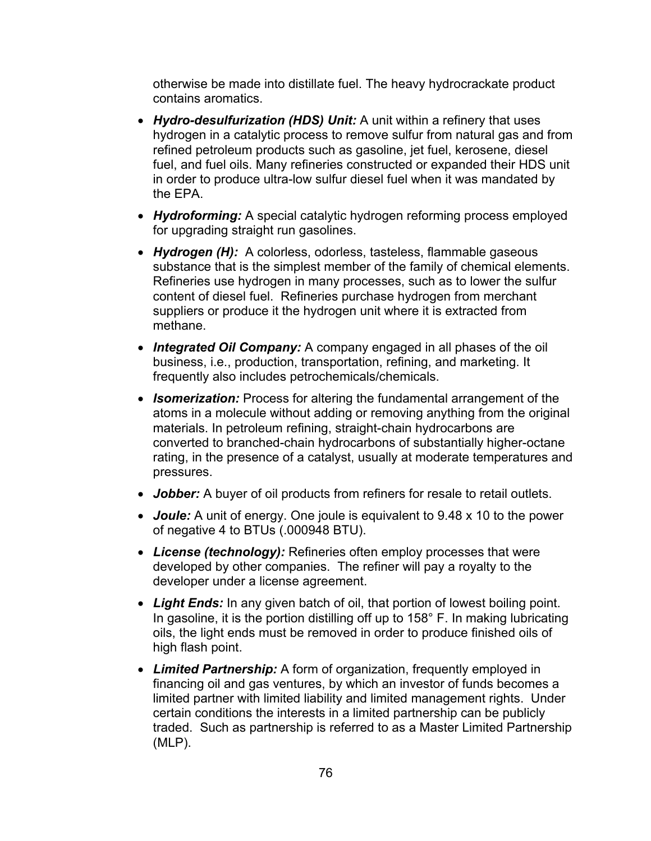otherwise be made into distillate fuel. The heavy hydrocrackate product contains aromatics.

- *Hydro-desulfurization (HDS) Unit:* A unit within a refinery that uses hydrogen in a catalytic process to remove sulfur from natural gas and from refined petroleum products such as gasoline, jet fuel, kerosene, diesel fuel, and fuel oils. Many refineries constructed or expanded their HDS unit in order to produce ultra-low sulfur diesel fuel when it was mandated by the EPA.
- *Hydroforming:* A special catalytic hydrogen reforming process employed for upgrading straight run gasolines.
- *Hydrogen (H):* A colorless, odorless, tasteless, flammable gaseous substance that is the simplest member of the family of chemical elements. Refineries use hydrogen in many processes, such as to lower the sulfur content of diesel fuel. Refineries purchase hydrogen from merchant suppliers or produce it the hydrogen unit where it is extracted from methane.
- *Integrated Oil Company:* A company engaged in all phases of the oil business, i.e., production, transportation, refining, and marketing. It frequently also includes petrochemicals/chemicals.
- *Isomerization:* Process for altering the fundamental arrangement of the atoms in a molecule without adding or removing anything from the original materials. In petroleum refining, straight-chain hydrocarbons are converted to branched-chain hydrocarbons of substantially higher-octane rating, in the presence of a catalyst, usually at moderate temperatures and pressures.
- *Jobber:* A buyer of oil products from refiners for resale to retail outlets.
- *Joule:* A unit of energy. One joule is equivalent to 9.48 x 10 to the power of negative 4 to BTUs (.000948 BTU).
- *License (technology):* Refineries often employ processes that were developed by other companies. The refiner will pay a royalty to the developer under a license agreement.
- *Light Ends:* In any given batch of oil, that portion of lowest boiling point. In gasoline, it is the portion distilling off up to 158° F. In making lubricating oils, the light ends must be removed in order to produce finished oils of high flash point.
- *Limited Partnership:* A form of organization, frequently employed in financing oil and gas ventures, by which an investor of funds becomes a limited partner with limited liability and limited management rights. Under certain conditions the interests in a limited partnership can be publicly traded. Such as partnership is referred to as a Master Limited Partnership (MLP).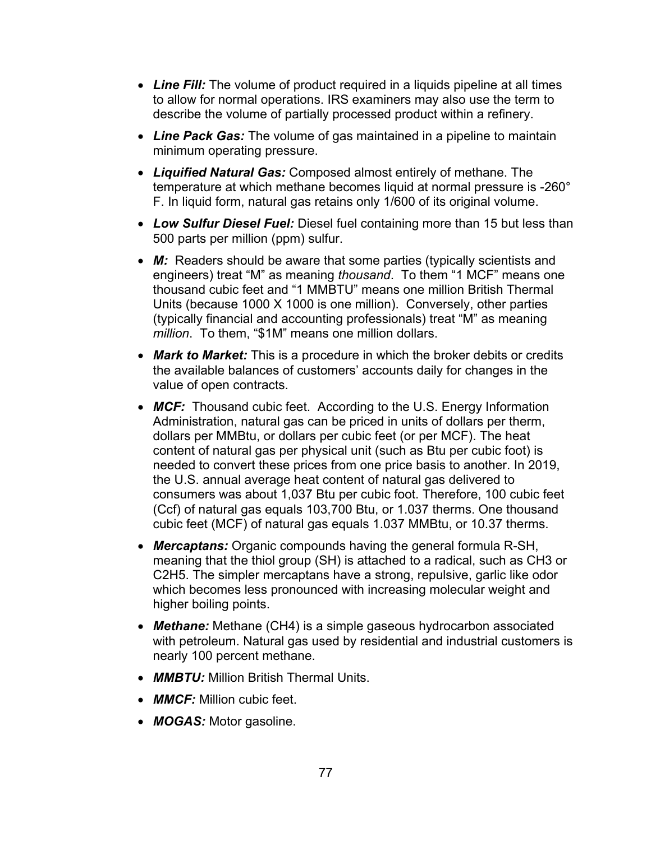- *Line Fill:* The volume of product required in a liquids pipeline at all times to allow for normal operations. IRS examiners may also use the term to describe the volume of partially processed product within a refinery.
- *Line Pack Gas:* The volume of gas maintained in a pipeline to maintain minimum operating pressure.
- *Liquified Natural Gas:* Composed almost entirely of methane. The temperature at which methane becomes liquid at normal pressure is -260° F. In liquid form, natural gas retains only 1/600 of its original volume.
- *Low Sulfur Diesel Fuel:* Diesel fuel containing more than 15 but less than 500 parts per million (ppm) sulfur.
- *M:* Readers should be aware that some parties (typically scientists and engineers) treat "M" as meaning *thousand*. To them "1 MCF" means one thousand cubic feet and "1 MMBTU" means one million British Thermal Units (because 1000 X 1000 is one million). Conversely, other parties (typically financial and accounting professionals) treat "M" as meaning *million*. To them, "\$1M" means one million dollars.
- *Mark to Market:* This is a procedure in which the broker debits or credits the available balances of customers' accounts daily for changes in the value of open contracts.
- **MCF:** Thousand cubic feet. According to the U.S. Energy Information Administration, natural gas can be priced in units of dollars per therm, dollars per MMBtu, or dollars per cubic feet (or per MCF). The heat content of natural gas per physical unit (such as Btu per cubic foot) is needed to convert these prices from one price basis to another. In 2019, the U.S. annual average heat content of natural gas delivered to consumers was about 1,037 Btu per cubic foot. Therefore, 100 cubic feet (Ccf) of natural gas equals 103,700 Btu, or 1.037 therms. One thousand cubic feet (MCF) of natural gas equals 1.037 MMBtu, or 10.37 therms.
- *Mercaptans:* Organic compounds having the general formula R-SH, meaning that the thiol group (SH) is attached to a radical, such as CH3 or C2H5. The simpler mercaptans have a strong, repulsive, garlic like odor which becomes less pronounced with increasing molecular weight and higher boiling points.
- *Methane:* Methane (CH4) is a simple gaseous hydrocarbon associated with petroleum. Natural gas used by residential and industrial customers is nearly 100 percent methane.
- *MMBTU:* Million British Thermal Units.
- *MMCF:* Million cubic feet.
- *MOGAS:* Motor gasoline.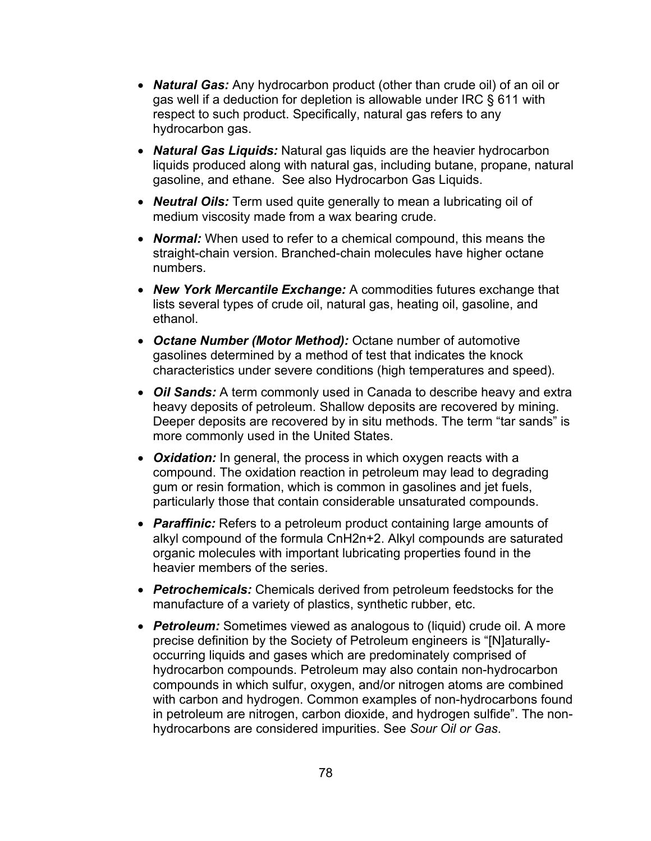- *Natural Gas:* Any hydrocarbon product (other than crude oil) of an oil or gas well if a deduction for depletion is allowable under IRC § 611 with respect to such product. Specifically, natural gas refers to any hydrocarbon gas.
- *Natural Gas Liquids:* Natural gas liquids are the heavier hydrocarbon liquids produced along with natural gas, including butane, propane, natural gasoline, and ethane. See also Hydrocarbon Gas Liquids.
- *Neutral Oils:* Term used quite generally to mean a lubricating oil of medium viscosity made from a wax bearing crude.
- *Normal:* When used to refer to a chemical compound, this means the straight-chain version. Branched-chain molecules have higher octane numbers.
- *New York Mercantile Exchange:* A commodities futures exchange that lists several types of crude oil, natural gas, heating oil, gasoline, and ethanol.
- *Octane Number (Motor Method):* Octane number of automotive gasolines determined by a method of test that indicates the knock characteristics under severe conditions (high temperatures and speed).
- *Oil Sands:* A term commonly used in Canada to describe heavy and extra heavy deposits of petroleum. Shallow deposits are recovered by mining. Deeper deposits are recovered by in situ methods. The term "tar sands" is more commonly used in the United States.
- *Oxidation:* In general, the process in which oxygen reacts with a compound. The oxidation reaction in petroleum may lead to degrading gum or resin formation, which is common in gasolines and jet fuels, particularly those that contain considerable unsaturated compounds.
- *Paraffinic:* Refers to a petroleum product containing large amounts of alkyl compound of the formula CnH2n+2. Alkyl compounds are saturated organic molecules with important lubricating properties found in the heavier members of the series.
- *Petrochemicals:* Chemicals derived from petroleum feedstocks for the manufacture of a variety of plastics, synthetic rubber, etc.
- *Petroleum:* Sometimes viewed as analogous to (liquid) crude oil. A more precise definition by the Society of Petroleum engineers is "[N]aturallyoccurring liquids and gases which are predominately comprised of hydrocarbon compounds. Petroleum may also contain non-hydrocarbon compounds in which sulfur, oxygen, and/or nitrogen atoms are combined with carbon and hydrogen. Common examples of non-hydrocarbons found in petroleum are nitrogen, carbon dioxide, and hydrogen sulfide". The nonhydrocarbons are considered impurities. See *Sour Oil or Gas*.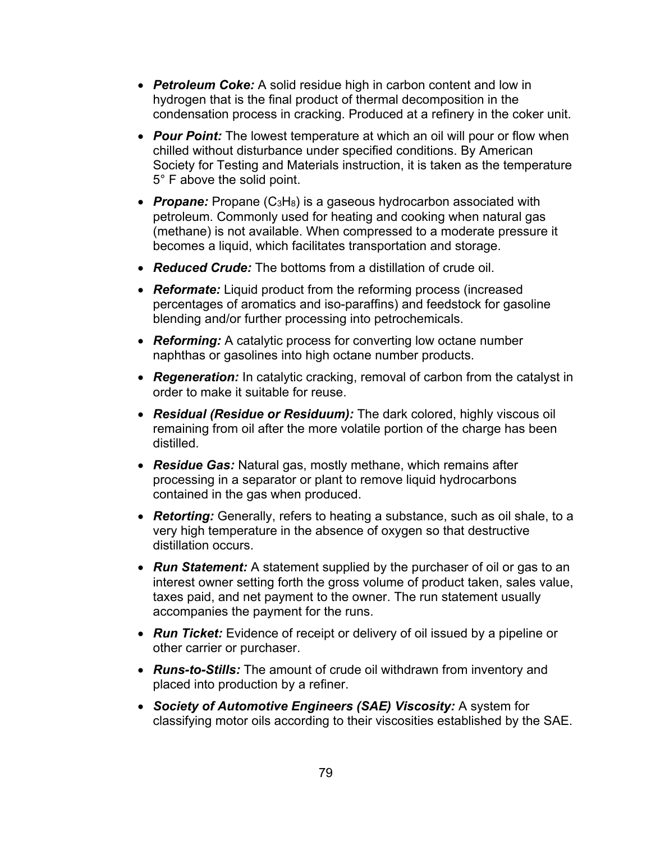- *Petroleum Coke:* A solid residue high in carbon content and low in hydrogen that is the final product of thermal decomposition in the condensation process in cracking. Produced at a refinery in the coker unit.
- *Pour Point:* The lowest temperature at which an oil will pour or flow when chilled without disturbance under specified conditions. By American Society for Testing and Materials instruction, it is taken as the temperature 5° F above the solid point.
- **Propane:** Propane (C<sub>3</sub>H<sub>8</sub>) is a gaseous hydrocarbon associated with petroleum. Commonly used for heating and cooking when natural gas (methane) is not available. When compressed to a moderate pressure it becomes a liquid, which facilitates transportation and storage.
- *Reduced Crude:* The bottoms from a distillation of crude oil.
- *Reformate:* Liquid product from the reforming process (increased percentages of aromatics and iso-paraffins) and feedstock for gasoline blending and/or further processing into petrochemicals.
- *Reforming:* A catalytic process for converting low octane number naphthas or gasolines into high octane number products.
- *Regeneration:* In catalytic cracking, removal of carbon from the catalyst in order to make it suitable for reuse.
- *Residual (Residue or Residuum):* The dark colored, highly viscous oil remaining from oil after the more volatile portion of the charge has been distilled.
- *Residue Gas:* Natural gas, mostly methane, which remains after processing in a separator or plant to remove liquid hydrocarbons contained in the gas when produced.
- *Retorting:* Generally, refers to heating a substance, such as oil shale, to a very high temperature in the absence of oxygen so that destructive distillation occurs.
- *Run Statement:* A statement supplied by the purchaser of oil or gas to an interest owner setting forth the gross volume of product taken, sales value, taxes paid, and net payment to the owner. The run statement usually accompanies the payment for the runs.
- *Run Ticket:* Evidence of receipt or delivery of oil issued by a pipeline or other carrier or purchaser.
- *Runs-to-Stills:* The amount of crude oil withdrawn from inventory and placed into production by a refiner.
- *Society of Automotive Engineers (SAE) Viscosity:* A system for classifying motor oils according to their viscosities established by the SAE.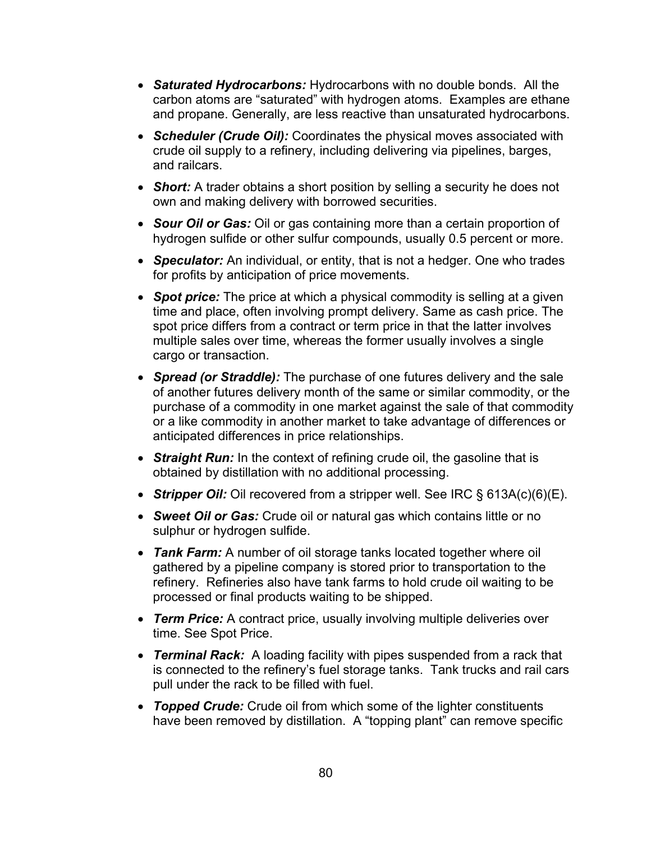- *Saturated Hydrocarbons:* Hydrocarbons with no double bonds. All the carbon atoms are "saturated" with hydrogen atoms. Examples are ethane and propane. Generally, are less reactive than unsaturated hydrocarbons.
- *Scheduler (Crude Oil):* Coordinates the physical moves associated with crude oil supply to a refinery, including delivering via pipelines, barges, and railcars.
- **Short:** A trader obtains a short position by selling a security he does not own and making delivery with borrowed securities.
- *Sour Oil or Gas:* Oil or gas containing more than a certain proportion of hydrogen sulfide or other sulfur compounds, usually 0.5 percent or more.
- *Speculator:* An individual, or entity, that is not a hedger. One who trades for profits by anticipation of price movements.
- **Spot price:** The price at which a physical commodity is selling at a given time and place, often involving prompt delivery. Same as cash price. The spot price differs from a contract or term price in that the latter involves multiple sales over time, whereas the former usually involves a single cargo or transaction.
- *Spread (or Straddle):* The purchase of one futures delivery and the sale of another futures delivery month of the same or similar commodity, or the purchase of a commodity in one market against the sale of that commodity or a like commodity in another market to take advantage of differences or anticipated differences in price relationships.
- *Straight Run:* In the context of refining crude oil, the gasoline that is obtained by distillation with no additional processing.
- *Stripper Oil:* Oil recovered from a stripper well. See IRC § 613A(c)(6)(E).
- *Sweet Oil or Gas:* Crude oil or natural gas which contains little or no sulphur or hydrogen sulfide.
- *Tank Farm:* A number of oil storage tanks located together where oil gathered by a pipeline company is stored prior to transportation to the refinery. Refineries also have tank farms to hold crude oil waiting to be processed or final products waiting to be shipped.
- *Term Price:* A contract price, usually involving multiple deliveries over time. See Spot Price.
- *Terminal Rack:* A loading facility with pipes suspended from a rack that is connected to the refinery's fuel storage tanks. Tank trucks and rail cars pull under the rack to be filled with fuel.
- *Topped Crude:* Crude oil from which some of the lighter constituents have been removed by distillation. A "topping plant" can remove specific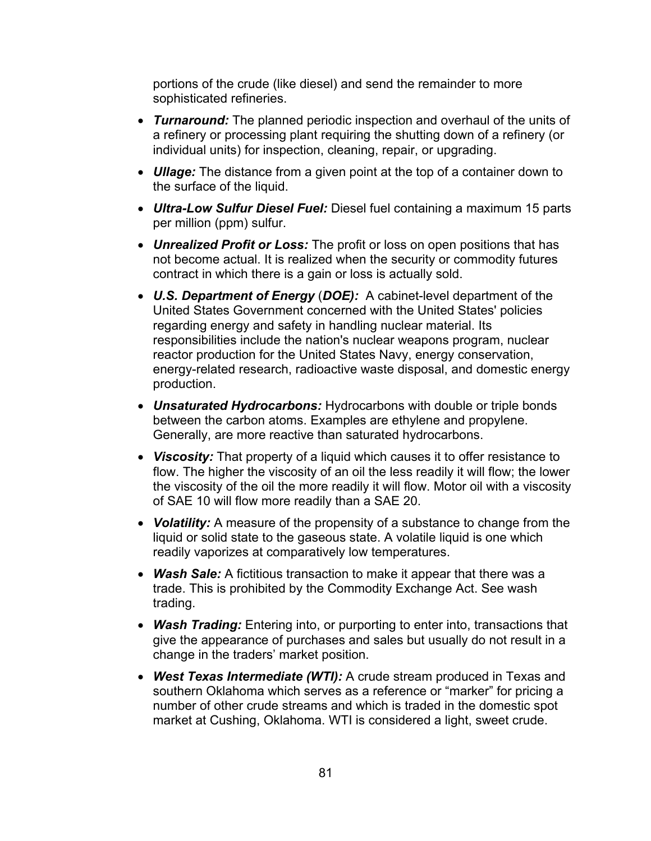portions of the crude (like diesel) and send the remainder to more sophisticated refineries.

- *Turnaround:* The planned periodic inspection and overhaul of the units of a refinery or processing plant requiring the shutting down of a refinery (or individual units) for inspection, cleaning, repair, or upgrading.
- *Ullage:* The distance from a given point at the top of a container down to the surface of the liquid.
- *Ultra-Low Sulfur Diesel Fuel:* Diesel fuel containing a maximum 15 parts per million (ppm) sulfur.
- *Unrealized Profit or Loss:* The profit or loss on open positions that has not become actual. It is realized when the security or commodity futures contract in which there is a gain or loss is actually sold.
- *U.S. Department of Energy* (*DOE):* A cabinet-level department of the United States Government concerned with the United States' policies regarding energy and safety in handling nuclear material. Its responsibilities include the nation's nuclear weapons program, nuclear reactor production for the United States Navy, energy conservation, energy-related research, radioactive waste disposal, and domestic energy production.
- *Unsaturated Hydrocarbons:* Hydrocarbons with double or triple bonds between the carbon atoms. Examples are ethylene and propylene. Generally, are more reactive than saturated hydrocarbons.
- *Viscosity:* That property of a liquid which causes it to offer resistance to flow. The higher the viscosity of an oil the less readily it will flow; the lower the viscosity of the oil the more readily it will flow. Motor oil with a viscosity of SAE 10 will flow more readily than a SAE 20.
- *Volatility:* A measure of the propensity of a substance to change from the liquid or solid state to the gaseous state. A volatile liquid is one which readily vaporizes at comparatively low temperatures.
- *Wash Sale:* A fictitious transaction to make it appear that there was a trade. This is prohibited by the Commodity Exchange Act. See wash trading.
- *Wash Trading:* Entering into, or purporting to enter into, transactions that give the appearance of purchases and sales but usually do not result in a change in the traders' market position.
- *West Texas Intermediate (WTI):* A crude stream produced in Texas and southern Oklahoma which serves as a reference or "marker" for pricing a number of other crude streams and which is traded in the domestic spot market at Cushing, Oklahoma. WTI is considered a light, sweet crude.